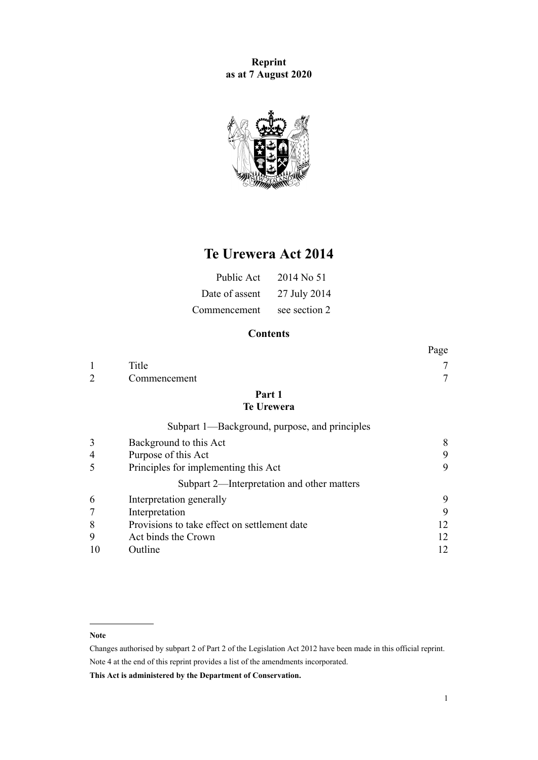**Reprint as at 7 August 2020**



# **Te Urewera Act 2014**

| Public Act     | 2014 No 51    |
|----------------|---------------|
| Date of assent | 27 July 2014  |
| Commencement   | see section 2 |

## **Contents**

|                |                                               | Page |
|----------------|-----------------------------------------------|------|
|                | Title                                         |      |
| $\overline{2}$ | Commencement                                  | 7    |
|                | Part 1<br><b>Te Urewera</b>                   |      |
|                | Subpart 1—Background, purpose, and principles |      |
| 3              | Background to this Act                        | 8    |
| 4              | Purpose of this Act                           | 9    |
| 5              | Principles for implementing this Act          | 9    |
|                | Subpart 2—Interpretation and other matters    |      |
| 6              | Interpretation generally                      | 9    |
| 7              | Interpretation                                | 9    |
| 8              | Provisions to take effect on settlement date  | 12   |
| 9              | Act binds the Crown                           | 12   |
| 10             | Outline                                       | 12   |

#### **Note**

Changes authorised by [subpart 2](http://legislation.govt.nz/pdflink.aspx?id=DLM2998524) of Part 2 of the Legislation Act 2012 have been made in this official reprint. Note 4 at the end of this reprint provides a list of the amendments incorporated.

**This Act is administered by the Department of Conservation.**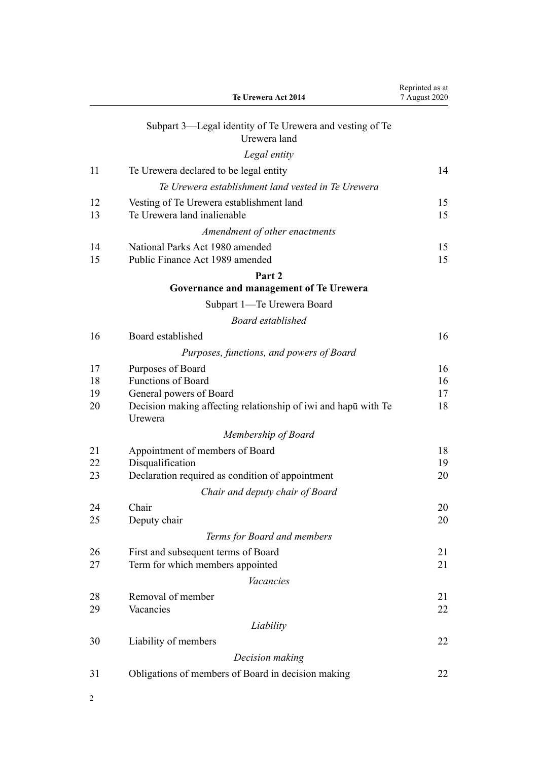|          | Te Urewera Act 2014                                                        | Reprinted as at<br>7 August 2020 |
|----------|----------------------------------------------------------------------------|----------------------------------|
|          | Subpart 3—Legal identity of Te Urewera and vesting of Te<br>Urewera land   |                                  |
|          | Legal entity                                                               |                                  |
| 11       | Te Urewera declared to be legal entity                                     | 14                               |
|          | Te Urewera establishment land vested in Te Urewera                         |                                  |
| 12<br>13 | Vesting of Te Urewera establishment land<br>Te Urewera land inalienable    | 15<br>15                         |
|          | Amendment of other enactments                                              |                                  |
| 14<br>15 | National Parks Act 1980 amended<br>Public Finance Act 1989 amended         | 15<br>15                         |
|          | Part 2                                                                     |                                  |
|          | Governance and management of Te Urewera                                    |                                  |
|          | Subpart 1—Te Urewera Board                                                 |                                  |
|          | <b>Board established</b>                                                   |                                  |
| 16       | Board established                                                          | 16                               |
|          | Purposes, functions, and powers of Board                                   |                                  |
| 17       | Purposes of Board                                                          | 16                               |
| 18       | <b>Functions of Board</b>                                                  | 16                               |
| 19       | General powers of Board                                                    | 17                               |
| 20       | Decision making affecting relationship of iwi and haput with Te<br>Urewera | 18                               |
|          | Membership of Board                                                        |                                  |
| 21       | Appointment of members of Board                                            | 18                               |
| 22       | Disqualification                                                           | 19                               |
| 23       | Declaration required as condition of appointment                           | 20                               |
|          | Chair and deputy chair of Board                                            |                                  |
| 24       | Chair                                                                      | 20                               |
| 25       | Deputy chair                                                               | 20                               |
|          | Terms for Board and members                                                |                                  |
| 26<br>27 | First and subsequent terms of Board                                        | 21<br>21                         |
|          | Term for which members appointed                                           |                                  |
|          | <b>Vacancies</b>                                                           |                                  |
| 28<br>29 | Removal of member<br>Vacancies                                             | 21<br>22                         |
|          |                                                                            |                                  |
|          | Liability                                                                  |                                  |
| 30       | Liability of members                                                       | 22                               |
|          | Decision making                                                            |                                  |
| 31       | Obligations of members of Board in decision making                         | 22                               |

2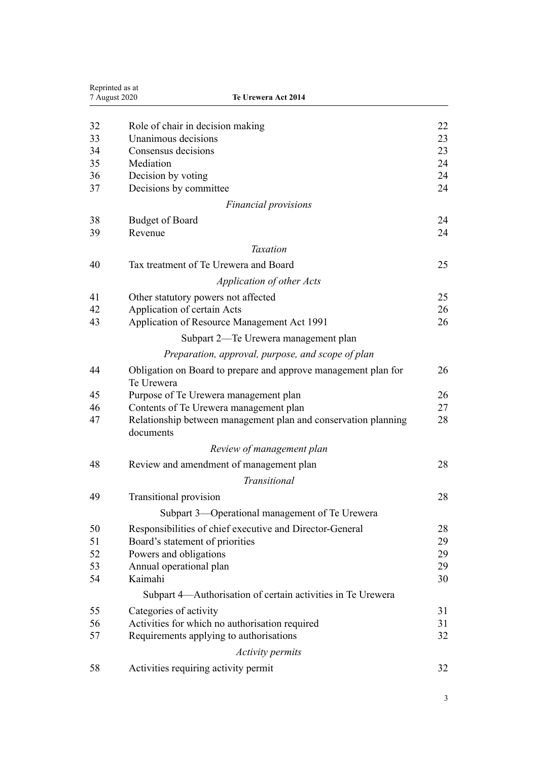| 7 August 2020 | Te Urewera Act 2014                                                          |    |
|---------------|------------------------------------------------------------------------------|----|
| 32            | Role of chair in decision making                                             | 22 |
| 33            | Unanimous decisions                                                          | 23 |
| 34            | Consensus decisions                                                          | 23 |
| 35            | Mediation                                                                    | 24 |
| 36            | Decision by voting                                                           | 24 |
| 37            | Decisions by committee                                                       | 24 |
|               | <b>Financial provisions</b>                                                  |    |
| 38            | <b>Budget of Board</b>                                                       | 24 |
| 39            | Revenue                                                                      | 24 |
|               | <b>Taxation</b>                                                              |    |
| 40            | Tax treatment of Te Urewera and Board                                        | 25 |
|               | Application of other Acts                                                    |    |
| 41            | Other statutory powers not affected                                          | 25 |
| 42            | Application of certain Acts                                                  | 26 |
| 43            | Application of Resource Management Act 1991                                  | 26 |
|               | Subpart 2-Te Urewera management plan                                         |    |
|               | Preparation, approval, purpose, and scope of plan                            |    |
| 44            | Obligation on Board to prepare and approve management plan for<br>Te Urewera | 26 |
| 45            | Purpose of Te Urewera management plan                                        | 26 |
| 46            | Contents of Te Urewera management plan                                       | 27 |
| 47            | Relationship between management plan and conservation planning<br>documents  | 28 |
|               | Review of management plan                                                    |    |
| 48            | Review and amendment of management plan                                      | 28 |
|               | Transitional                                                                 |    |
| 49            | <b>Transitional provision</b>                                                | 28 |
|               | Subpart 3—Operational management of Te Urewera                               |    |
| 50            | Responsibilities of chief executive and Director-General                     | 28 |
| 51            | Board's statement of priorities                                              | 29 |
| 52            | Powers and obligations                                                       | 29 |
| 53            | Annual operational plan                                                      | 29 |
| 54            | Kaimahi                                                                      | 30 |
|               | Subpart 4—Authorisation of certain activities in Te Urewera                  |    |
| 55            | Categories of activity                                                       | 31 |
| 56            | Activities for which no authorisation required                               | 31 |
| 57            | Requirements applying to authorisations                                      | 32 |
|               | <b>Activity permits</b>                                                      |    |
| 58            | Activities requiring activity permit                                         | 32 |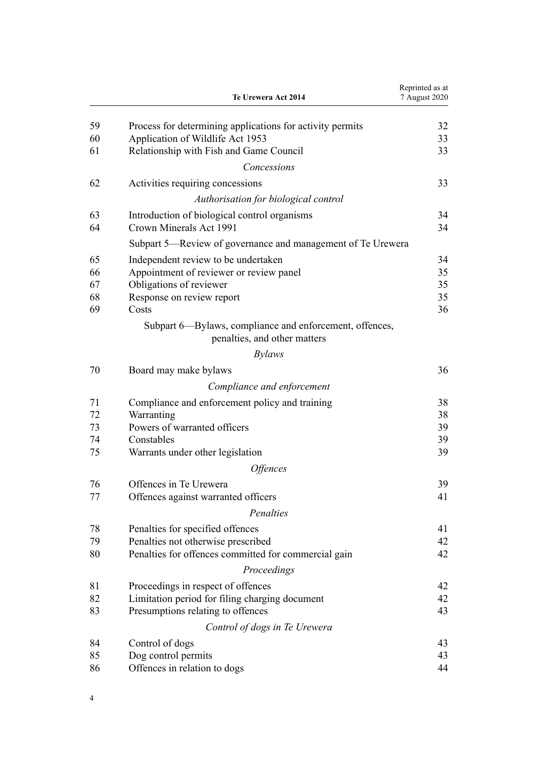|    | Te Urewera Act 2014                                                                     | Reprinted as at<br>7 August 2020 |
|----|-----------------------------------------------------------------------------------------|----------------------------------|
| 59 | Process for determining applications for activity permits                               | 32                               |
| 60 | Application of Wildlife Act 1953                                                        | 33                               |
| 61 | Relationship with Fish and Game Council                                                 | 33                               |
|    | Concessions                                                                             |                                  |
| 62 | Activities requiring concessions                                                        | 33                               |
|    | Authorisation for biological control                                                    |                                  |
| 63 | Introduction of biological control organisms                                            | 34                               |
| 64 | Crown Minerals Act 1991                                                                 | 34                               |
|    | Subpart 5—Review of governance and management of Te Urewera                             |                                  |
| 65 | Independent review to be undertaken                                                     | 34                               |
| 66 | Appointment of reviewer or review panel                                                 | 35                               |
| 67 | Obligations of reviewer                                                                 | 35                               |
| 68 | Response on review report                                                               | 35                               |
| 69 | Costs                                                                                   | 36                               |
|    | Subpart 6—Bylaws, compliance and enforcement, offences,<br>penalties, and other matters |                                  |
|    | <b>Bylaws</b>                                                                           |                                  |
| 70 | Board may make bylaws                                                                   | 36                               |
|    | Compliance and enforcement                                                              |                                  |
| 71 | Compliance and enforcement policy and training                                          | 38                               |
| 72 | Warranting                                                                              | 38                               |
| 73 | Powers of warranted officers                                                            | 39                               |
| 74 | Constables                                                                              | 39                               |
| 75 | Warrants under other legislation                                                        | 39                               |
|    | <i><b>Offences</b></i>                                                                  |                                  |
| 76 | Offences in Te Urewera                                                                  | 39                               |
| 77 | Offences against warranted officers                                                     | 41                               |
|    | Penalties                                                                               |                                  |
| 78 | Penalties for specified offences                                                        | 41                               |
| 79 | Penalties not otherwise prescribed                                                      | 42                               |
| 80 | Penalties for offences committed for commercial gain                                    | 42                               |
|    | Proceedings                                                                             |                                  |
| 81 | Proceedings in respect of offences                                                      | 42                               |
| 82 | Limitation period for filing charging document                                          | 42                               |
| 83 | Presumptions relating to offences                                                       | 43                               |
|    | Control of dogs in Te Urewera                                                           |                                  |
| 84 | Control of dogs                                                                         | 43                               |
| 85 | Dog control permits                                                                     | 43                               |
| 86 | Offences in relation to dogs                                                            | 44                               |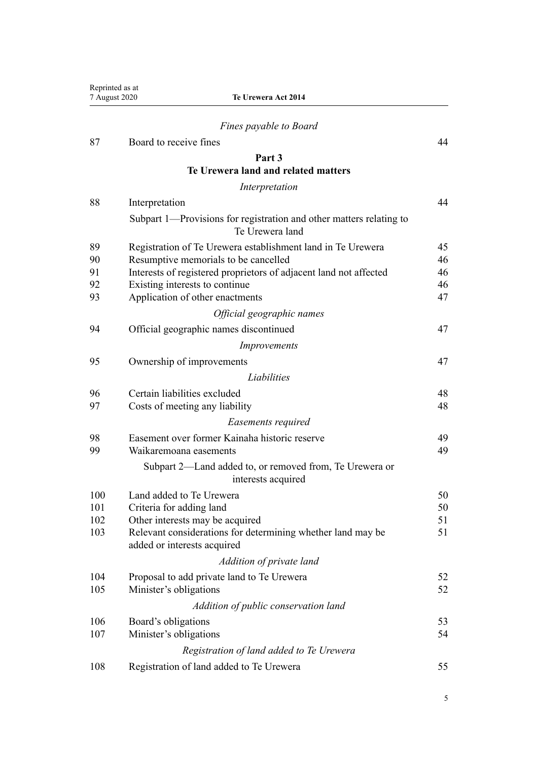| Reprinted as at<br>7 August 2020 | Te Urewera Act 2014                                                                        |          |
|----------------------------------|--------------------------------------------------------------------------------------------|----------|
|                                  | Fines payable to Board                                                                     |          |
| 87                               | Board to receive fines                                                                     | 44       |
|                                  | Part 3                                                                                     |          |
|                                  | Te Urewera land and related matters                                                        |          |
|                                  | Interpretation                                                                             |          |
| 88                               | Interpretation                                                                             | 44       |
|                                  | Subpart 1—Provisions for registration and other matters relating to<br>Te Urewera land     |          |
| 89                               | Registration of Te Urewera establishment land in Te Urewera                                | 45       |
| 90                               | Resumptive memorials to be cancelled                                                       | 46       |
| 91                               | Interests of registered proprietors of adjacent land not affected                          | 46       |
| 92                               | Existing interests to continue                                                             | 46<br>47 |
| 93                               | Application of other enactments                                                            |          |
|                                  | Official geographic names                                                                  |          |
| 94                               | Official geographic names discontinued                                                     | 47       |
|                                  | Improvements                                                                               |          |
| 95                               | Ownership of improvements                                                                  | 47       |
|                                  | Liabilities                                                                                |          |
| 96                               | Certain liabilities excluded                                                               | 48       |
| 97                               | Costs of meeting any liability                                                             | 48       |
|                                  | Easements required                                                                         |          |
| 98                               | Easement over former Kainaha historic reserve                                              | 49       |
| 99                               | Waikaremoana easements                                                                     | 49       |
|                                  | Subpart 2—Land added to, or removed from, Te Urewera or<br>interests acquired              |          |
| 100                              | Land added to Te Urewera                                                                   | 50       |
| 101                              | Criteria for adding land                                                                   | 50       |
| 102                              | Other interests may be acquired                                                            | 51       |
| 103                              | Relevant considerations for determining whether land may be<br>added or interests acquired | 51       |
|                                  | Addition of private land                                                                   |          |
| 104<br>105                       | Proposal to add private land to Te Urewera<br>Minister's obligations                       | 52<br>52 |
|                                  | Addition of public conservation land                                                       |          |
| 106                              | Board's obligations                                                                        | 53       |
| 107                              | Minister's obligations                                                                     | 54       |
|                                  | Registration of land added to Te Urewera                                                   |          |
| 108                              | Registration of land added to Te Urewera                                                   | 55       |
|                                  |                                                                                            |          |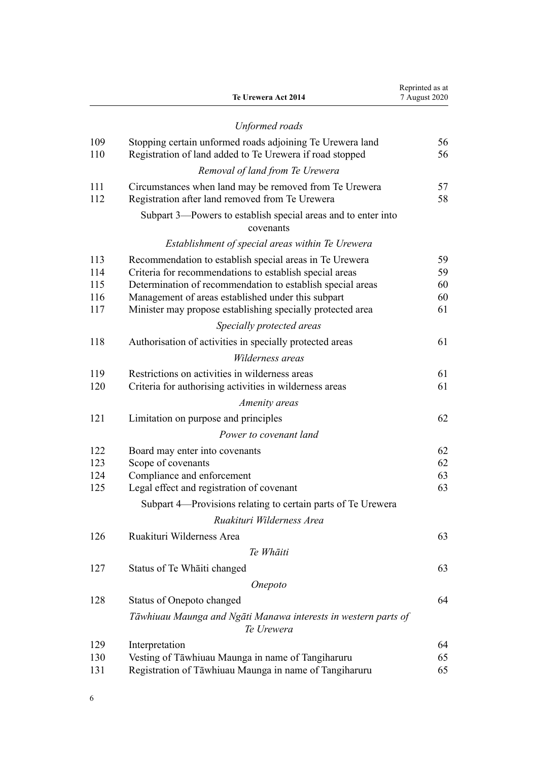|            | Te Urewera Act 2014                                                                                       | Reprinted as at<br>7 August 2020 |
|------------|-----------------------------------------------------------------------------------------------------------|----------------------------------|
|            | <b>Unformed</b> roads                                                                                     |                                  |
| 109        | Stopping certain unformed roads adjoining Te Urewera land                                                 | 56                               |
| 110        | Registration of land added to Te Urewera if road stopped                                                  | 56                               |
|            | Removal of land from Te Urewera                                                                           |                                  |
| 111<br>112 | Circumstances when land may be removed from Te Urewera<br>Registration after land removed from Te Urewera | 57<br>58                         |
|            | Subpart 3—Powers to establish special areas and to enter into<br>covenants                                |                                  |
|            | Establishment of special areas within Te Urewera                                                          |                                  |
| 113        | Recommendation to establish special areas in Te Urewera                                                   | 59                               |
| 114        | Criteria for recommendations to establish special areas                                                   | 59                               |
| 115        | Determination of recommendation to establish special areas                                                | 60                               |
| 116        | Management of areas established under this subpart                                                        | 60                               |
| 117        | Minister may propose establishing specially protected area                                                | 61                               |
|            | Specially protected areas                                                                                 |                                  |
| 118        | Authorisation of activities in specially protected areas                                                  | 61                               |
|            | Wilderness areas                                                                                          |                                  |
| 119        | Restrictions on activities in wilderness areas                                                            | 61                               |
| 120        | Criteria for authorising activities in wilderness areas                                                   | 61                               |
|            | Amenity areas                                                                                             |                                  |
| 121        | Limitation on purpose and principles                                                                      | 62                               |
|            | Power to covenant land                                                                                    |                                  |
| 122        | Board may enter into covenants                                                                            | 62                               |
| 123        | Scope of covenants                                                                                        | 62                               |
| 124        | Compliance and enforcement                                                                                | 63                               |
| 125        | Legal effect and registration of covenant                                                                 | 63                               |
|            | Subpart 4—Provisions relating to certain parts of Te Urewera                                              |                                  |
|            | Ruakituri Wilderness Area                                                                                 |                                  |
| 126        | Ruakituri Wilderness Area                                                                                 | 63                               |
|            | Te Whāiti                                                                                                 |                                  |
| 127        | Status of Te Whaiti changed                                                                               | 63                               |
|            | Onepoto                                                                                                   |                                  |
| 128        | <b>Status of Onepoto changed</b>                                                                          | 64                               |
|            | Tāwhiuau Maunga and Ngāti Manawa interests in western parts of<br>Te Urewera                              |                                  |
| 129        | Interpretation                                                                                            | 64                               |
| 130        | Vesting of Tāwhiuau Maunga in name of Tangiharuru                                                         | 65                               |
| 131        | Registration of Tāwhiuau Maunga in name of Tangiharuru                                                    | 65                               |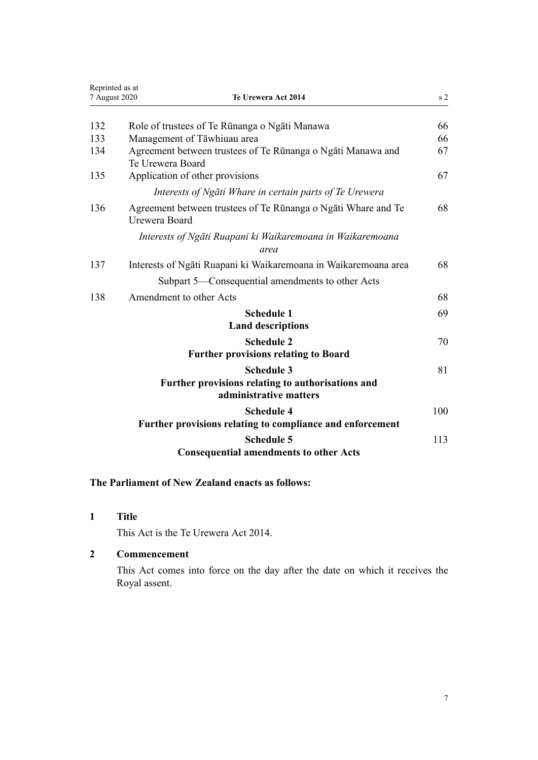<span id="page-6-0"></span>

| Reprinted as at<br>7 August 2020 | Te Urewera Act 2014                                                                              | s <sub>2</sub> |
|----------------------------------|--------------------------------------------------------------------------------------------------|----------------|
| 132                              | Role of trustees of Te Rūnanga o Ngāti Manawa                                                    | 66             |
| 133                              | Management of Tāwhiuau area                                                                      | 66             |
| 134                              | Agreement between trustees of Te Rūnanga o Ngāti Manawa and<br>Te Urewera Board                  | 67             |
| 135                              | Application of other provisions                                                                  | 67             |
|                                  | Interests of Ngāti Whare in certain parts of Te Urewera                                          |                |
| 136                              | Agreement between trustees of Te Rūnanga o Ngāti Whare and Te<br>Urewera Board                   | 68             |
|                                  | Interests of Ngāti Ruapani ki Waikaremoana in Waikaremoana<br>area                               |                |
| 137                              | Interests of Ngati Ruapani ki Waikaremoana in Waikaremoana area                                  | 68             |
|                                  | Subpart 5—Consequential amendments to other Acts                                                 |                |
| 138                              | Amendment to other Acts                                                                          | 68             |
|                                  | <b>Schedule 1</b>                                                                                | 69             |
|                                  | <b>Land descriptions</b>                                                                         |                |
|                                  | <b>Schedule 2</b>                                                                                | 70             |
|                                  | <b>Further provisions relating to Board</b>                                                      |                |
|                                  | <b>Schedule 3</b><br>Further provisions relating to authorisations and<br>administrative matters | 81             |
|                                  | <b>Schedule 4</b><br>Further provisions relating to compliance and enforcement                   | 100            |
|                                  | <b>Schedule 5</b><br><b>Consequential amendments to other Acts</b>                               | 113            |

## **The Parliament of New Zealand enacts as follows:**

**1 Title**

This Act is the Te Urewera Act 2014.

## **2 Commencement**

This Act comes into force on the day after the date on which it receives the Royal assent.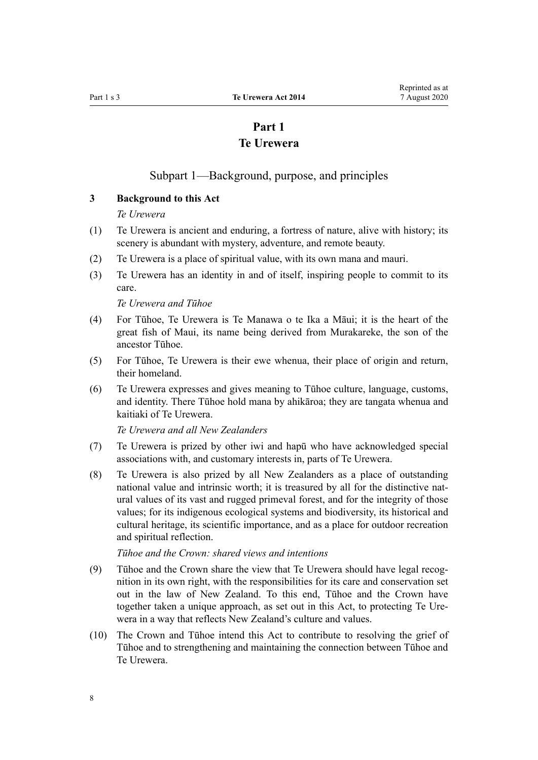# **Part 1 Te Urewera**

## Subpart 1—Background, purpose, and principles

#### <span id="page-7-0"></span>**3 Background to this Act**

### *Te Urewera*

- (1) Te Urewera is ancient and enduring, a fortress of nature, alive with history; its scenery is abundant with mystery, adventure, and remote beauty.
- (2) Te Urewera is a place of spiritual value, with its own mana and mauri.
- (3) Te Urewera has an identity in and of itself, inspiring people to commit to its care.

*Te Urewera and Tūhoe*

- (4) For Tūhoe, Te Urewera is Te Manawa o te Ika a Māui; it is the heart of the great fish of Maui, its name being derived from Murakareke, the son of the ancestor Tūhoe.
- (5) For Tūhoe, Te Urewera is their ewe whenua, their place of origin and return, their homeland.
- (6) Te Urewera expresses and gives meaning to Tūhoe culture, language, customs, and identity. There Tūhoe hold mana by ahikāroa; they are tangata whenua and kaitiaki of Te Urewera.

*Te Urewera and all New Zealanders*

- (7) Te Urewera is prized by other iwi and hapū who have acknowledged special associations with, and customary interests in, parts of Te Urewera.
- (8) Te Urewera is also prized by all New Zealanders as a place of outstanding national value and intrinsic worth; it is treasured by all for the distinctive natural values of its vast and rugged primeval forest, and for the integrity of those values; for its indigenous ecological systems and biodiversity, its historical and cultural heritage, its scientific importance, and as a place for outdoor recreation and spiritual reflection.

*Tūhoe and the Crown: shared views and intentions*

- (9) Tūhoe and the Crown share the view that Te Urewera should have legal recognition in its own right, with the responsibilities for its care and conservation set out in the law of New Zealand. To this end, Tūhoe and the Crown have together taken a unique approach, as set out in this Act, to protecting Te Urewera in a way that reflects New Zealand's culture and values.
- (10) The Crown and Tūhoe intend this Act to contribute to resolving the grief of Tūhoe and to strengthening and maintaining the connection between Tūhoe and Te Urewera.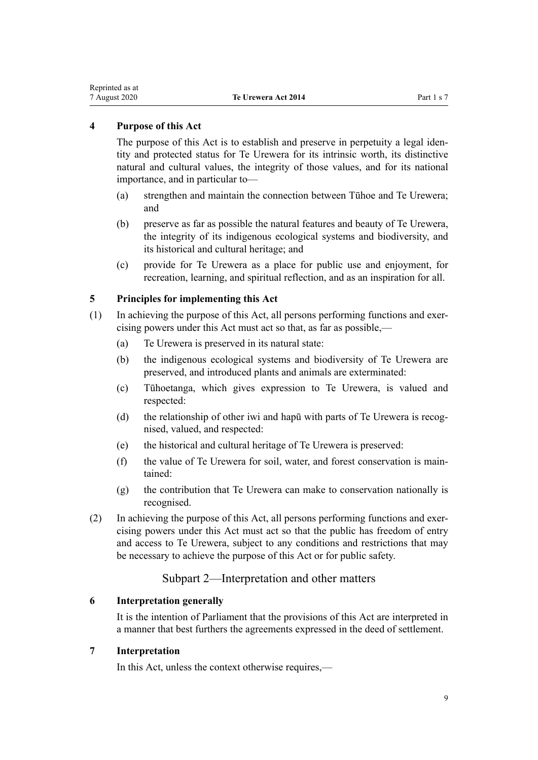## <span id="page-8-0"></span>**4 Purpose of this Act**

The purpose of this Act is to establish and preserve in perpetuity a legal identity and protected status for Te Urewera for its intrinsic worth, its distinctive natural and cultural values, the integrity of those values, and for its national importance, and in particular to—

- (a) strengthen and maintain the connection between Tūhoe and Te Urewera; and
- (b) preserve as far as possible the natural features and beauty of Te Urewera, the integrity of its indigenous ecological systems and biodiversity, and its historical and cultural heritage; and
- (c) provide for Te Urewera as a place for public use and enjoyment, for recreation, learning, and spiritual reflection, and as an inspiration for all.

### **5 Principles for implementing this Act**

- (1) In achieving the purpose of this Act, all persons performing functions and exercising powers under this Act must act so that, as far as possible,—
	- (a) Te Urewera is preserved in its natural state:
	- (b) the indigenous ecological systems and biodiversity of Te Urewera are preserved, and introduced plants and animals are exterminated:
	- (c) Tūhoetanga, which gives expression to Te Urewera, is valued and respected:
	- (d) the relationship of other iwi and hapū with parts of Te Urewera is recognised, valued, and respected:
	- (e) the historical and cultural heritage of Te Urewera is preserved:
	- (f) the value of Te Urewera for soil, water, and forest conservation is maintained:
	- (g) the contribution that Te Urewera can make to conservation nationally is recognised.
- (2) In achieving the purpose of this Act, all persons performing functions and exercising powers under this Act must act so that the public has freedom of entry and access to Te Urewera, subject to any conditions and restrictions that may be necessary to achieve the purpose of this Act or for public safety.

## Subpart 2—Interpretation and other matters

#### **6 Interpretation generally**

It is the intention of Parliament that the provisions of this Act are interpreted in a manner that best furthers the agreements expressed in the deed of settlement.

#### **7 Interpretation**

In this Act, unless the context otherwise requires,—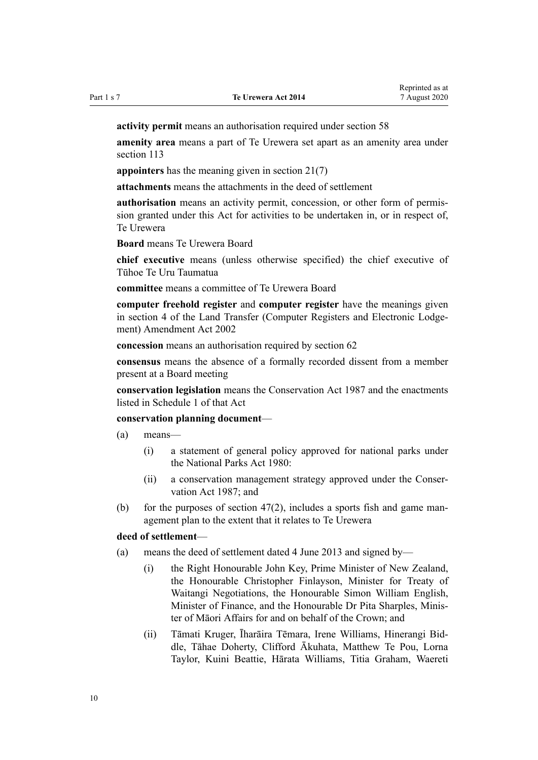**activity permit** means an authorisation required under [section 58](#page-31-0)

**amenity area** means a part of Te Urewera set apart as an amenity area under [section 113](#page-58-0)

**appointers** has the meaning given in [section 21\(7\)](#page-17-0)

**attachments** means the attachments in the deed of settlement

**authorisation** means an activity permit, concession, or other form of permission granted under this Act for activities to be undertaken in, or in respect of, Te Urewera

**Board** means Te Urewera Board

**chief executive** means (unless otherwise specified) the chief executive of Tūhoe Te Uru Taumatua

**committee** means a committee of Te Urewera Board

**computer freehold register** and **computer register** have the meanings given in [section 4](http://legislation.govt.nz/pdflink.aspx?id=DLM140144) of the Land Transfer (Computer Registers and Electronic Lodgement) Amendment Act 2002

**concession** means an authorisation required by [section 62](#page-32-0)

**consensus** means the absence of a formally recorded dissent from a member present at a Board meeting

**conservation legislation** means the [Conservation Act 1987](http://legislation.govt.nz/pdflink.aspx?id=DLM103609) and the enactments listed in [Schedule 1](http://legislation.govt.nz/pdflink.aspx?id=DLM107200) of that Act

#### **conservation planning document**—

- (a) means—
	- (i) a statement of general policy approved for national parks under the [National Parks Act 1980:](http://legislation.govt.nz/pdflink.aspx?id=DLM36962)
	- (ii) a conservation management strategy approved under the [Conser](http://legislation.govt.nz/pdflink.aspx?id=DLM103609)[vation Act 1987](http://legislation.govt.nz/pdflink.aspx?id=DLM103609); and
- (b) for the purposes of section  $47(2)$ , includes a sports fish and game management plan to the extent that it relates to Te Urewera

#### **deed of settlement**—

- (a) means the deed of settlement dated 4 June 2013 and signed by—
	- (i) the Right Honourable John Key, Prime Minister of New Zealand, the Honourable Christopher Finlayson, Minister for Treaty of Waitangi Negotiations, the Honourable Simon William English, Minister of Finance, and the Honourable Dr Pita Sharples, Minister of Māori Affairs for and on behalf of the Crown; and
	- (ii) Tāmati Kruger, Īharāira Tēmara, Irene Williams, Hinerangi Biddle, Tāhae Doherty, Clifford Ākuhata, Matthew Te Pou, Lorna Taylor, Kuini Beattie, Hārata Williams, Titia Graham, Waereti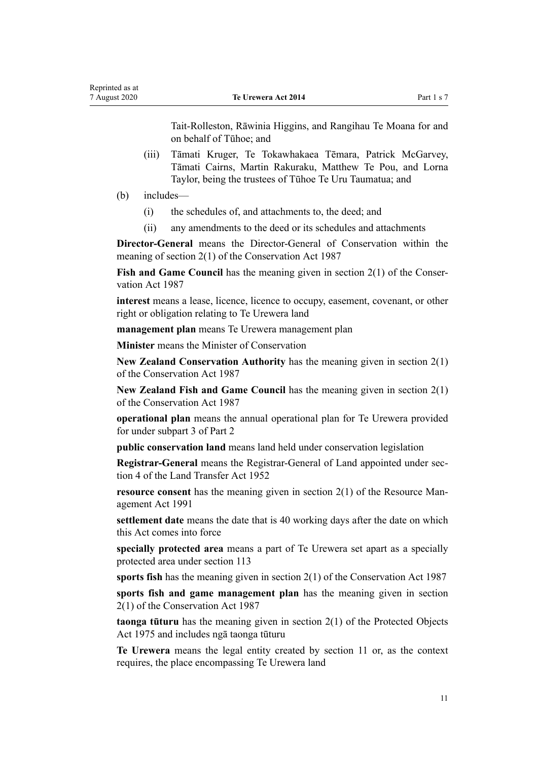Tait-Rolleston, Rāwinia Higgins, and Rangihau Te Moana for and on behalf of Tūhoe; and

- (iii) Tāmati Kruger, Te Tokawhakaea Tēmara, Patrick McGarvey, Tāmati Cairns, Martin Rakuraku, Matthew Te Pou, and Lorna Taylor, being the trustees of Tūhoe Te Uru Taumatua; and
- (b) includes—
	- (i) the schedules of, and attachments to, the deed; and
	- (ii) any amendments to the deed or its schedules and attachments

**Director-General** means the Director-General of Conservation within the meaning of [section 2\(1\)](http://legislation.govt.nz/pdflink.aspx?id=DLM103616) of the Conservation Act 1987

**Fish and Game Council** has the meaning given in [section 2\(1\)](http://legislation.govt.nz/pdflink.aspx?id=DLM103616) of the Conservation Act 1987

**interest** means a lease, licence, licence to occupy, easement, covenant, or other right or obligation relating to Te Urewera land

**management plan** means Te Urewera management plan

**Minister** means the Minister of Conservation

**New Zealand Conservation Authority** has the meaning given in [section 2\(1\)](http://legislation.govt.nz/pdflink.aspx?id=DLM103616) of the Conservation Act 1987

**New Zealand Fish and Game Council** has the meaning given in [section 2\(1\)](http://legislation.govt.nz/pdflink.aspx?id=DLM103616) of the Conservation Act 1987

**operational plan** means the annual operational plan for Te Urewera provided for under [subpart 3](#page-27-0) of Part 2

**public conservation land** means land held under conservation legislation

**Registrar-General** means the Registrar-General of Land appointed under [sec](http://legislation.govt.nz/pdflink.aspx?id=DLM270019)[tion 4](http://legislation.govt.nz/pdflink.aspx?id=DLM270019) of the Land Transfer Act 1952

**resource consent** has the meaning given in [section 2\(1\)](http://legislation.govt.nz/pdflink.aspx?id=DLM230272) of the Resource Management Act 1991

**settlement date** means the date that is 40 working days after the date on which this Act comes into force

**specially protected area** means a part of Te Urewera set apart as a specially protected area under [section 113](#page-58-0)

**sports fish** has the meaning given in [section 2\(1\)](http://legislation.govt.nz/pdflink.aspx?id=DLM103616) of the Conservation Act 1987

**sports fish and game management plan** has the meaning given in [section](http://legislation.govt.nz/pdflink.aspx?id=DLM103616) [2\(1\)](http://legislation.govt.nz/pdflink.aspx?id=DLM103616) of the Conservation Act 1987

**taonga tūturu** has the meaning given in [section 2\(1\)](http://legislation.govt.nz/pdflink.aspx?id=DLM432125) of the Protected Objects Act 1975 and includes ngā taonga tūturu

**Te Urewera** means the legal entity created by [section 11](#page-13-0) or, as the context requires, the place encompassing Te Urewera land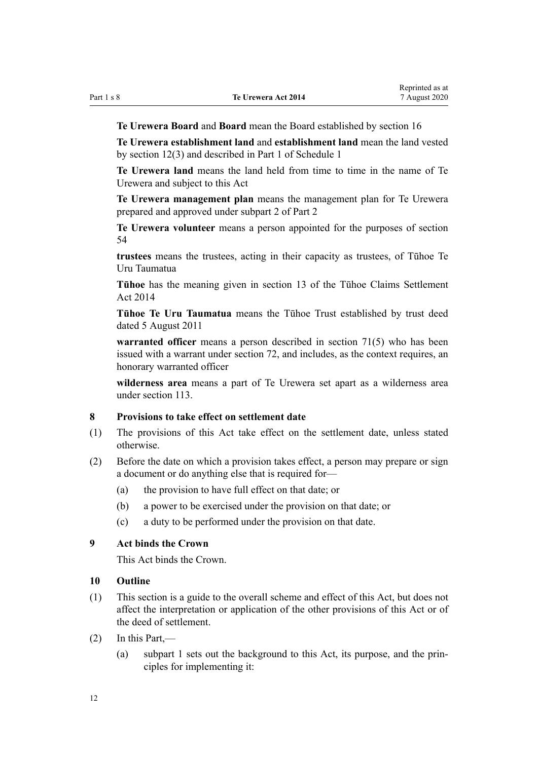<span id="page-11-0"></span>

**Te Urewera Board** and **Board** mean the Board established by [section 16](#page-15-0)

**Te Urewera establishment land** and **establishment land** mean the land vested by [section 12\(3\)](#page-14-0) and described in [Part 1](#page-68-0) of Schedule 1

**Te Urewera land** means the land held from time to time in the name of Te Urewera and subject to this Act

**Te Urewera management plan** means the management plan for Te Urewera prepared and approved under [subpart 2](#page-25-0) of Part 2

**Te Urewera volunteer** means a person appointed for the purposes of [section](#page-29-0) [54](#page-29-0)

**trustees** means the trustees, acting in their capacity as trustees, of Tūhoe Te Uru Taumatua

**Tūhoe** has the meaning given in [section 13](http://legislation.govt.nz/pdflink.aspx?id=DLM5481318) of the Tūhoe Claims Settlement Act 2014

**Tūhoe Te Uru Taumatua** means the Tūhoe Trust established by trust deed dated 5 August 2011

**warranted officer** means a person described in [section 71\(5\)](#page-37-0) who has been issued with a warrant under [section 72,](#page-37-0) and includes, as the context requires, an honorary warranted officer

**wilderness area** means a part of Te Urewera set apart as a wilderness area under [section 113.](#page-58-0)

## **8 Provisions to take effect on settlement date**

- (1) The provisions of this Act take effect on the settlement date, unless stated otherwise.
- (2) Before the date on which a provision takes effect, a person may prepare or sign a document or do anything else that is required for—
	- (a) the provision to have full effect on that date; or
	- (b) a power to be exercised under the provision on that date; or
	- (c) a duty to be performed under the provision on that date.

## **9 Act binds the Crown**

This Act binds the Crown.

#### **10 Outline**

- (1) This section is a guide to the overall scheme and effect of this Act, but does not affect the interpretation or application of the other provisions of this Act or of the deed of settlement.
- (2) In this Part,—
	- (a) [subpart 1](#page-7-0) sets out the background to this Act, its purpose, and the principles for implementing it: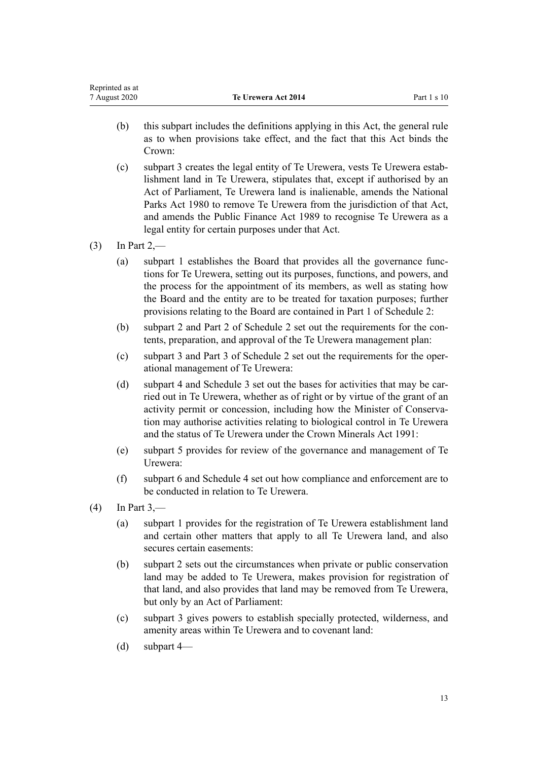- (b) this subpart includes the definitions applying in this Act, the general rule as to when provisions take effect, and the fact that this Act binds the Crown:
- (c) [subpart 3](#page-13-0) creates the legal entity of Te Urewera, vests Te Urewera establishment land in Te Urewera, stipulates that, except if authorised by an Act of Parliament, Te Urewera land is inalienable, amends the [National](http://legislation.govt.nz/pdflink.aspx?id=DLM36962) [Parks Act 1980](http://legislation.govt.nz/pdflink.aspx?id=DLM36962) to remove Te Urewera from the jurisdiction of that Act, and amends the [Public Finance Act 1989](http://legislation.govt.nz/pdflink.aspx?id=DLM160808) to recognise Te Urewera as a legal entity for certain purposes under that Act.
- $(3)$  In [Part 2,](#page-15-0)
	- (a) [subpart 1](#page-7-0) establishes the Board that provides all the governance functions for Te Urewera, setting out its purposes, functions, and powers, and the process for the appointment of its members, as well as stating how the Board and the entity are to be treated for taxation purposes; further provisions relating to the Board are contained in [Part 1](#page-70-0) of Schedule 2:
	- (b) [subpart 2](#page-25-0) and [Part 2](#page-76-0) of Schedule 2 set out the requirements for the contents, preparation, and approval of the Te Urewera management plan:
	- (c) [subpart 3](#page-27-0) and [Part 3](#page-79-0) of Schedule 2 set out the requirements for the operational management of Te Urewera:
	- (d) [subpart 4](#page-30-0) and Schedule 3 set out the bases for activities that may be carried out in Te Urewera, whether as of right or by virtue of the grant of an activity permit or concession, including how the Minister of Conservation may authorise activities relating to biological control in Te Urewera and the status of Te Urewera under the [Crown Minerals Act 1991](http://legislation.govt.nz/pdflink.aspx?id=DLM242535):
	- (e) [subpart 5](#page-33-0) provides for review of the governance and management of Te Urewera:
	- (f) [subpart 6](#page-35-0) and [Schedule 4](#page-99-0) set out how compliance and enforcement are to be conducted in relation to Te Urewera.
- $(4)$  In [Part 3,](#page-43-0)
	- (a) [subpart 1](#page-44-0) provides for the registration of Te Urewera establishment land and certain other matters that apply to all Te Urewera land, and also secures certain easements:
	- (b) [subpart 2](#page-49-0) sets out the circumstances when private or public conservation land may be added to Te Urewera, makes provision for registration of that land, and also provides that land may be removed from Te Urewera, but only by an Act of Parliament:
	- (c) [subpart 3](#page-58-0) gives powers to establish specially protected, wilderness, and amenity areas within Te Urewera and to covenant land:
	- (d) [subpart 4—](#page-62-0)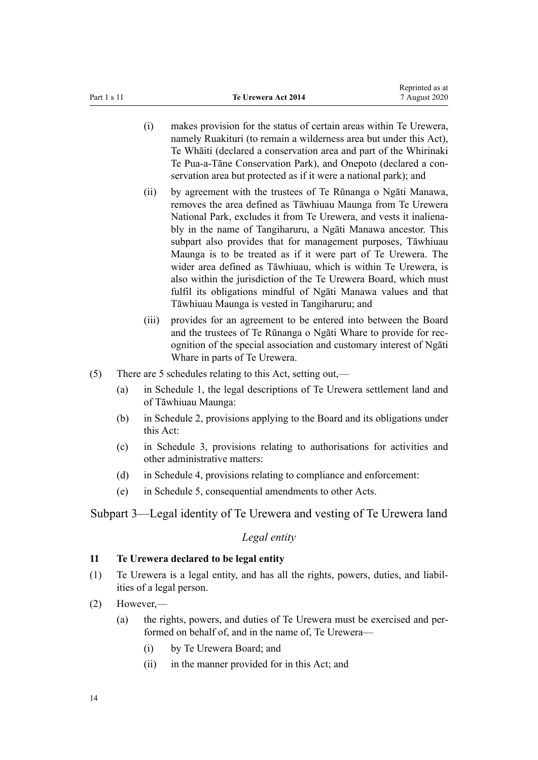- <span id="page-13-0"></span>(i) makes provision for the status of certain areas within Te Urewera, namely Ruakituri (to remain a wilderness area but under this Act), Te Whāiti (declared a conservation area and part of the Whirinaki Te Pua-a-Tāne Conservation Park), and Onepoto (declared a conservation area but protected as if it were a national park); and
- (ii) by agreement with the trustees of Te Rūnanga o Ngāti Manawa, removes the area defined as Tāwhiuau Maunga from Te Urewera National Park, excludes it from Te Urewera, and vests it inalienably in the name of Tangiharuru, a Ngāti Manawa ancestor. This subpart also provides that for management purposes, Tāwhiuau Maunga is to be treated as if it were part of Te Urewera. The wider area defined as Tāwhiuau, which is within Te Urewera, is also within the jurisdiction of the Te Urewera Board, which must fulfil its obligations mindful of Ngāti Manawa values and that Tāwhiuau Maunga is vested in Tangiharuru; and
- (iii) provides for an agreement to be entered into between the Board and the trustees of Te Rūnanga o Ngāti Whare to provide for recognition of the special association and customary interest of Ngāti Whare in parts of Te Urewera.
- (5) There are 5 schedules relating to this Act, setting out,—
	- (a) in [Schedule 1,](#page-68-0) the legal descriptions of Te Urewera settlement land and of Tāwhiuau Maunga:
	- (b) in [Schedule 2](#page-69-0), provisions applying to the Board and its obligations under this Act:
	- (c) in [Schedule 3,](#page-80-0) provisions relating to authorisations for activities and other administrative matters:
	- (d) in [Schedule 4,](#page-99-0) provisions relating to compliance and enforcement:
	- (e) in [Schedule 5,](#page-112-0) consequential amendments to other Acts.

Subpart 3—Legal identity of Te Urewera and vesting of Te Urewera land

#### *Legal entity*

### **11 Te Urewera declared to be legal entity**

- (1) Te Urewera is a legal entity, and has all the rights, powers, duties, and liabilities of a legal person.
- (2) However,—
	- (a) the rights, powers, and duties of Te Urewera must be exercised and performed on behalf of, and in the name of, Te Urewera—
		- (i) by Te Urewera Board; and
		- (ii) in the manner provided for in this Act; and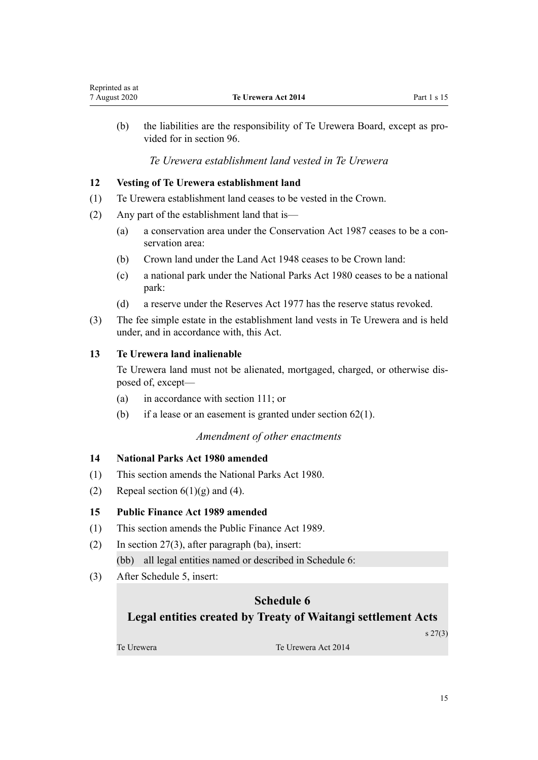<span id="page-14-0"></span>(b) the liabilities are the responsibility of Te Urewera Board, except as provided for in [section 96.](#page-47-0)

## *Te Urewera establishment land vested in Te Urewera*

#### **12 Vesting of Te Urewera establishment land**

- (1) Te Urewera establishment land ceases to be vested in the Crown.
- (2) Any part of the establishment land that is—
	- (a) a conservation area under the [Conservation Act 1987](http://legislation.govt.nz/pdflink.aspx?id=DLM103609) ceases to be a conservation area:
	- (b) Crown land under the [Land Act 1948](http://legislation.govt.nz/pdflink.aspx?id=DLM250585) ceases to be Crown land:
	- (c) a national park under the [National Parks Act 1980](http://legislation.govt.nz/pdflink.aspx?id=DLM36962) ceases to be a national park:
	- (d) a reserve under the [Reserves Act 1977](http://legislation.govt.nz/pdflink.aspx?id=DLM444304) has the reserve status revoked.
- (3) The fee simple estate in the establishment land vests in Te Urewera and is held under, and in accordance with, this Act.

## **13 Te Urewera land inalienable**

Te Urewera land must not be alienated, mortgaged, charged, or otherwise disposed of, except—

- (a) in accordance with [section 111;](#page-56-0) or
- (b) if a lease or an easement is granted under section  $62(1)$ .

#### *Amendment of other enactments*

## **14 National Parks Act 1980 amended**

- (1) This section amends the [National Parks Act 1980](http://legislation.govt.nz/pdflink.aspx?id=DLM36962).
- (2) Repeal section  $6(1)(g)$  and (4).

#### **15 Public Finance Act 1989 amended**

- (1) This section amends the [Public Finance Act 1989.](http://legislation.govt.nz/pdflink.aspx?id=DLM160808)
- (2) In [section 27\(3\)](http://legislation.govt.nz/pdflink.aspx?id=DLM162017), after paragraph (ba), insert: (bb) all legal entities named or described in Schedule 6:
- (3) After [Schedule 5](http://legislation.govt.nz/pdflink.aspx?id=DLM163652), insert:

# **Schedule 6 Legal entities created by Treaty of Waitangi settlement Acts**

s 27(3)

Te Urewera Te Urewera Act 2014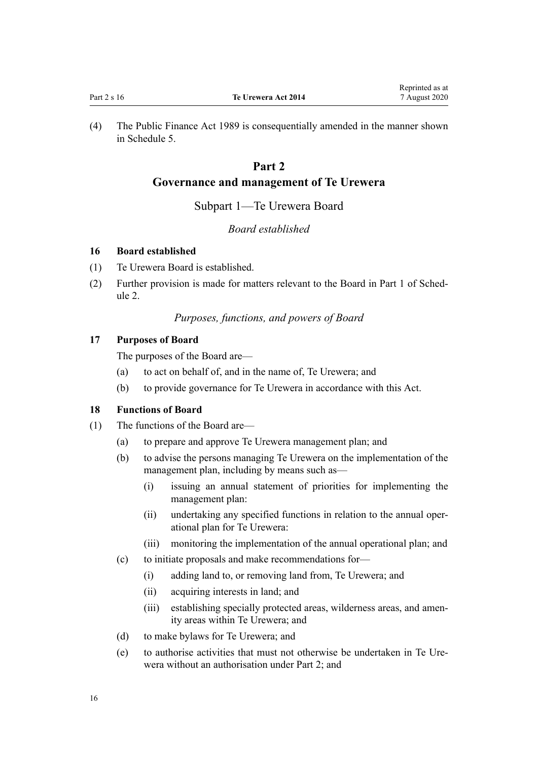<span id="page-15-0"></span>(4) The [Public Finance Act 1989](http://legislation.govt.nz/pdflink.aspx?id=DLM160808) is consequentially amended in the manner shown in [Schedule 5.](#page-112-0)

## **Part 2**

## **Governance and management of Te Urewera**

## Subpart 1—Te Urewera Board

## *Board established*

#### **16 Board established**

- (1) Te Urewera Board is established.
- (2) Further provision is made for matters relevant to the Board in [Part 1](#page-70-0) of Schedule 2.

## *Purposes, functions, and powers of Board*

## **17 Purposes of Board**

The purposes of the Board are—

- (a) to act on behalf of, and in the name of, Te Urewera; and
- (b) to provide governance for Te Urewera in accordance with this Act.

#### **18 Functions of Board**

- (1) The functions of the Board are—
	- (a) to prepare and approve Te Urewera management plan; and
	- (b) to advise the persons managing Te Urewera on the implementation of the management plan, including by means such as—
		- (i) issuing an annual statement of priorities for implementing the management plan:
		- (ii) undertaking any specified functions in relation to the annual operational plan for Te Urewera:
		- (iii) monitoring the implementation of the annual operational plan; and
	- (c) to initiate proposals and make recommendations for—
		- (i) adding land to, or removing land from, Te Urewera; and
		- (ii) acquiring interests in land; and
		- (iii) establishing specially protected areas, wilderness areas, and amenity areas within Te Urewera; and
	- (d) to make bylaws for Te Urewera; and
	- (e) to authorise activities that must not otherwise be undertaken in Te Urewera without an authorisation under Part 2; and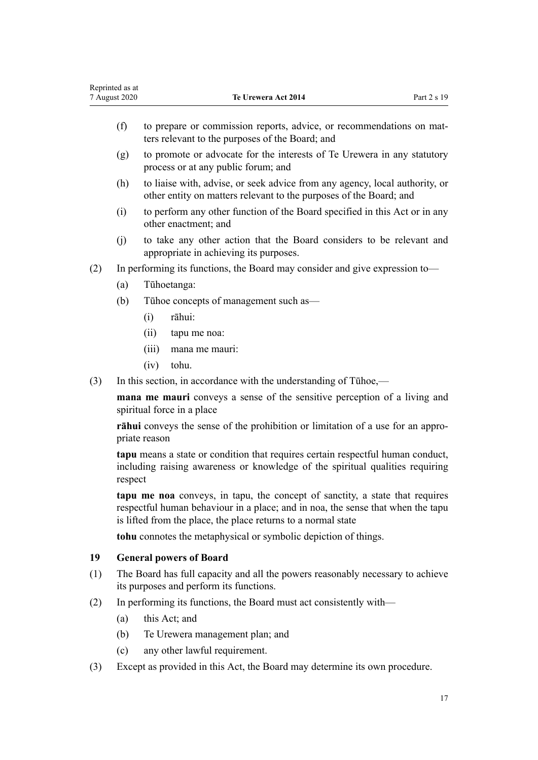|     | (f)                                                                                              |                                                                                                                                                   | to prepare or commission reports, advice, or recommendations on mat-<br>ters relevant to the purposes of the Board; and                                                                                                          |    |  |  |
|-----|--------------------------------------------------------------------------------------------------|---------------------------------------------------------------------------------------------------------------------------------------------------|----------------------------------------------------------------------------------------------------------------------------------------------------------------------------------------------------------------------------------|----|--|--|
|     | (g)                                                                                              |                                                                                                                                                   | to promote or advocate for the interests of Te Urewera in any statutory<br>process or at any public forum; and                                                                                                                   |    |  |  |
|     | (h)                                                                                              | to liaise with, advise, or seek advice from any agency, local authority, or<br>other entity on matters relevant to the purposes of the Board; and |                                                                                                                                                                                                                                  |    |  |  |
|     | (i)                                                                                              |                                                                                                                                                   | to perform any other function of the Board specified in this Act or in any<br>other enactment; and                                                                                                                               |    |  |  |
|     | (j)                                                                                              |                                                                                                                                                   | to take any other action that the Board considers to be relevant and<br>appropriate in achieving its purposes.                                                                                                                   |    |  |  |
| (2) |                                                                                                  |                                                                                                                                                   | In performing its functions, the Board may consider and give expression to-                                                                                                                                                      |    |  |  |
|     | (a)                                                                                              |                                                                                                                                                   | Tūhoetanga:                                                                                                                                                                                                                      |    |  |  |
|     | (b)                                                                                              |                                                                                                                                                   | Tūhoe concepts of management such as—                                                                                                                                                                                            |    |  |  |
|     |                                                                                                  | (i)                                                                                                                                               | rāhui:                                                                                                                                                                                                                           |    |  |  |
|     |                                                                                                  | (ii)                                                                                                                                              | tapu me noa:                                                                                                                                                                                                                     |    |  |  |
|     |                                                                                                  | (iii)                                                                                                                                             | mana me mauri:                                                                                                                                                                                                                   |    |  |  |
|     |                                                                                                  | (iv)                                                                                                                                              | tohu.                                                                                                                                                                                                                            |    |  |  |
| (3) |                                                                                                  | In this section, in accordance with the understanding of Tunnoe,—                                                                                 |                                                                                                                                                                                                                                  |    |  |  |
|     |                                                                                                  |                                                                                                                                                   | mana me mauri conveys a sense of the sensitive perception of a living and<br>spiritual force in a place                                                                                                                          |    |  |  |
|     | rāhui conveys the sense of the prohibition or limitation of a use for an appro-<br>priate reason |                                                                                                                                                   |                                                                                                                                                                                                                                  |    |  |  |
|     | respect                                                                                          |                                                                                                                                                   | tapu means a state or condition that requires certain respectful human conduct,<br>including raising awareness or knowledge of the spiritual qualities requiring                                                                 |    |  |  |
|     |                                                                                                  |                                                                                                                                                   | tapu me noa conveys, in tapu, the concept of sanctity, a state that requires<br>respectful human behaviour in a place; and in noa, the sense that when the tapu<br>is lifted from the place, the place returns to a normal state |    |  |  |
|     | <b>tohu</b> connotes the metaphysical or symbolic depiction of things.                           |                                                                                                                                                   |                                                                                                                                                                                                                                  |    |  |  |
| 19  |                                                                                                  |                                                                                                                                                   | <b>General powers of Board</b>                                                                                                                                                                                                   |    |  |  |
| (1) |                                                                                                  |                                                                                                                                                   | The Board has full capacity and all the powers reasonably necessary to achieve<br>its purposes and perform its functions.                                                                                                        |    |  |  |
| (2) |                                                                                                  |                                                                                                                                                   | In performing its functions, the Board must act consistently with-                                                                                                                                                               |    |  |  |
|     | (a)                                                                                              |                                                                                                                                                   | this Act; and                                                                                                                                                                                                                    |    |  |  |
|     | (b)                                                                                              |                                                                                                                                                   | Te Urewera management plan; and                                                                                                                                                                                                  |    |  |  |
|     | (c)                                                                                              |                                                                                                                                                   | any other lawful requirement.                                                                                                                                                                                                    |    |  |  |
| (3) |                                                                                                  |                                                                                                                                                   | Except as provided in this Act, the Board may determine its own procedure.                                                                                                                                                       |    |  |  |
|     |                                                                                                  |                                                                                                                                                   |                                                                                                                                                                                                                                  |    |  |  |
|     |                                                                                                  |                                                                                                                                                   |                                                                                                                                                                                                                                  | 17 |  |  |

**Te Urewera Act 2014** Part 2 s 19

<span id="page-16-0"></span>Reprinted as at<br>7 August 2020

17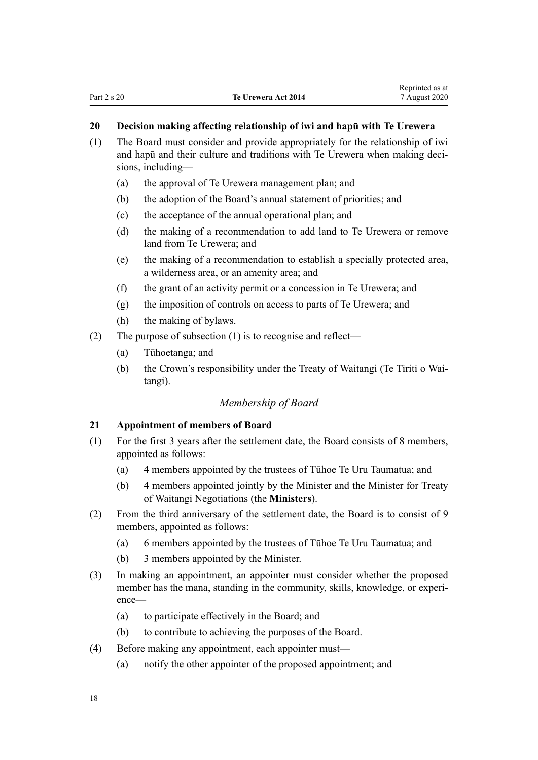## <span id="page-17-0"></span>**20 Decision making affecting relationship of iwi and hapū with Te Urewera**

- (1) The Board must consider and provide appropriately for the relationship of iwi and hapū and their culture and traditions with Te Urewera when making decisions, including—
	- (a) the approval of Te Urewera management plan; and
	- (b) the adoption of the Board's annual statement of priorities; and
	- (c) the acceptance of the annual operational plan; and
	- (d) the making of a recommendation to add land to Te Urewera or remove land from Te Urewera; and
	- (e) the making of a recommendation to establish a specially protected area, a wilderness area, or an amenity area; and
	- (f) the grant of an activity permit or a concession in Te Urewera; and
	- (g) the imposition of controls on access to parts of Te Urewera; and
	- (h) the making of bylaws.
- (2) The purpose of subsection (1) is to recognise and reflect—
	- (a) Tūhoetanga; and
	- (b) the Crown's responsibility under the Treaty of Waitangi (Te Tiriti o Waitangi).

## *Membership of Board*

#### **21 Appointment of members of Board**

- (1) For the first 3 years after the settlement date, the Board consists of 8 members, appointed as follows:
	- (a) 4 members appointed by the trustees of Tūhoe Te Uru Taumatua; and
	- (b) 4 members appointed jointly by the Minister and the Minister for Treaty of Waitangi Negotiations (the **Ministers**).
- (2) From the third anniversary of the settlement date, the Board is to consist of 9 members, appointed as follows:
	- (a) 6 members appointed by the trustees of Tūhoe Te Uru Taumatua; and
	- (b) 3 members appointed by the Minister.
- (3) In making an appointment, an appointer must consider whether the proposed member has the mana, standing in the community, skills, knowledge, or experience—
	- (a) to participate effectively in the Board; and
	- (b) to contribute to achieving the purposes of the Board.
- (4) Before making any appointment, each appointer must—
	- (a) notify the other appointer of the proposed appointment; and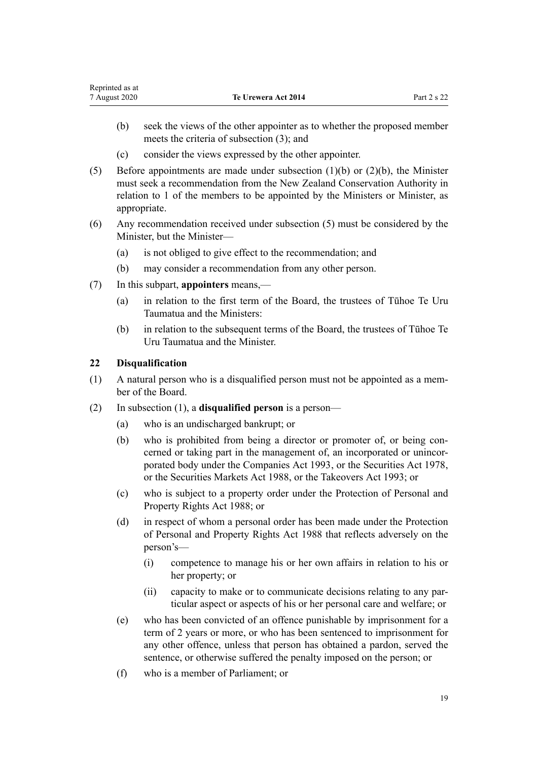- <span id="page-18-0"></span>(b) seek the views of the other appointer as to whether the proposed member meets the criteria of subsection (3); and
- (c) consider the views expressed by the other appointer.
- (5) Before appointments are made under subsection (1)(b) or (2)(b), the Minister must seek a recommendation from the New Zealand Conservation Authority in relation to 1 of the members to be appointed by the Ministers or Minister, as appropriate.
- (6) Any recommendation received under subsection (5) must be considered by the Minister, but the Minister—
	- (a) is not obliged to give effect to the recommendation; and
	- (b) may consider a recommendation from any other person.
- (7) In this subpart, **appointers** means,—
	- (a) in relation to the first term of the Board, the trustees of Tūhoe Te Uru Taumatua and the Ministers:
	- (b) in relation to the subsequent terms of the Board, the trustees of Tūhoe Te Uru Taumatua and the Minister.

### **22 Disqualification**

- (1) A natural person who is a disqualified person must not be appointed as a member of the Board.
- (2) In subsection (1), a **disqualified person** is a person—
	- (a) who is an undischarged bankrupt; or
	- (b) who is prohibited from being a director or promoter of, or being concerned or taking part in the management of, an incorporated or unincorporated body under the [Companies Act 1993,](http://legislation.govt.nz/pdflink.aspx?id=DLM319569) or the [Securities Act 1978](http://legislation.govt.nz/pdflink.aspx?id=DLM25999), or the [Securities Markets Act 1988,](http://legislation.govt.nz/pdflink.aspx?id=DLM139726) or the [Takeovers Act 1993](http://legislation.govt.nz/pdflink.aspx?id=DLM325508); or
	- (c) who is subject to a property order under the [Protection of Personal and](http://legislation.govt.nz/pdflink.aspx?id=DLM126527) [Property Rights Act 1988](http://legislation.govt.nz/pdflink.aspx?id=DLM126527); or
	- (d) in respect of whom a personal order has been made under the [Protection](http://legislation.govt.nz/pdflink.aspx?id=DLM126527) [of Personal and Property Rights Act 1988](http://legislation.govt.nz/pdflink.aspx?id=DLM126527) that reflects adversely on the person's—
		- (i) competence to manage his or her own affairs in relation to his or her property; or
		- (ii) capacity to make or to communicate decisions relating to any particular aspect or aspects of his or her personal care and welfare; or
	- (e) who has been convicted of an offence punishable by imprisonment for a term of 2 years or more, or who has been sentenced to imprisonment for any other offence, unless that person has obtained a pardon, served the sentence, or otherwise suffered the penalty imposed on the person; or
	- (f) who is a member of Parliament; or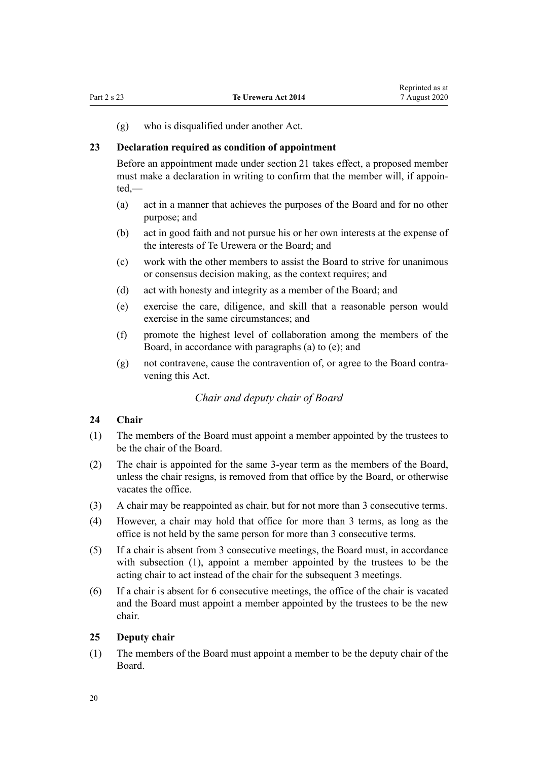<span id="page-19-0"></span>(g) who is disqualified under another Act.

#### **23 Declaration required as condition of appointment**

Before an appointment made under [section 21](#page-17-0) takes effect, a proposed member must make a declaration in writing to confirm that the member will, if appointed,—

- (a) act in a manner that achieves the purposes of the Board and for no other purpose; and
- (b) act in good faith and not pursue his or her own interests at the expense of the interests of Te Urewera or the Board; and
- (c) work with the other members to assist the Board to strive for unanimous or consensus decision making, as the context requires; and
- (d) act with honesty and integrity as a member of the Board; and
- (e) exercise the care, diligence, and skill that a reasonable person would exercise in the same circumstances; and
- (f) promote the highest level of collaboration among the members of the Board, in accordance with paragraphs (a) to (e); and
- (g) not contravene, cause the contravention of, or agree to the Board contravening this Act.

#### *Chair and deputy chair of Board*

#### **24 Chair**

- (1) The members of the Board must appoint a member appointed by the trustees to be the chair of the Board.
- (2) The chair is appointed for the same 3-year term as the members of the Board, unless the chair resigns, is removed from that office by the Board, or otherwise vacates the office.
- (3) A chair may be reappointed as chair, but for not more than 3 consecutive terms.
- (4) However, a chair may hold that office for more than 3 terms, as long as the office is not held by the same person for more than 3 consecutive terms.
- (5) If a chair is absent from 3 consecutive meetings, the Board must, in accordance with subsection (1), appoint a member appointed by the trustees to be the acting chair to act instead of the chair for the subsequent 3 meetings.
- (6) If a chair is absent for 6 consecutive meetings, the office of the chair is vacated and the Board must appoint a member appointed by the trustees to be the new chair.

#### **25 Deputy chair**

(1) The members of the Board must appoint a member to be the deputy chair of the Board.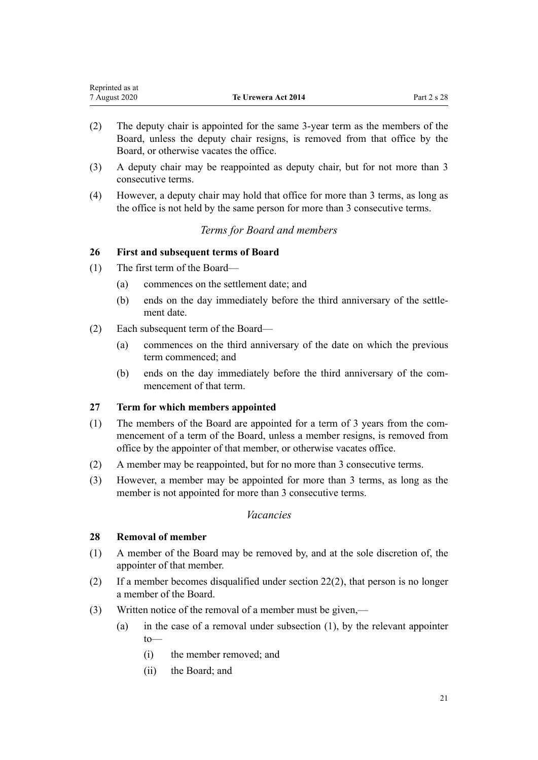<span id="page-20-0"></span>

| Reprinted as at |                     |             |
|-----------------|---------------------|-------------|
| 7 August 2020   | Te Urewera Act 2014 | Part 2 s 28 |

- (2) The deputy chair is appointed for the same 3-year term as the members of the Board, unless the deputy chair resigns, is removed from that office by the Board, or otherwise vacates the office.
- (3) A deputy chair may be reappointed as deputy chair, but for not more than 3 consecutive terms.
- (4) However, a deputy chair may hold that office for more than 3 terms, as long as the office is not held by the same person for more than 3 consecutive terms.

## *Terms for Board and members*

## **26 First and subsequent terms of Board**

- (1) The first term of the Board—
	- (a) commences on the settlement date; and
	- (b) ends on the day immediately before the third anniversary of the settlement date.
- (2) Each subsequent term of the Board—
	- (a) commences on the third anniversary of the date on which the previous term commenced; and
	- (b) ends on the day immediately before the third anniversary of the commencement of that term.

## **27 Term for which members appointed**

- (1) The members of the Board are appointed for a term of 3 years from the commencement of a term of the Board, unless a member resigns, is removed from office by the appointer of that member, or otherwise vacates office.
- (2) A member may be reappointed, but for no more than 3 consecutive terms.
- (3) However, a member may be appointed for more than 3 terms, as long as the member is not appointed for more than 3 consecutive terms.

#### *Vacancies*

#### **28 Removal of member**

- (1) A member of the Board may be removed by, and at the sole discretion of, the appointer of that member.
- (2) If a member becomes disqualified under [section 22\(2\),](#page-18-0) that person is no longer a member of the Board.
- (3) Written notice of the removal of a member must be given,—
	- (a) in the case of a removal under subsection (1), by the relevant appointer to—
		- (i) the member removed; and
		- (ii) the Board; and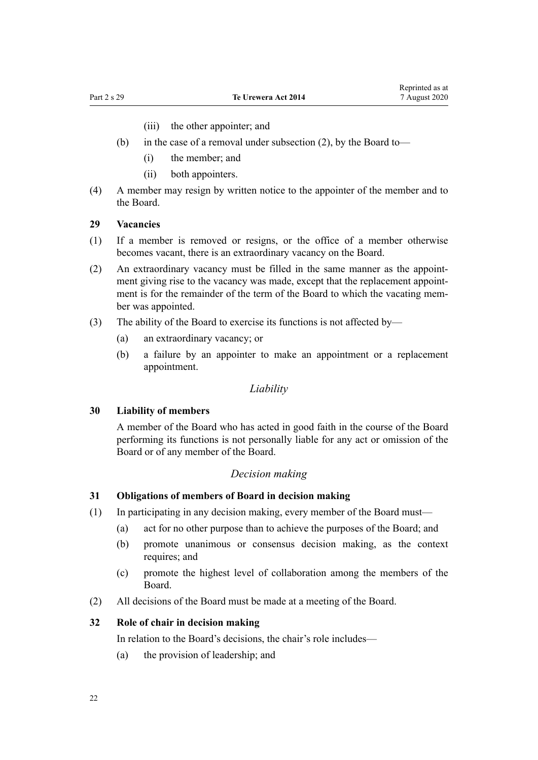(iii) the other appointer; and

- <span id="page-21-0"></span>(b) in the case of a removal under subsection (2), by the Board to—
	- (i) the member; and
	- (ii) both appointers.
- (4) A member may resign by written notice to the appointer of the member and to the Board.

#### **29 Vacancies**

- (1) If a member is removed or resigns, or the office of a member otherwise becomes vacant, there is an extraordinary vacancy on the Board.
- (2) An extraordinary vacancy must be filled in the same manner as the appointment giving rise to the vacancy was made, except that the replacement appointment is for the remainder of the term of the Board to which the vacating member was appointed.
- (3) The ability of the Board to exercise its functions is not affected by—
	- (a) an extraordinary vacancy; or
	- (b) a failure by an appointer to make an appointment or a replacement appointment.

#### *Liability*

#### **30 Liability of members**

A member of the Board who has acted in good faith in the course of the Board performing its functions is not personally liable for any act or omission of the Board or of any member of the Board.

#### *Decision making*

#### **31 Obligations of members of Board in decision making**

- (1) In participating in any decision making, every member of the Board must—
	- (a) act for no other purpose than to achieve the purposes of the Board; and
	- (b) promote unanimous or consensus decision making, as the context requires; and
	- (c) promote the highest level of collaboration among the members of the Board.
- (2) All decisions of the Board must be made at a meeting of the Board.

#### **32 Role of chair in decision making**

In relation to the Board's decisions, the chair's role includes—

(a) the provision of leadership; and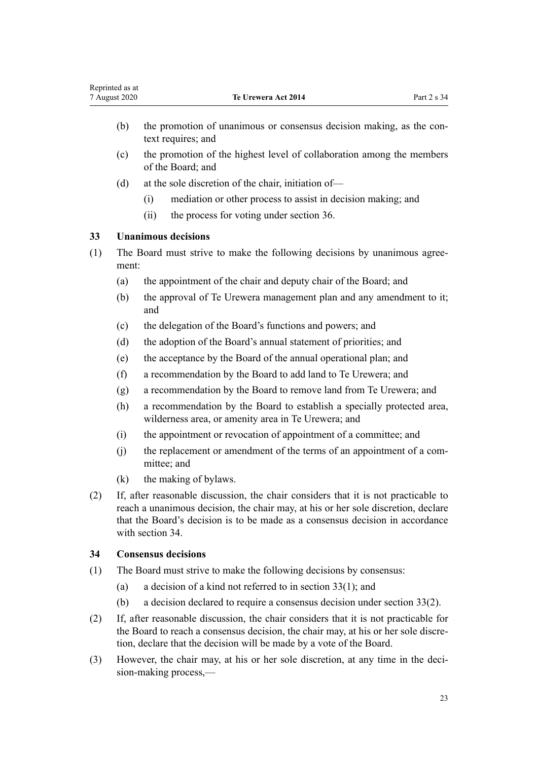- <span id="page-22-0"></span>(b) the promotion of unanimous or consensus decision making, as the context requires; and
- (c) the promotion of the highest level of collaboration among the members of the Board; and
- (d) at the sole discretion of the chair, initiation of—
	- (i) mediation or other process to assist in decision making; and
	- (ii) the process for voting under [section 36](#page-23-0).

## **33 Unanimous decisions**

- (1) The Board must strive to make the following decisions by unanimous agreement:
	- (a) the appointment of the chair and deputy chair of the Board; and
	- (b) the approval of Te Urewera management plan and any amendment to it; and
	- (c) the delegation of the Board's functions and powers; and
	- (d) the adoption of the Board's annual statement of priorities; and
	- (e) the acceptance by the Board of the annual operational plan; and
	- (f) a recommendation by the Board to add land to Te Urewera; and
	- (g) a recommendation by the Board to remove land from Te Urewera; and
	- (h) a recommendation by the Board to establish a specially protected area, wilderness area, or amenity area in Te Urewera; and
	- (i) the appointment or revocation of appointment of a committee; and
	- (j) the replacement or amendment of the terms of an appointment of a committee; and
	- (k) the making of bylaws.
- (2) If, after reasonable discussion, the chair considers that it is not practicable to reach a unanimous decision, the chair may, at his or her sole discretion, declare that the Board's decision is to be made as a consensus decision in accordance with section 34.

## **34 Consensus decisions**

- (1) The Board must strive to make the following decisions by consensus:
	- (a) a decision of a kind not referred to in section  $33(1)$ ; and
	- (b) a decision declared to require a consensus decision under section 33(2).
- (2) If, after reasonable discussion, the chair considers that it is not practicable for the Board to reach a consensus decision, the chair may, at his or her sole discretion, declare that the decision will be made by a vote of the Board.
- (3) However, the chair may, at his or her sole discretion, at any time in the decision-making process,—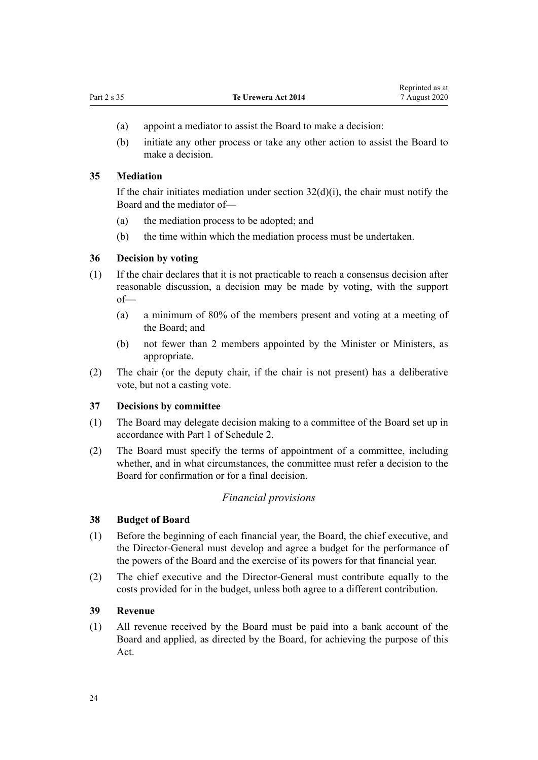- <span id="page-23-0"></span>(a) appoint a mediator to assist the Board to make a decision:
- (b) initiate any other process or take any other action to assist the Board to make a decision.

#### **35 Mediation**

If the chair initiates mediation under section  $32(d)(i)$ , the chair must notify the Board and the mediator of—

- (a) the mediation process to be adopted; and
- (b) the time within which the mediation process must be undertaken.

#### **36 Decision by voting**

- (1) If the chair declares that it is not practicable to reach a consensus decision after reasonable discussion, a decision may be made by voting, with the support of—
	- (a) a minimum of 80% of the members present and voting at a meeting of the Board; and
	- (b) not fewer than 2 members appointed by the Minister or Ministers, as appropriate.
- (2) The chair (or the deputy chair, if the chair is not present) has a deliberative vote, but not a casting vote.

## **37 Decisions by committee**

- (1) The Board may delegate decision making to a committee of the Board set up in accordance with [Part 1](#page-70-0) of Schedule 2.
- (2) The Board must specify the terms of appointment of a committee, including whether, and in what circumstances, the committee must refer a decision to the Board for confirmation or for a final decision.

#### *Financial provisions*

#### **38 Budget of Board**

- (1) Before the beginning of each financial year, the Board, the chief executive, and the Director-General must develop and agree a budget for the performance of the powers of the Board and the exercise of its powers for that financial year.
- (2) The chief executive and the Director-General must contribute equally to the costs provided for in the budget, unless both agree to a different contribution.

#### **39 Revenue**

(1) All revenue received by the Board must be paid into a bank account of the Board and applied, as directed by the Board, for achieving the purpose of this Act.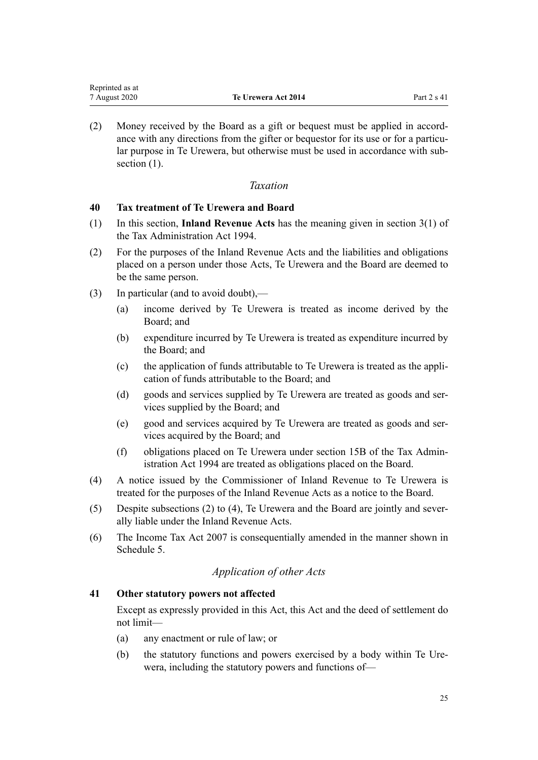<span id="page-24-0"></span>(2) Money received by the Board as a gift or bequest must be applied in accordance with any directions from the gifter or bequestor for its use or for a particular purpose in Te Urewera, but otherwise must be used in accordance with subsection  $(1)$ .

## *Taxation*

### **40 Tax treatment of Te Urewera and Board**

- (1) In this section, **Inland Revenue Acts** has the meaning given in [section 3\(1\)](http://legislation.govt.nz/pdflink.aspx?id=DLM348353) of the Tax Administration Act 1994.
- (2) For the purposes of the Inland Revenue Acts and the liabilities and obligations placed on a person under those Acts, Te Urewera and the Board are deemed to be the same person.
- (3) In particular (and to avoid doubt),—
	- (a) income derived by Te Urewera is treated as income derived by the Board; and
	- (b) expenditure incurred by Te Urewera is treated as expenditure incurred by the Board; and
	- (c) the application of funds attributable to Te Urewera is treated as the application of funds attributable to the Board; and
	- (d) goods and services supplied by Te Urewera are treated as goods and services supplied by the Board; and
	- (e) good and services acquired by Te Urewera are treated as goods and services acquired by the Board; and
	- (f) obligations placed on Te Urewera under [section 15B](http://legislation.govt.nz/pdflink.aspx?id=DLM350173) of the Tax Administration Act 1994 are treated as obligations placed on the Board.
- (4) A notice issued by the Commissioner of Inland Revenue to Te Urewera is treated for the purposes of the Inland Revenue Acts as a notice to the Board.
- (5) Despite subsections (2) to (4), Te Urewera and the Board are jointly and severally liable under the Inland Revenue Acts.
- (6) The [Income Tax Act 2007](http://legislation.govt.nz/pdflink.aspx?id=DLM1512300) is consequentially amended in the manner shown in [Schedule 5.](#page-112-0)

## *Application of other Acts*

#### **41 Other statutory powers not affected**

Except as expressly provided in this Act, this Act and the deed of settlement do not limit—

- (a) any enactment or rule of law; or
- (b) the statutory functions and powers exercised by a body within Te Urewera, including the statutory powers and functions of—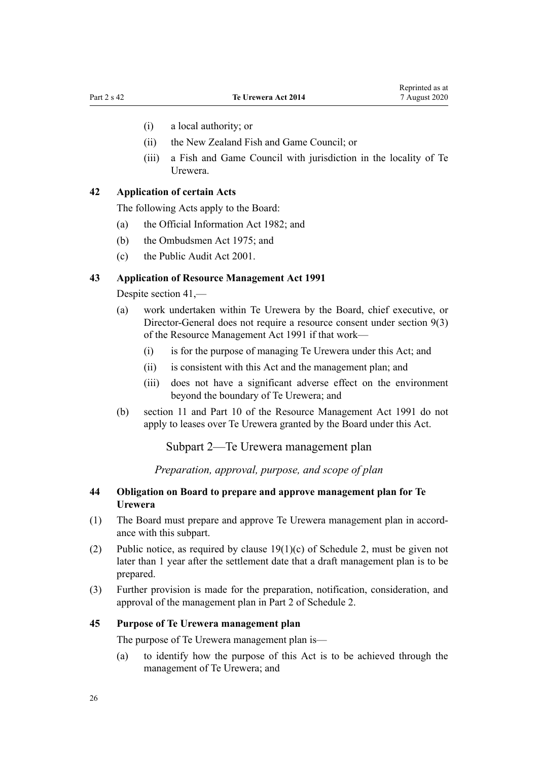- <span id="page-25-0"></span>(i) a local authority; or
- (ii) the New Zealand Fish and Game Council; or
- (iii) a Fish and Game Council with jurisdiction in the locality of Te Urewera.

## **42 Application of certain Acts**

The following Acts apply to the Board:

- (a) the [Official Information Act 1982;](http://legislation.govt.nz/pdflink.aspx?id=DLM64784) and
- (b) the [Ombudsmen Act 1975](http://legislation.govt.nz/pdflink.aspx?id=DLM430983); and
- (c) the [Public Audit Act 2001.](http://legislation.govt.nz/pdflink.aspx?id=DLM88540)

#### **43 Application of Resource Management Act 1991**

Despite [section 41](#page-24-0),—

- (a) work undertaken within Te Urewera by the Board, chief executive, or Director-General does not require a resource consent under [section 9\(3\)](http://legislation.govt.nz/pdflink.aspx?id=DLM231918) of the Resource Management Act 1991 if that work—
	- (i) is for the purpose of managing Te Urewera under this Act; and
	- (ii) is consistent with this Act and the management plan; and
	- (iii) does not have a significant adverse effect on the environment beyond the boundary of Te Urewera; and
- (b) [section 11](http://legislation.govt.nz/pdflink.aspx?id=DLM231942) and [Part 10](http://legislation.govt.nz/pdflink.aspx?id=DLM236786) of the Resource Management Act 1991 do not apply to leases over Te Urewera granted by the Board under this Act.

Subpart 2—Te Urewera management plan

*Preparation, approval, purpose, and scope of plan*

#### **44 Obligation on Board to prepare and approve management plan for Te Urewera**

- (1) The Board must prepare and approve Te Urewera management plan in accordance with this subpart.
- (2) Public notice, as required by clause  $19(1)(c)$  of Schedule 2, must be given not later than 1 year after the settlement date that a draft management plan is to be prepared.
- (3) Further provision is made for the preparation, notification, consideration, and approval of the management plan in [Part 2](#page-76-0) of Schedule 2.

#### **45 Purpose of Te Urewera management plan**

The purpose of Te Urewera management plan is—

(a) to identify how the purpose of this Act is to be achieved through the management of Te Urewera; and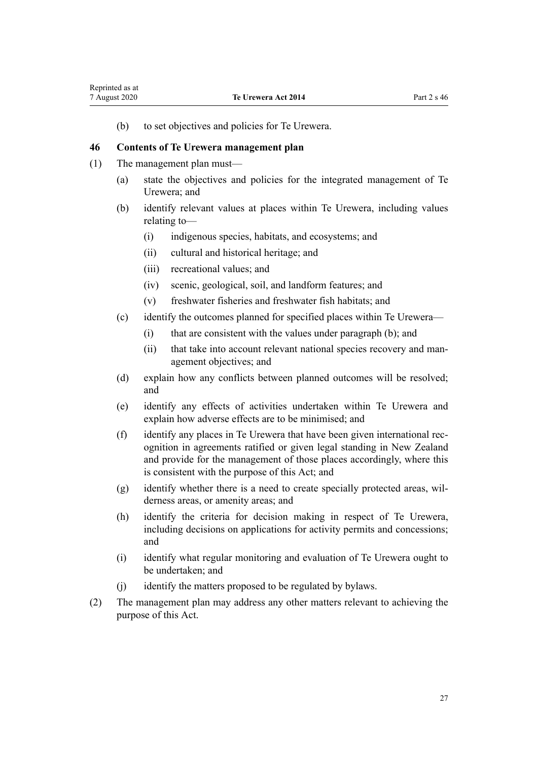<span id="page-26-0"></span>(b) to set objectives and policies for Te Urewera.

#### **46 Contents of Te Urewera management plan**

- (1) The management plan must—
	- (a) state the objectives and policies for the integrated management of Te Urewera; and
	- (b) identify relevant values at places within Te Urewera, including values relating to—
		- (i) indigenous species, habitats, and ecosystems; and
		- (ii) cultural and historical heritage; and
		- (iii) recreational values; and
		- (iv) scenic, geological, soil, and landform features; and
		- (v) freshwater fisheries and freshwater fish habitats; and
	- (c) identify the outcomes planned for specified places within Te Urewera—
		- (i) that are consistent with the values under paragraph (b); and
		- (ii) that take into account relevant national species recovery and management objectives; and
	- (d) explain how any conflicts between planned outcomes will be resolved; and
	- (e) identify any effects of activities undertaken within Te Urewera and explain how adverse effects are to be minimised; and
	- (f) identify any places in Te Urewera that have been given international recognition in agreements ratified or given legal standing in New Zealand and provide for the management of those places accordingly, where this is consistent with the purpose of this Act; and
	- (g) identify whether there is a need to create specially protected areas, wilderness areas, or amenity areas; and
	- (h) identify the criteria for decision making in respect of Te Urewera, including decisions on applications for activity permits and concessions; and
	- (i) identify what regular monitoring and evaluation of Te Urewera ought to be undertaken; and
	- (j) identify the matters proposed to be regulated by bylaws.
- (2) The management plan may address any other matters relevant to achieving the purpose of this Act.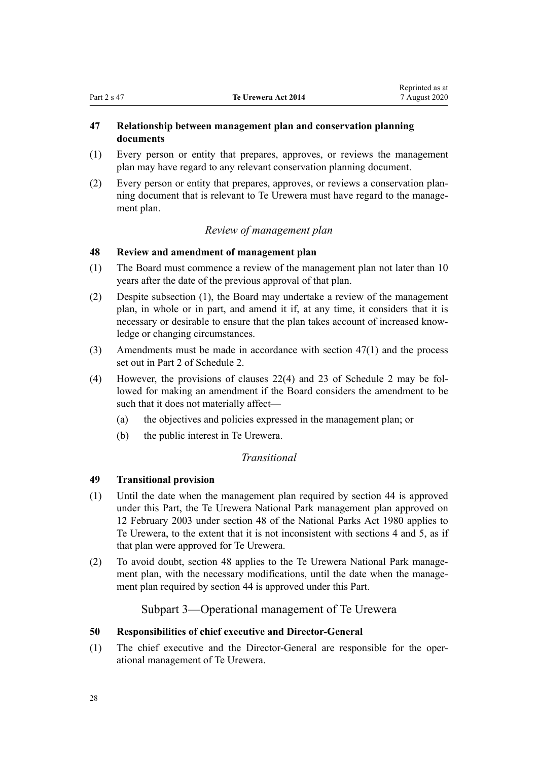## <span id="page-27-0"></span>**47 Relationship between management plan and conservation planning documents**

- (1) Every person or entity that prepares, approves, or reviews the management plan may have regard to any relevant conservation planning document.
- (2) Every person or entity that prepares, approves, or reviews a conservation planning document that is relevant to Te Urewera must have regard to the management plan.

## *Review of management plan*

## **48 Review and amendment of management plan**

- (1) The Board must commence a review of the management plan not later than 10 years after the date of the previous approval of that plan.
- (2) Despite subsection (1), the Board may undertake a review of the management plan, in whole or in part, and amend it if, at any time, it considers that it is necessary or desirable to ensure that the plan takes account of increased knowledge or changing circumstances.
- (3) Amendments must be made in accordance with section 47(1) and the process set out in [Part 2](#page-76-0) of Schedule 2.
- (4) However, the provisions of [clauses 22\(4\)](#page-77-0) and [23](#page-78-0) of Schedule 2 may be followed for making an amendment if the Board considers the amendment to be such that it does not materially affect—
	- (a) the objectives and policies expressed in the management plan; or
	- (b) the public interest in Te Urewera.

## *Transitional*

## **49 Transitional provision**

- (1) Until the date when the management plan required by [section 44](#page-25-0) is approved under this Part, the Te Urewera National Park management plan approved on 12 February 2003 under [section 48](http://legislation.govt.nz/pdflink.aspx?id=DLM38214) of the National Parks Act 1980 applies to Te Urewera, to the extent that it is not inconsistent with [sections 4](#page-8-0) and [5,](#page-8-0) as if that plan were approved for Te Urewera.
- (2) To avoid doubt, section 48 applies to the Te Urewera National Park management plan, with the necessary modifications, until the date when the management plan required by [section 44](#page-25-0) is approved under this Part.

## Subpart 3—Operational management of Te Urewera

#### **50 Responsibilities of chief executive and Director-General**

(1) The chief executive and the Director-General are responsible for the operational management of Te Urewera.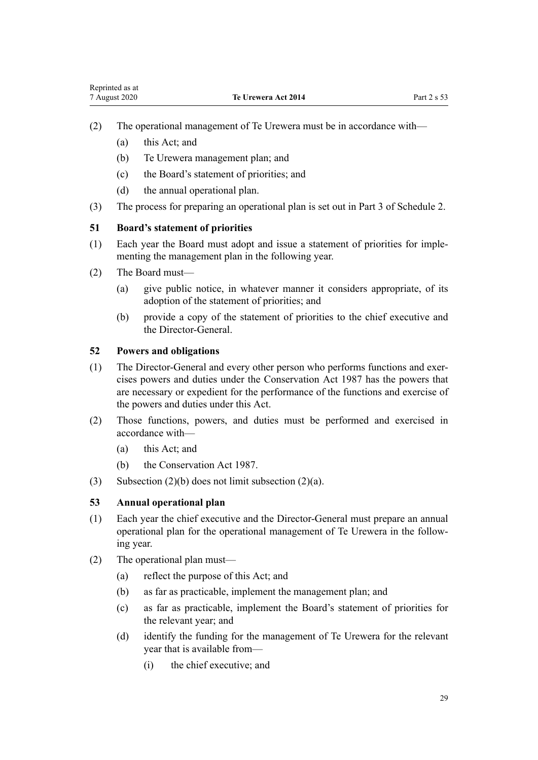- <span id="page-28-0"></span>(2) The operational management of Te Urewera must be in accordance with—
	- (a) this Act; and
	- (b) Te Urewera management plan; and
	- (c) the Board's statement of priorities; and
	- (d) the annual operational plan.
- (3) The process for preparing an operational plan is set out in [Part 3](#page-79-0) of Schedule 2.

## **51 Board's statement of priorities**

- (1) Each year the Board must adopt and issue a statement of priorities for implementing the management plan in the following year.
- (2) The Board must—
	- (a) give public notice, in whatever manner it considers appropriate, of its adoption of the statement of priorities; and
	- (b) provide a copy of the statement of priorities to the chief executive and the Director-General.

## **52 Powers and obligations**

- (1) The Director-General and every other person who performs functions and exercises powers and duties under the [Conservation Act 1987](http://legislation.govt.nz/pdflink.aspx?id=DLM103609) has the powers that are necessary or expedient for the performance of the functions and exercise of the powers and duties under this Act.
- (2) Those functions, powers, and duties must be performed and exercised in accordance with—
	- (a) this Act; and
	- (b) the [Conservation Act 1987.](http://legislation.govt.nz/pdflink.aspx?id=DLM103609)
- (3) Subsection  $(2)(b)$  does not limit subsection  $(2)(a)$ .

## **53 Annual operational plan**

- (1) Each year the chief executive and the Director-General must prepare an annual operational plan for the operational management of Te Urewera in the following year.
- (2) The operational plan must—
	- (a) reflect the purpose of this Act; and
	- (b) as far as practicable, implement the management plan; and
	- (c) as far as practicable, implement the Board's statement of priorities for the relevant year; and
	- (d) identify the funding for the management of Te Urewera for the relevant year that is available from—
		- (i) the chief executive; and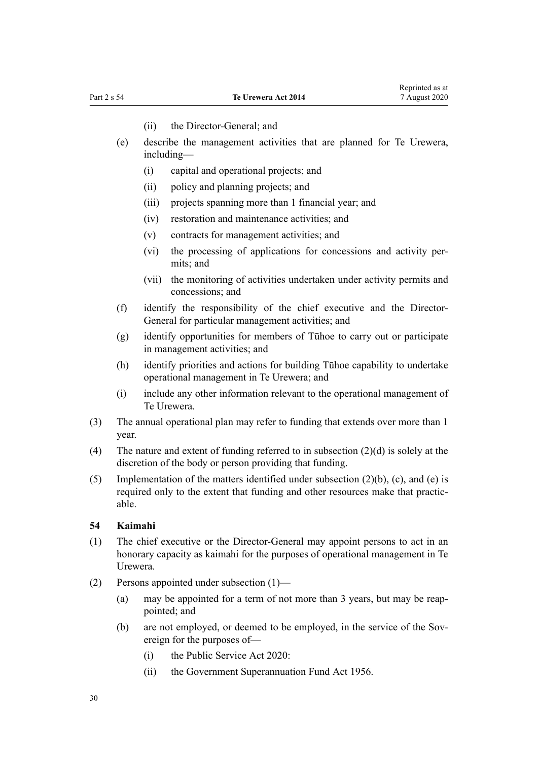- (ii) the Director-General; and
- <span id="page-29-0"></span>(e) describe the management activities that are planned for Te Urewera, including—
	- (i) capital and operational projects; and
	- (ii) policy and planning projects; and
	- (iii) projects spanning more than 1 financial year; and
	- (iv) restoration and maintenance activities; and
	- (v) contracts for management activities; and
	- (vi) the processing of applications for concessions and activity permits; and
	- (vii) the monitoring of activities undertaken under activity permits and concessions; and
- (f) identify the responsibility of the chief executive and the Director-General for particular management activities; and
- (g) identify opportunities for members of Tūhoe to carry out or participate in management activities; and
- (h) identify priorities and actions for building Tūhoe capability to undertake operational management in Te Urewera; and
- (i) include any other information relevant to the operational management of Te Urewera.
- (3) The annual operational plan may refer to funding that extends over more than 1 year.
- (4) The nature and extent of funding referred to in subsection (2)(d) is solely at the discretion of the body or person providing that funding.
- (5) Implementation of the matters identified under subsection (2)(b), (c), and (e) is required only to the extent that funding and other resources make that practicable.

#### **54 Kaimahi**

- (1) The chief executive or the Director-General may appoint persons to act in an honorary capacity as kaimahi for the purposes of operational management in Te Urewera.
- (2) Persons appointed under subsection (1)—
	- (a) may be appointed for a term of not more than 3 years, but may be reappointed; and
	- (b) are not employed, or deemed to be employed, in the service of the Sovereign for the purposes of—
		- (i) the [Public Service Act 2020](http://legislation.govt.nz/pdflink.aspx?id=LMS106157):
		- (ii) the [Government Superannuation Fund Act 1956.](http://legislation.govt.nz/pdflink.aspx?id=DLM446000)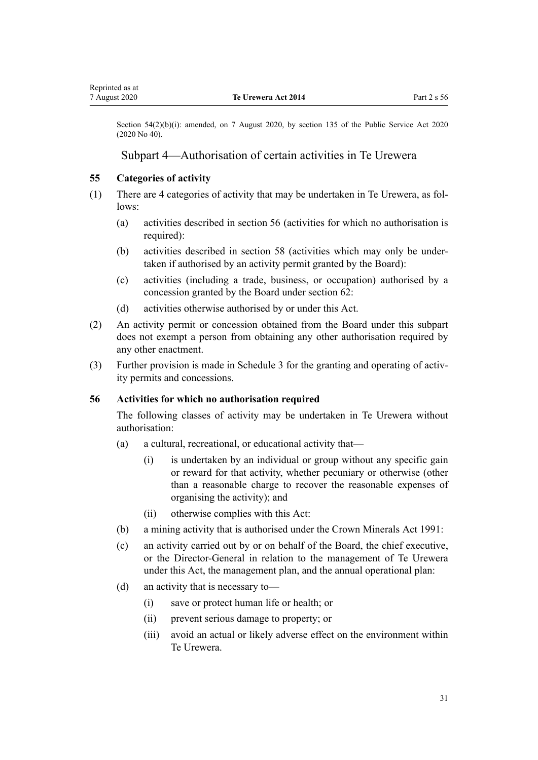<span id="page-30-0"></span>Section 54(2)(b)(i): amended, on 7 August 2020, by [section 135](http://legislation.govt.nz/pdflink.aspx?id=LMS176959) of the Public Service Act 2020 (2020 No 40).

## Subpart 4—Authorisation of certain activities in Te Urewera

#### **55 Categories of activity**

- (1) There are 4 categories of activity that may be undertaken in Te Urewera, as follows:
	- (a) activities described in section 56 (activities for which no authorisation is required):
	- (b) activities described in [section 58](#page-31-0) (activities which may only be undertaken if authorised by an activity permit granted by the Board):
	- (c) activities (including a trade, business, or occupation) authorised by a concession granted by the Board under [section 62](#page-32-0):
	- (d) activities otherwise authorised by or under this Act.
- (2) An activity permit or concession obtained from the Board under this subpart does not exempt a person from obtaining any other authorisation required by any other enactment.
- (3) Further provision is made in [Schedule 3](#page-80-0) for the granting and operating of activity permits and concessions.

#### **56 Activities for which no authorisation required**

The following classes of activity may be undertaken in Te Urewera without authorisation:

- (a) a cultural, recreational, or educational activity that—
	- (i) is undertaken by an individual or group without any specific gain or reward for that activity, whether pecuniary or otherwise (other than a reasonable charge to recover the reasonable expenses of organising the activity); and
	- (ii) otherwise complies with this Act:
- (b) a mining activity that is authorised under the [Crown Minerals Act 1991:](http://legislation.govt.nz/pdflink.aspx?id=DLM242535)
- (c) an activity carried out by or on behalf of the Board, the chief executive, or the Director-General in relation to the management of Te Urewera under this Act, the management plan, and the annual operational plan:
- (d) an activity that is necessary to—
	- (i) save or protect human life or health; or
	- (ii) prevent serious damage to property; or
	- (iii) avoid an actual or likely adverse effect on the environment within Te Urewera.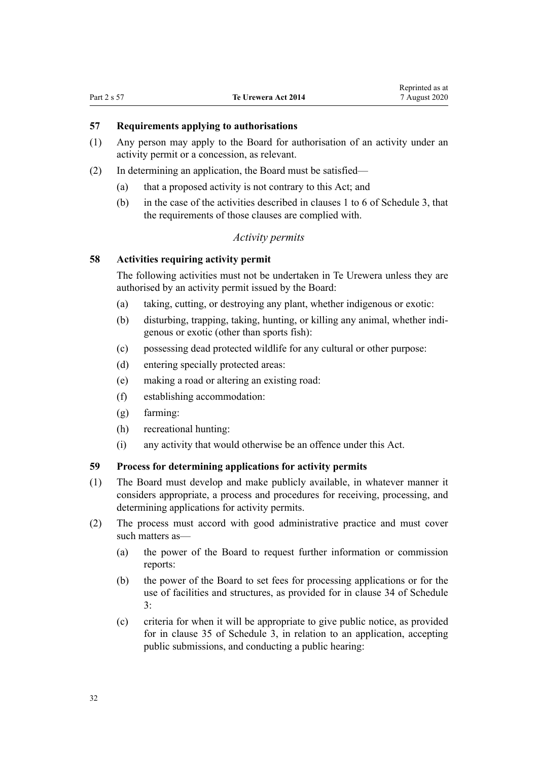## <span id="page-31-0"></span>**57 Requirements applying to authorisations**

- (1) Any person may apply to the Board for authorisation of an activity under an activity permit or a concession, as relevant.
- (2) In determining an application, the Board must be satisfied—
	- (a) that a proposed activity is not contrary to this Act; and
	- (b) in the case of the activities described in [clauses 1 to 6](#page-81-0) of Schedule 3, that the requirements of those clauses are complied with.

### *Activity permits*

#### **58 Activities requiring activity permit**

The following activities must not be undertaken in Te Urewera unless they are authorised by an activity permit issued by the Board:

- (a) taking, cutting, or destroying any plant, whether indigenous or exotic:
- (b) disturbing, trapping, taking, hunting, or killing any animal, whether indigenous or exotic (other than sports fish):
- (c) possessing dead protected wildlife for any cultural or other purpose:
- (d) entering specially protected areas:
- (e) making a road or altering an existing road:
- (f) establishing accommodation:
- (g) farming:
- (h) recreational hunting:
- (i) any activity that would otherwise be an offence under this Act.

#### **59 Process for determining applications for activity permits**

- (1) The Board must develop and make publicly available, in whatever manner it considers appropriate, a process and procedures for receiving, processing, and determining applications for activity permits.
- (2) The process must accord with good administrative practice and must cover such matters as—
	- (a) the power of the Board to request further information or commission reports:
	- (b) the power of the Board to set fees for processing applications or for the use of facilities and structures, as provided for in [clause 34](#page-97-0) of Schedule 3:
	- (c) criteria for when it will be appropriate to give public notice, as provided for in [clause 35](#page-98-0) of Schedule 3, in relation to an application, accepting public submissions, and conducting a public hearing: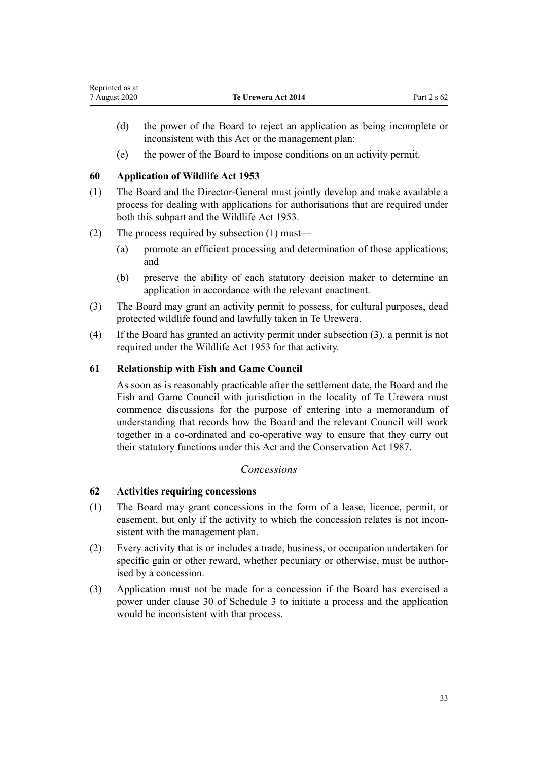- <span id="page-32-0"></span>(d) the power of the Board to reject an application as being incomplete or inconsistent with this Act or the management plan:
- (e) the power of the Board to impose conditions on an activity permit.

## **60 Application of Wildlife Act 1953**

- (1) The Board and the Director-General must jointly develop and make available a process for dealing with applications for authorisations that are required under both this subpart and the [Wildlife Act 1953](http://legislation.govt.nz/pdflink.aspx?id=DLM276813).
- (2) The process required by subsection (1) must—
	- (a) promote an efficient processing and determination of those applications; and
	- (b) preserve the ability of each statutory decision maker to determine an application in accordance with the relevant enactment.
- (3) The Board may grant an activity permit to possess, for cultural purposes, dead protected wildlife found and lawfully taken in Te Urewera.
- (4) If the Board has granted an activity permit under subsection (3), a permit is not required under the [Wildlife Act 1953](http://legislation.govt.nz/pdflink.aspx?id=DLM276813) for that activity.

## **61 Relationship with Fish and Game Council**

As soon as is reasonably practicable after the settlement date, the Board and the Fish and Game Council with jurisdiction in the locality of Te Urewera must commence discussions for the purpose of entering into a memorandum of understanding that records how the Board and the relevant Council will work together in a co-ordinated and co-operative way to ensure that they carry out their statutory functions under this Act and the [Conservation Act 1987](http://legislation.govt.nz/pdflink.aspx?id=DLM103609).

## *Concessions*

## **62 Activities requiring concessions**

- (1) The Board may grant concessions in the form of a lease, licence, permit, or easement, but only if the activity to which the concession relates is not inconsistent with the management plan.
- (2) Every activity that is or includes a trade, business, or occupation undertaken for specific gain or other reward, whether pecuniary or otherwise, must be authorised by a concession.
- (3) Application must not be made for a concession if the Board has exercised a power under [clause 30](#page-95-0) of Schedule 3 to initiate a process and the application would be inconsistent with that process.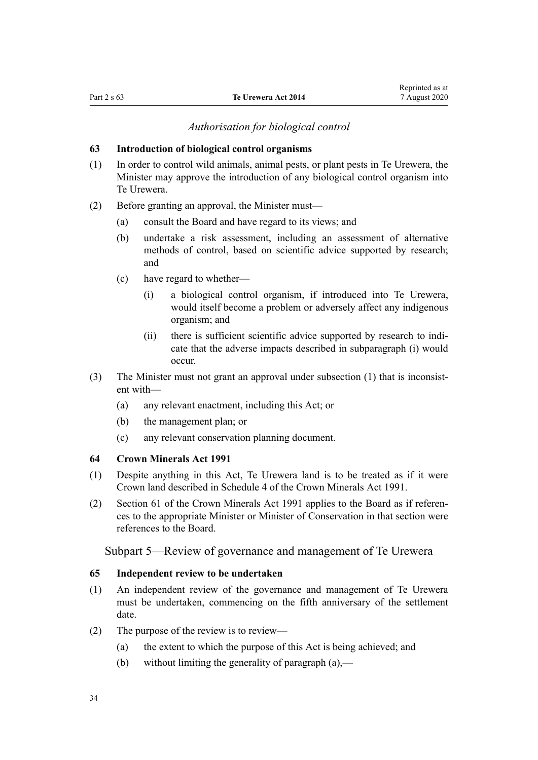### *Authorisation for biological control*

#### <span id="page-33-0"></span>**63 Introduction of biological control organisms**

- (1) In order to control wild animals, animal pests, or plant pests in Te Urewera, the Minister may approve the introduction of any biological control organism into Te Urewera.
- (2) Before granting an approval, the Minister must—
	- (a) consult the Board and have regard to its views; and
	- (b) undertake a risk assessment, including an assessment of alternative methods of control, based on scientific advice supported by research; and
	- (c) have regard to whether—
		- (i) a biological control organism, if introduced into Te Urewera, would itself become a problem or adversely affect any indigenous organism; and
		- (ii) there is sufficient scientific advice supported by research to indicate that the adverse impacts described in subparagraph (i) would occur.
- (3) The Minister must not grant an approval under subsection (1) that is inconsistent with—
	- (a) any relevant enactment, including this Act; or
	- (b) the management plan; or
	- (c) any relevant conservation planning document.

#### **64 Crown Minerals Act 1991**

- (1) Despite anything in this Act, Te Urewera land is to be treated as if it were Crown land described in [Schedule 4](http://legislation.govt.nz/pdflink.aspx?id=DLM247378) of the Crown Minerals Act 1991.
- (2) [Section 61](http://legislation.govt.nz/pdflink.aspx?id=DLM246714) of the Crown Minerals Act 1991 applies to the Board as if references to the appropriate Minister or Minister of Conservation in that section were references to the Board.

## Subpart 5—Review of governance and management of Te Urewera

#### **65 Independent review to be undertaken**

- (1) An independent review of the governance and management of Te Urewera must be undertaken, commencing on the fifth anniversary of the settlement date.
- (2) The purpose of the review is to review—
	- (a) the extent to which the purpose of this Act is being achieved; and
	- (b) without limiting the generality of paragraph  $(a)$ ,—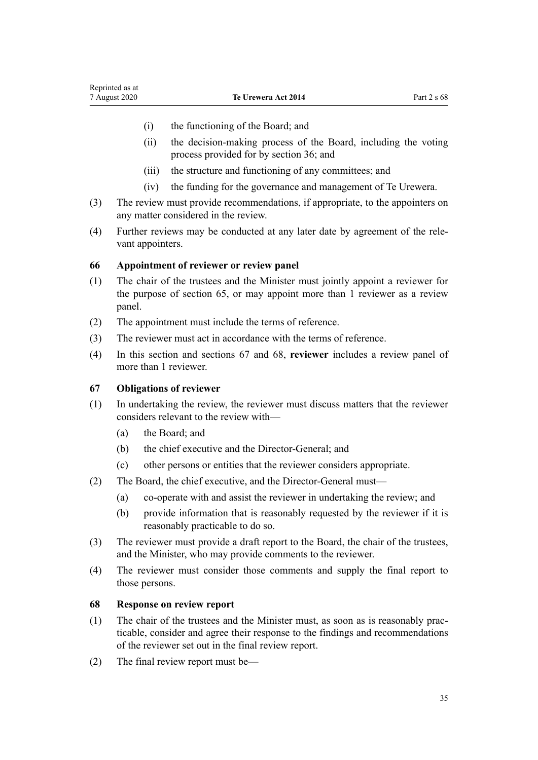- <span id="page-34-0"></span>(i) the functioning of the Board; and
- (ii) the decision-making process of the Board, including the voting process provided for by [section 36;](#page-23-0) and
- (iii) the structure and functioning of any committees; and
- (iv) the funding for the governance and management of Te Urewera.
- (3) The review must provide recommendations, if appropriate, to the appointers on any matter considered in the review.
- (4) Further reviews may be conducted at any later date by agreement of the relevant appointers.

#### **66 Appointment of reviewer or review panel**

- (1) The chair of the trustees and the Minister must jointly appoint a reviewer for the purpose of [section 65,](#page-33-0) or may appoint more than 1 reviewer as a review panel.
- (2) The appointment must include the terms of reference.
- (3) The reviewer must act in accordance with the terms of reference.
- (4) In this section and sections 67 and 68, **reviewer** includes a review panel of more than 1 reviewer.

#### **67 Obligations of reviewer**

- (1) In undertaking the review, the reviewer must discuss matters that the reviewer considers relevant to the review with—
	- (a) the Board; and
	- (b) the chief executive and the Director-General; and
	- (c) other persons or entities that the reviewer considers appropriate.
- (2) The Board, the chief executive, and the Director-General must—
	- (a) co-operate with and assist the reviewer in undertaking the review; and
	- (b) provide information that is reasonably requested by the reviewer if it is reasonably practicable to do so.
- (3) The reviewer must provide a draft report to the Board, the chair of the trustees, and the Minister, who may provide comments to the reviewer.
- (4) The reviewer must consider those comments and supply the final report to those persons.

### **68 Response on review report**

- (1) The chair of the trustees and the Minister must, as soon as is reasonably practicable, consider and agree their response to the findings and recommendations of the reviewer set out in the final review report.
- (2) The final review report must be—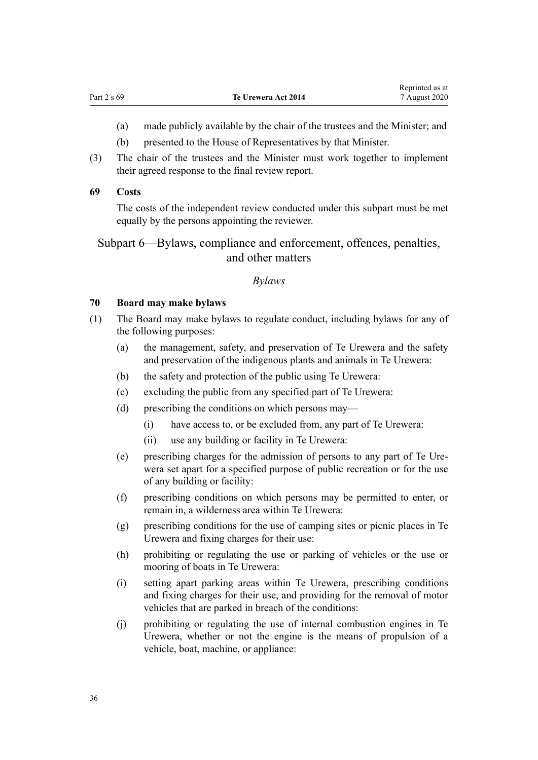- <span id="page-35-0"></span>(a) made publicly available by the chair of the trustees and the Minister; and
- (b) presented to the House of Representatives by that Minister.
- (3) The chair of the trustees and the Minister must work together to implement their agreed response to the final review report.

#### **69 Costs**

The costs of the independent review conducted under this subpart must be met equally by the persons appointing the reviewer.

## Subpart 6—Bylaws, compliance and enforcement, offences, penalties, and other matters

#### *Bylaws*

## **70 Board may make bylaws**

- (1) The Board may make bylaws to regulate conduct, including bylaws for any of the following purposes:
	- (a) the management, safety, and preservation of Te Urewera and the safety and preservation of the indigenous plants and animals in Te Urewera:
	- (b) the safety and protection of the public using Te Urewera:
	- (c) excluding the public from any specified part of Te Urewera:
	- (d) prescribing the conditions on which persons may—
		- (i) have access to, or be excluded from, any part of Te Urewera:
		- (ii) use any building or facility in Te Urewera:
	- (e) prescribing charges for the admission of persons to any part of Te Urewera set apart for a specified purpose of public recreation or for the use of any building or facility:
	- (f) prescribing conditions on which persons may be permitted to enter, or remain in, a wilderness area within Te Urewera:
	- (g) prescribing conditions for the use of camping sites or picnic places in Te Urewera and fixing charges for their use:
	- (h) prohibiting or regulating the use or parking of vehicles or the use or mooring of boats in Te Urewera:
	- (i) setting apart parking areas within Te Urewera, prescribing conditions and fixing charges for their use, and providing for the removal of motor vehicles that are parked in breach of the conditions:
	- (j) prohibiting or regulating the use of internal combustion engines in Te Urewera, whether or not the engine is the means of propulsion of a vehicle, boat, machine, or appliance: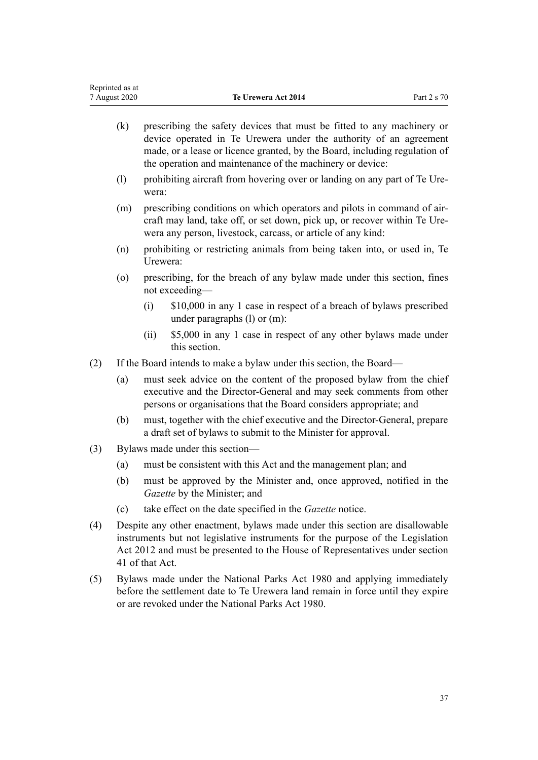the operation and maintenance of the machinery or device: (l) prohibiting aircraft from hovering over or landing on any part of Te Urewera:

made, or a lease or licence granted, by the Board, including regulation of

- (m) prescribing conditions on which operators and pilots in command of aircraft may land, take off, or set down, pick up, or recover within Te Urewera any person, livestock, carcass, or article of any kind:
- (n) prohibiting or restricting animals from being taken into, or used in, Te Urewera:
- (o) prescribing, for the breach of any bylaw made under this section, fines not exceeding—
	- (i) \$10,000 in any 1 case in respect of a breach of bylaws prescribed under paragraphs (l) or (m):
	- (ii) \$5,000 in any 1 case in respect of any other bylaws made under this section.
- (2) If the Board intends to make a bylaw under this section, the Board—
	- (a) must seek advice on the content of the proposed bylaw from the chief executive and the Director-General and may seek comments from other persons or organisations that the Board considers appropriate; and
	- (b) must, together with the chief executive and the Director-General, prepare a draft set of bylaws to submit to the Minister for approval.
- (3) Bylaws made under this section—

Reprinted as at

- (a) must be consistent with this Act and the management plan; and
- (b) must be approved by the Minister and, once approved, notified in the *Gazette* by the Minister; and
- (c) take effect on the date specified in the *Gazette* notice.
- (4) Despite any other enactment, bylaws made under this section are disallowable instruments but not legislative instruments for the purpose of the [Legislation](http://legislation.govt.nz/pdflink.aspx?id=DLM2997643) [Act 2012](http://legislation.govt.nz/pdflink.aspx?id=DLM2997643) and must be presented to the House of Representatives under [section](http://legislation.govt.nz/pdflink.aspx?id=DLM2998573) [41](http://legislation.govt.nz/pdflink.aspx?id=DLM2998573) of that Act.
- (5) Bylaws made under the [National Parks Act 1980](http://legislation.govt.nz/pdflink.aspx?id=DLM36962) and applying immediately before the settlement date to Te Urewera land remain in force until they expire or are revoked under the National Parks Act 1980.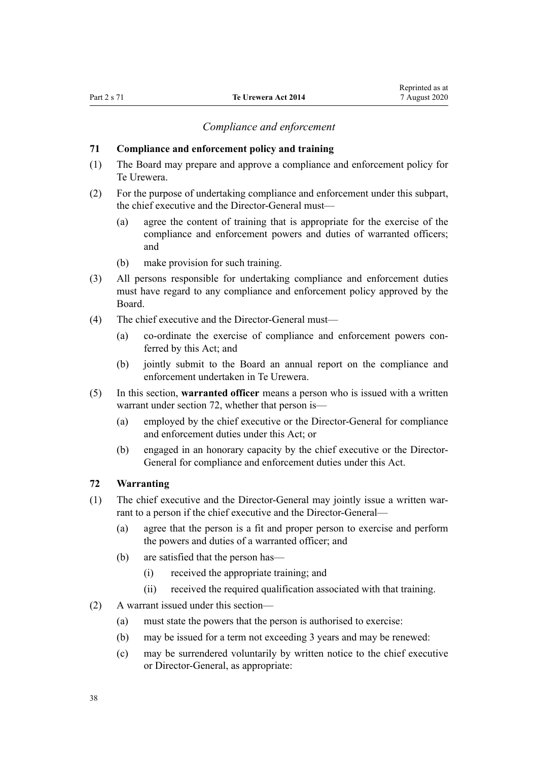### *Compliance and enforcement*

#### **71 Compliance and enforcement policy and training**

- (1) The Board may prepare and approve a compliance and enforcement policy for Te Urewera.
- (2) For the purpose of undertaking compliance and enforcement under this subpart, the chief executive and the Director-General must—
	- (a) agree the content of training that is appropriate for the exercise of the compliance and enforcement powers and duties of warranted officers; and
	- (b) make provision for such training.
- (3) All persons responsible for undertaking compliance and enforcement duties must have regard to any compliance and enforcement policy approved by the Board.
- (4) The chief executive and the Director-General must—
	- (a) co-ordinate the exercise of compliance and enforcement powers conferred by this Act; and
	- (b) jointly submit to the Board an annual report on the compliance and enforcement undertaken in Te Urewera.
- (5) In this section, **warranted officer** means a person who is issued with a written warrant under section 72, whether that person is—
	- (a) employed by the chief executive or the Director-General for compliance and enforcement duties under this Act; or
	- (b) engaged in an honorary capacity by the chief executive or the Director-General for compliance and enforcement duties under this Act.

## **72 Warranting**

- (1) The chief executive and the Director-General may jointly issue a written warrant to a person if the chief executive and the Director-General—
	- (a) agree that the person is a fit and proper person to exercise and perform the powers and duties of a warranted officer; and
	- (b) are satisfied that the person has—
		- (i) received the appropriate training; and
		- (ii) received the required qualification associated with that training.
- (2) A warrant issued under this section—
	- (a) must state the powers that the person is authorised to exercise:
	- (b) may be issued for a term not exceeding 3 years and may be renewed:
	- (c) may be surrendered voluntarily by written notice to the chief executive or Director-General, as appropriate: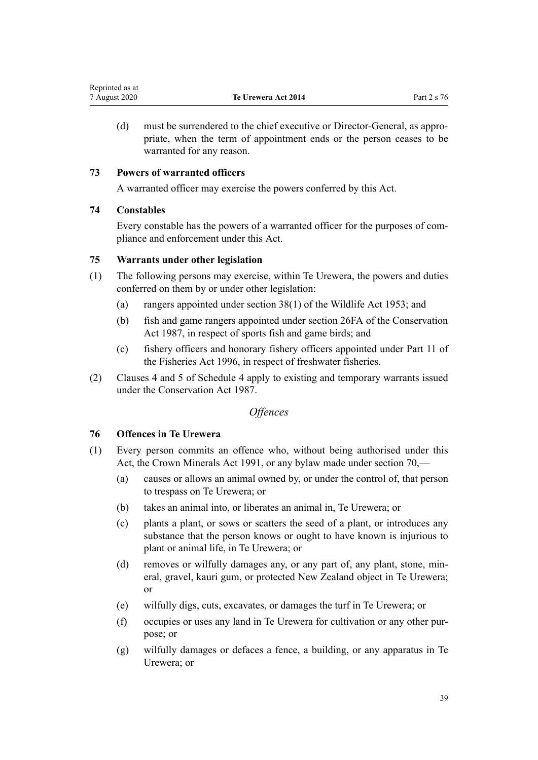<span id="page-38-0"></span>(d) must be surrendered to the chief executive or Director-General, as appropriate, when the term of appointment ends or the person ceases to be warranted for any reason.

# **73 Powers of warranted officers**

A warranted officer may exercise the powers conferred by this Act.

# **74 Constables**

Every constable has the powers of a warranted officer for the purposes of compliance and enforcement under this Act.

# **75 Warrants under other legislation**

- (1) The following persons may exercise, within Te Urewera, the powers and duties conferred on them by or under other legislation:
	- (a) rangers appointed under [section 38\(1\)](http://legislation.govt.nz/pdflink.aspx?id=DLM277803) of the Wildlife Act 1953; and
	- (b) fish and game rangers appointed under [section 26FA](http://legislation.govt.nz/pdflink.aspx?id=DLM104989) of the Conservation Act 1987, in respect of sports fish and game birds; and
	- (c) fishery officers and honorary fishery officers appointed under [Part 11](http://legislation.govt.nz/pdflink.aspx?id=DLM398399) of the Fisheries Act 1996, in respect of freshwater fisheries.
- (2) [Clauses 4](#page-101-0) and [5](#page-101-0) of Schedule 4 apply to existing and temporary warrants issued under the [Conservation Act 1987.](http://legislation.govt.nz/pdflink.aspx?id=DLM103609)

# *Offences*

# **76 Offences in Te Urewera**

- (1) Every person commits an offence who, without being authorised under this Act, the [Crown Minerals Act 1991,](http://legislation.govt.nz/pdflink.aspx?id=DLM242535) or any bylaw made under [section 70](#page-35-0),—
	- (a) causes or allows an animal owned by, or under the control of, that person to trespass on Te Urewera; or
	- (b) takes an animal into, or liberates an animal in, Te Urewera; or
	- (c) plants a plant, or sows or scatters the seed of a plant, or introduces any substance that the person knows or ought to have known is injurious to plant or animal life, in Te Urewera; or
	- (d) removes or wilfully damages any, or any part of, any plant, stone, mineral, gravel, kauri gum, or protected New Zealand object in Te Urewera; or
	- (e) wilfully digs, cuts, excavates, or damages the turf in Te Urewera; or
	- (f) occupies or uses any land in Te Urewera for cultivation or any other purpose; or
	- (g) wilfully damages or defaces a fence, a building, or any apparatus in Te Urewera; or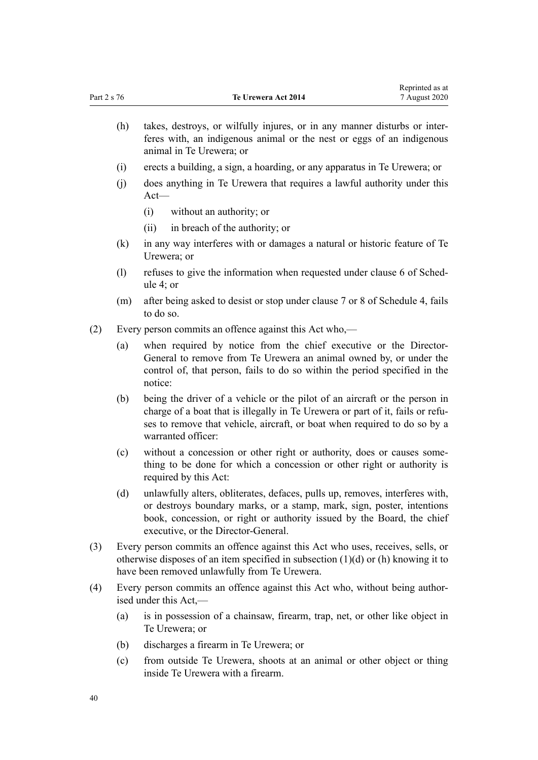Reprinted as at

- feres with, an indigenous animal or the nest or eggs of an indigenous animal in Te Urewera; or
- (i) erects a building, a sign, a hoarding, or any apparatus in Te Urewera; or
- (j) does anything in Te Urewera that requires a lawful authority under this Act—
	- (i) without an authority; or
	- (ii) in breach of the authority; or
- (k) in any way interferes with or damages a natural or historic feature of Te Urewera; or
- (l) refuses to give the information when requested under [clause 6](#page-101-0) of Schedule 4; or
- (m) after being asked to desist or stop under [clause 7](#page-101-0) or [8](#page-102-0) of Schedule 4, fails to do so.
- (2) Every person commits an offence against this Act who,—
	- (a) when required by notice from the chief executive or the Director-General to remove from Te Urewera an animal owned by, or under the control of, that person, fails to do so within the period specified in the notice:
	- (b) being the driver of a vehicle or the pilot of an aircraft or the person in charge of a boat that is illegally in Te Urewera or part of it, fails or refuses to remove that vehicle, aircraft, or boat when required to do so by a warranted officer:
	- (c) without a concession or other right or authority, does or causes something to be done for which a concession or other right or authority is required by this Act:
	- (d) unlawfully alters, obliterates, defaces, pulls up, removes, interferes with, or destroys boundary marks, or a stamp, mark, sign, poster, intentions book, concession, or right or authority issued by the Board, the chief executive, or the Director-General.
- (3) Every person commits an offence against this Act who uses, receives, sells, or otherwise disposes of an item specified in subsection (1)(d) or (h) knowing it to have been removed unlawfully from Te Urewera.
- (4) Every person commits an offence against this Act who, without being authorised under this Act,—
	- (a) is in possession of a chainsaw, firearm, trap, net, or other like object in Te Urewera; or
	- (b) discharges a firearm in Te Urewera; or
	- (c) from outside Te Urewera, shoots at an animal or other object or thing inside Te Urewera with a firearm.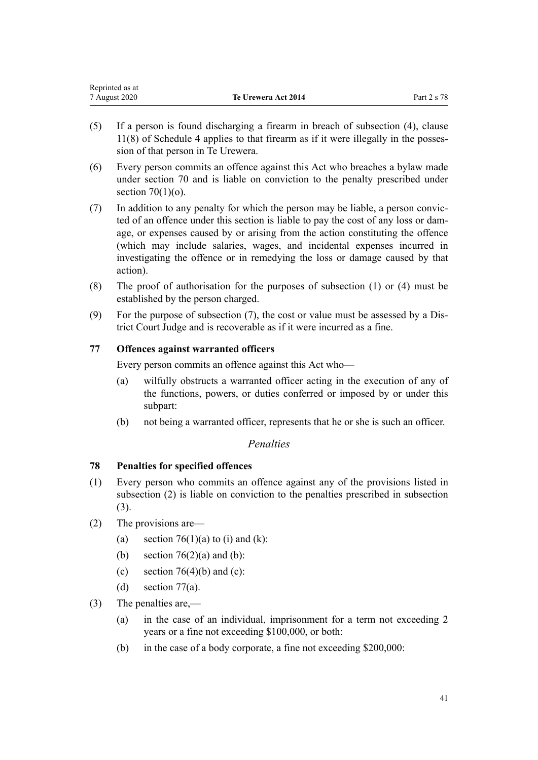<span id="page-40-0"></span>

| Reprinted as at |                            |             |
|-----------------|----------------------------|-------------|
| 7 August 2020   | <b>Te Urewera Act 2014</b> | Part 2 s 78 |

- (5) If a person is found discharging a firearm in breach of subsection (4), [clause](#page-102-0) [11\(8\)](#page-102-0) of Schedule 4 applies to that firearm as if it were illegally in the possession of that person in Te Urewera.
- (6) Every person commits an offence against this Act who breaches a bylaw made under [section 70](#page-35-0) and is liable on conviction to the penalty prescribed under section  $70(1)(o)$ .
- (7) In addition to any penalty for which the person may be liable, a person convicted of an offence under this section is liable to pay the cost of any loss or damage, or expenses caused by or arising from the action constituting the offence (which may include salaries, wages, and incidental expenses incurred in investigating the offence or in remedying the loss or damage caused by that action).
- (8) The proof of authorisation for the purposes of subsection (1) or (4) must be established by the person charged.
- (9) For the purpose of subsection (7), the cost or value must be assessed by a District Court Judge and is recoverable as if it were incurred as a fine.

# **77 Offences against warranted officers**

Every person commits an offence against this Act who—

- (a) wilfully obstructs a warranted officer acting in the execution of any of the functions, powers, or duties conferred or imposed by or under this subpart:
- (b) not being a warranted officer, represents that he or she is such an officer.

# *Penalties*

# **78 Penalties for specified offences**

- (1) Every person who commits an offence against any of the provisions listed in subsection (2) is liable on conviction to the penalties prescribed in subsection (3).
- (2) The provisions are—
	- (a) section  $76(1)(a)$  to (i) and (k):
	- (b) section  $76(2)(a)$  and (b):
	- (c) section  $76(4)(b)$  and (c):
	- (d) section  $77(a)$ .
- (3) The penalties are,—
	- (a) in the case of an individual, imprisonment for a term not exceeding 2 years or a fine not exceeding \$100,000, or both:
	- (b) in the case of a body corporate, a fine not exceeding \$200,000: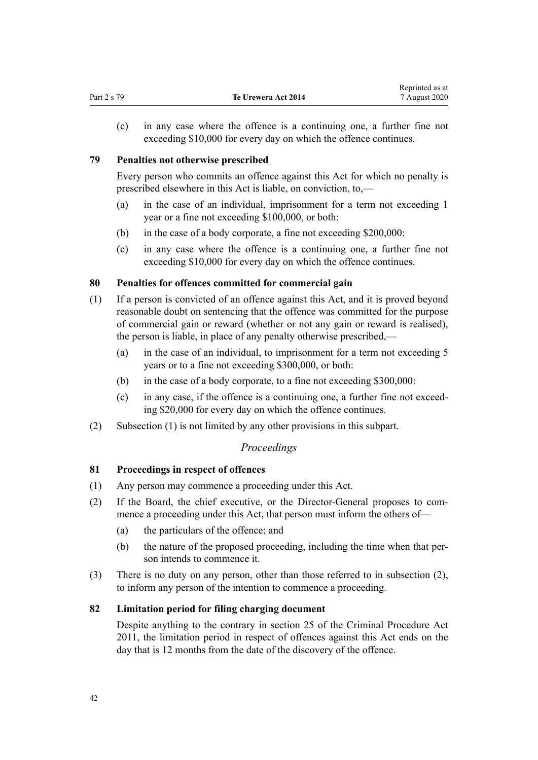(c) in any case where the offence is a continuing one, a further fine not exceeding \$10,000 for every day on which the offence continues.

#### **79 Penalties not otherwise prescribed**

Every person who commits an offence against this Act for which no penalty is prescribed elsewhere in this Act is liable, on conviction, to,—

- (a) in the case of an individual, imprisonment for a term not exceeding 1 year or a fine not exceeding \$100,000, or both:
- (b) in the case of a body corporate, a fine not exceeding \$200,000:
- (c) in any case where the offence is a continuing one, a further fine not exceeding \$10,000 for every day on which the offence continues.

# **80 Penalties for offences committed for commercial gain**

- (1) If a person is convicted of an offence against this Act, and it is proved beyond reasonable doubt on sentencing that the offence was committed for the purpose of commercial gain or reward (whether or not any gain or reward is realised), the person is liable, in place of any penalty otherwise prescribed,—
	- (a) in the case of an individual, to imprisonment for a term not exceeding 5 years or to a fine not exceeding \$300,000, or both:
	- (b) in the case of a body corporate, to a fine not exceeding \$300,000:
	- (c) in any case, if the offence is a continuing one, a further fine not exceeding \$20,000 for every day on which the offence continues.
- (2) Subsection (1) is not limited by any other provisions in this subpart.

# *Proceedings*

# **81 Proceedings in respect of offences**

- (1) Any person may commence a proceeding under this Act.
- (2) If the Board, the chief executive, or the Director-General proposes to commence a proceeding under this Act, that person must inform the others of—
	- (a) the particulars of the offence; and
	- (b) the nature of the proposed proceeding, including the time when that person intends to commence it.
- (3) There is no duty on any person, other than those referred to in subsection (2), to inform any person of the intention to commence a proceeding.

# **82 Limitation period for filing charging document**

Despite anything to the contrary in section 25 of the Criminal Procedure Act 2011, the limitation period in respect of offences against this Act ends on the day that is 12 months from the date of the discovery of the offence.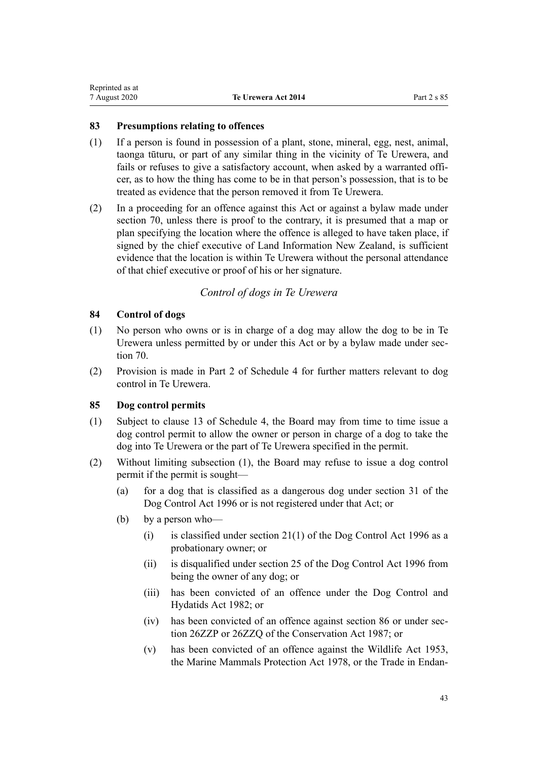# <span id="page-42-0"></span>**83 Presumptions relating to offences**

- (1) If a person is found in possession of a plant, stone, mineral, egg, nest, animal, taonga tūturu, or part of any similar thing in the vicinity of Te Urewera, and fails or refuses to give a satisfactory account, when asked by a warranted officer, as to how the thing has come to be in that person's possession, that is to be treated as evidence that the person removed it from Te Urewera.
- (2) In a proceeding for an offence against this Act or against a bylaw made under [section 70](#page-35-0), unless there is proof to the contrary, it is presumed that a map or plan specifying the location where the offence is alleged to have taken place, if signed by the chief executive of Land Information New Zealand, is sufficient evidence that the location is within Te Urewera without the personal attendance of that chief executive or proof of his or her signature.

# *Control of dogs in Te Urewera*

# **84 Control of dogs**

- (1) No person who owns or is in charge of a dog may allow the dog to be in Te Urewera unless permitted by or under this Act or by a bylaw made under [sec](#page-35-0)[tion 70](#page-35-0).
- (2) Provision is made in [Part 2](#page-107-0) of Schedule 4 for further matters relevant to dog control in Te Urewera.

#### **85 Dog control permits**

- (1) Subject to [clause 13](#page-104-0) of Schedule 4, the Board may from time to time issue a dog control permit to allow the owner or person in charge of a dog to take the dog into Te Urewera or the part of Te Urewera specified in the permit.
- (2) Without limiting subsection (1), the Board may refuse to issue a dog control permit if the permit is sought—
	- (a) for a dog that is classified as a dangerous dog under [section 31](http://legislation.govt.nz/pdflink.aspx?id=DLM374887) of the Dog Control Act 1996 or is not registered under that Act; or
	- (b) by a person who—
		- (i) is classified under section  $21(1)$  of the Dog Control Act 1996 as a probationary owner; or
		- (ii) is disqualified under [section 25](http://legislation.govt.nz/pdflink.aspx?id=DLM374853) of the Dog Control Act 1996 from being the owner of any dog; or
		- (iii) has been convicted of an offence under the Dog Control and Hydatids Act 1982; or
		- (iv) has been convicted of an offence against [section 86](#page-43-0) or under [sec](http://legislation.govt.nz/pdflink.aspx?id=DLM106092)[tion 26ZZP](http://legislation.govt.nz/pdflink.aspx?id=DLM106092) or [26ZZQ](http://legislation.govt.nz/pdflink.aspx?id=DLM106094) of the Conservation Act 1987; or
		- (v) has been convicted of an offence against the [Wildlife Act 1953](http://legislation.govt.nz/pdflink.aspx?id=DLM276813), the [Marine Mammals Protection Act 1978](http://legislation.govt.nz/pdflink.aspx?id=DLM25110), or the [Trade in Endan-](http://legislation.govt.nz/pdflink.aspx?id=DLM145965)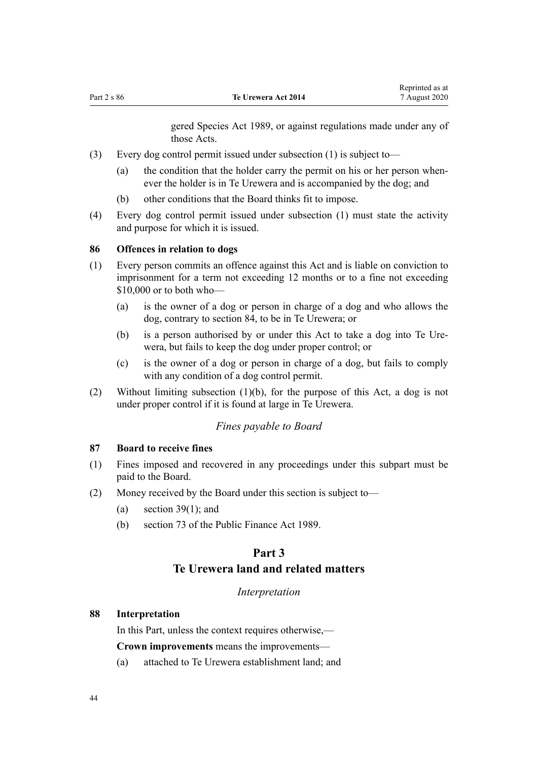[gered Species Act 1989](http://legislation.govt.nz/pdflink.aspx?id=DLM145965), or against regulations made under any of those Acts.

- <span id="page-43-0"></span>(3) Every dog control permit issued under subsection (1) is subject to—
	- (a) the condition that the holder carry the permit on his or her person whenever the holder is in Te Urewera and is accompanied by the dog; and
	- (b) other conditions that the Board thinks fit to impose.
- (4) Every dog control permit issued under subsection (1) must state the activity and purpose for which it is issued.

#### **86 Offences in relation to dogs**

- (1) Every person commits an offence against this Act and is liable on conviction to imprisonment for a term not exceeding 12 months or to a fine not exceeding \$10,000 or to both who—
	- (a) is the owner of a dog or person in charge of a dog and who allows the dog, contrary to [section 84](#page-42-0), to be in Te Urewera; or
	- (b) is a person authorised by or under this Act to take a dog into Te Urewera, but fails to keep the dog under proper control; or
	- (c) is the owner of a dog or person in charge of a dog, but fails to comply with any condition of a dog control permit.
- (2) Without limiting subsection (1)(b), for the purpose of this Act, a dog is not under proper control if it is found at large in Te Urewera.

#### *Fines payable to Board*

#### **87 Board to receive fines**

- (1) Fines imposed and recovered in any proceedings under this subpart must be paid to the Board.
- (2) Money received by the Board under this section is subject to—
	- (a) section  $39(1)$ ; and
	- (b) [section 73](http://legislation.govt.nz/pdflink.aspx?id=DLM163137) of the Public Finance Act 1989.

# **Part 3**

# **Te Urewera land and related matters**

#### *Interpretation*

#### **88 Interpretation**

In this Part, unless the context requires otherwise,—

**Crown improvements** means the improvements—

(a) attached to Te Urewera establishment land; and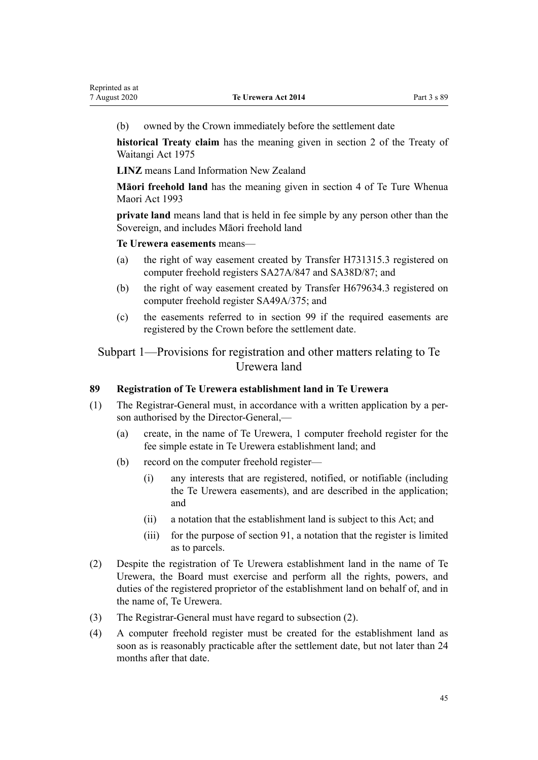(b) owned by the Crown immediately before the settlement date

**historical Treaty claim** has the meaning given in [section 2](http://legislation.govt.nz/pdflink.aspx?id=DLM435375) of the Treaty of Waitangi Act 1975

**LINZ** means Land Information New Zealand

**Māori freehold land** has the meaning given in [section 4](http://legislation.govt.nz/pdflink.aspx?id=DLM289897) of Te Ture Whenua Maori Act 1993

**private land** means land that is held in fee simple by any person other than the Sovereign, and includes Māori freehold land

**Te Urewera easements** means—

- (a) the right of way easement created by Transfer H731315.3 registered on computer freehold registers SA27A/847 and SA38D/87; and
- (b) the right of way easement created by Transfer H679634.3 registered on computer freehold register SA49A/375; and
- (c) the easements referred to in [section 99](#page-48-0) if the required easements are registered by the Crown before the settlement date.

Subpart 1—Provisions for registration and other matters relating to Te Urewera land

# **89 Registration of Te Urewera establishment land in Te Urewera**

- (1) The Registrar-General must, in accordance with a written application by a person authorised by the Director-General,—
	- (a) create, in the name of Te Urewera, 1 computer freehold register for the fee simple estate in Te Urewera establishment land; and
	- (b) record on the computer freehold register—
		- (i) any interests that are registered, notified, or notifiable (including the Te Urewera easements), and are described in the application; and
		- (ii) a notation that the establishment land is subject to this Act; and
		- (iii) for the purpose of [section 91](#page-45-0), a notation that the register is limited as to parcels.
- (2) Despite the registration of Te Urewera establishment land in the name of Te Urewera, the Board must exercise and perform all the rights, powers, and duties of the registered proprietor of the establishment land on behalf of, and in the name of, Te Urewera.
- (3) The Registrar-General must have regard to subsection (2).
- (4) A computer freehold register must be created for the establishment land as soon as is reasonably practicable after the settlement date, but not later than 24 months after that date.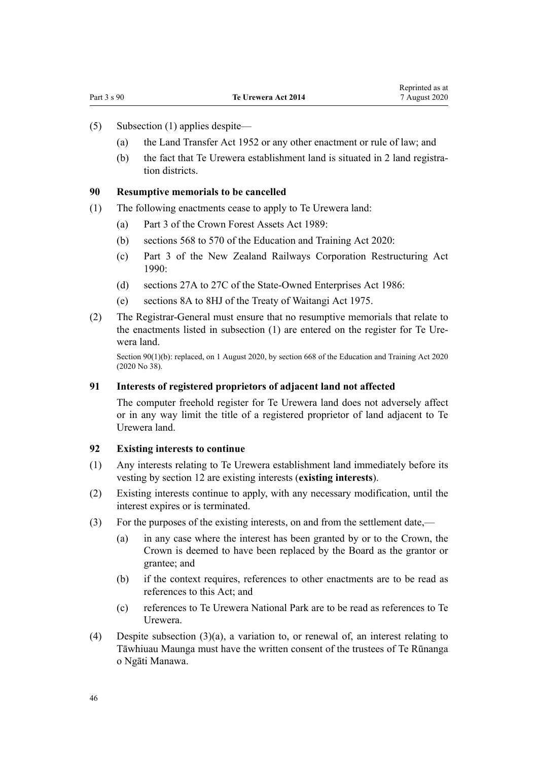- <span id="page-45-0"></span>(5) Subsection (1) applies despite—
	- (a) the [Land Transfer Act 1952](http://legislation.govt.nz/pdflink.aspx?id=DLM269031) or any other enactment or rule of law; and
	- (b) the fact that Te Urewera establishment land is situated in 2 land registration districts.

#### **90 Resumptive memorials to be cancelled**

- (1) The following enactments cease to apply to Te Urewera land:
	- (a) [Part 3](http://legislation.govt.nz/pdflink.aspx?id=DLM192356) of the Crown Forest Assets Act 1989:
	- (b) [sections 568 to 570](http://legislation.govt.nz/pdflink.aspx?id=LMS172546) of the Education and Training Act 2020:
	- (c) [Part 3](http://legislation.govt.nz/pdflink.aspx?id=DLM223144) of the New Zealand Railways Corporation Restructuring Act  $1990$
	- (d) [sections 27A to 27C](http://legislation.govt.nz/pdflink.aspx?id=DLM98097) of the State-Owned Enterprises Act 1986:
	- (e) [sections 8A to 8HJ](http://legislation.govt.nz/pdflink.aspx?id=DLM435544) of the Treaty of Waitangi Act 1975.
- (2) The Registrar-General must ensure that no resumptive memorials that relate to the enactments listed in subsection (1) are entered on the register for Te Urewera land.

Section 90(1)(b): replaced, on 1 August 2020, by [section 668](http://legislation.govt.nz/pdflink.aspx?id=LMS367713) of the Education and Training Act 2020 (2020 No 38).

#### **91 Interests of registered proprietors of adjacent land not affected**

The computer freehold register for Te Urewera land does not adversely affect or in any way limit the title of a registered proprietor of land adjacent to Te Urewera land.

# **92 Existing interests to continue**

- (1) Any interests relating to Te Urewera establishment land immediately before its vesting by [section 12](#page-14-0) are existing interests (**existing interests**).
- (2) Existing interests continue to apply, with any necessary modification, until the interest expires or is terminated.
- (3) For the purposes of the existing interests, on and from the settlement date,—
	- (a) in any case where the interest has been granted by or to the Crown, the Crown is deemed to have been replaced by the Board as the grantor or grantee; and
	- (b) if the context requires, references to other enactments are to be read as references to this Act; and
	- (c) references to Te Urewera National Park are to be read as references to Te Urewera.
- (4) Despite subsection (3)(a), a variation to, or renewal of, an interest relating to Tāwhiuau Maunga must have the written consent of the trustees of Te Rūnanga o Ngāti Manawa.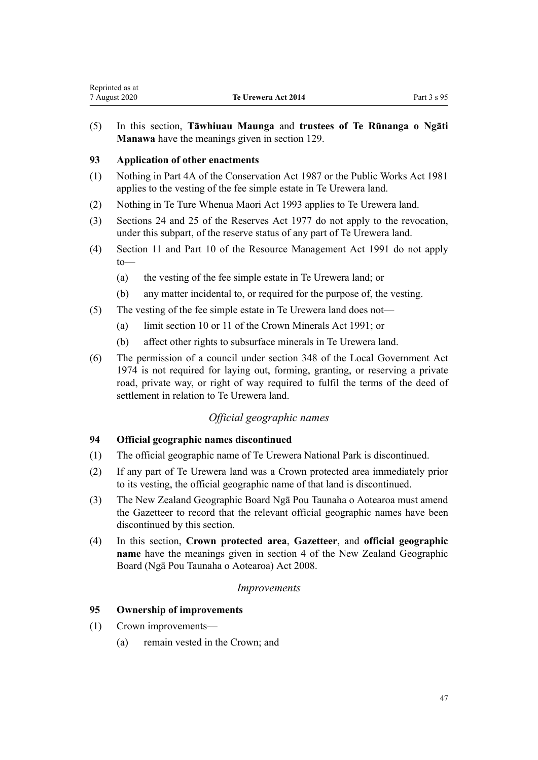<span id="page-46-0"></span>(5) In this section, **Tāwhiuau Maunga** and **trustees of Te Rūnanga o Ngāti Manawa** have the meanings given in [section 129](#page-63-0).

# **93 Application of other enactments**

- (1) Nothing in [Part 4A](http://legislation.govt.nz/pdflink.aspx?id=DLM104697) of the Conservation Act 1987 or the [Public Works Act 1981](http://legislation.govt.nz/pdflink.aspx?id=DLM45426) applies to the vesting of the fee simple estate in Te Urewera land.
- (2) Nothing in [Te Ture Whenua Maori Act 1993](http://legislation.govt.nz/pdflink.aspx?id=DLM289881) applies to Te Urewera land.
- (3) [Sections 24](http://legislation.govt.nz/pdflink.aspx?id=DLM444632) and [25](http://legislation.govt.nz/pdflink.aspx?id=DLM444648) of the Reserves Act 1977 do not apply to the revocation, under this subpart, of the reserve status of any part of Te Urewera land.
- (4) [Section 11](http://legislation.govt.nz/pdflink.aspx?id=DLM231942) and [Part 10](http://legislation.govt.nz/pdflink.aspx?id=DLM236786) of the Resource Management Act 1991 do not apply to—
	- (a) the vesting of the fee simple estate in Te Urewera land; or
	- (b) any matter incidental to, or required for the purpose of, the vesting.
- (5) The vesting of the fee simple estate in Te Urewera land does not—
	- (a) limit [section 10](http://legislation.govt.nz/pdflink.aspx?id=DLM246310) or [11](http://legislation.govt.nz/pdflink.aspx?id=DLM246311) of the Crown Minerals Act 1991; or
	- (b) affect other rights to subsurface minerals in Te Urewera land.
- (6) The permission of a council under [section 348](http://legislation.govt.nz/pdflink.aspx?id=DLM420676) of the Local Government Act 1974 is not required for laying out, forming, granting, or reserving a private road, private way, or right of way required to fulfil the terms of the deed of settlement in relation to Te Urewera land.

# *Official geographic names*

# **94 Official geographic names discontinued**

- (1) The official geographic name of Te Urewera National Park is discontinued.
- (2) If any part of Te Urewera land was a Crown protected area immediately prior to its vesting, the official geographic name of that land is discontinued.
- (3) The New Zealand Geographic Board Ngā Pou Taunaha o Aotearoa must amend the Gazetteer to record that the relevant official geographic names have been discontinued by this section.
- (4) In this section, **Crown protected area**, **Gazetteer**, and **official geographic name** have the meanings given in [section 4](http://legislation.govt.nz/pdflink.aspx?id=DLM1065420) of the New Zealand Geographic Board (Ngā Pou Taunaha o Aotearoa) Act 2008.

# *Improvements*

# **95 Ownership of improvements**

- (1) Crown improvements—
	- (a) remain vested in the Crown; and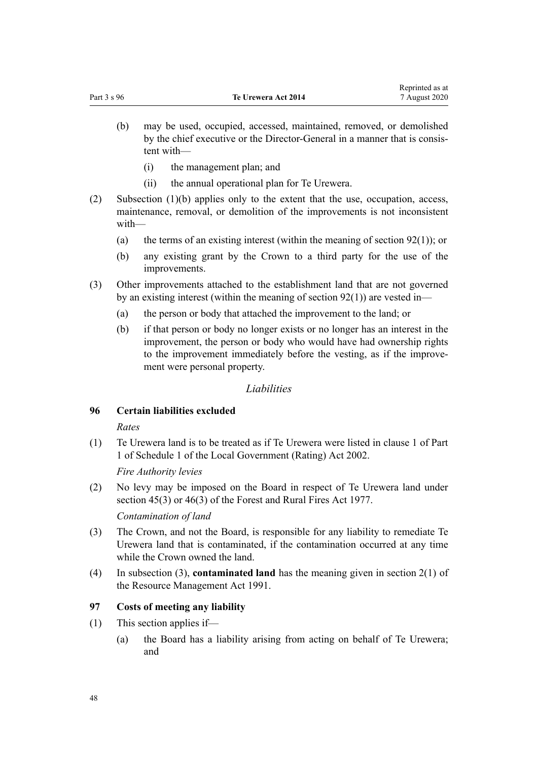- <span id="page-47-0"></span>(b) may be used, occupied, accessed, maintained, removed, or demolished by the chief executive or the Director-General in a manner that is consistent with—
	- (i) the management plan; and
	- (ii) the annual operational plan for Te Urewera.
- (2) Subsection  $(1)(b)$  applies only to the extent that the use, occupation, access, maintenance, removal, or demolition of the improvements is not inconsistent with—
	- (a) the terms of an existing interest (within the meaning of section  $92(1)$ ); or
	- (b) any existing grant by the Crown to a third party for the use of the improvements.
- (3) Other improvements attached to the establishment land that are not governed by an existing interest (within the meaning of [section 92\(1\)\)](#page-45-0) are vested in—
	- (a) the person or body that attached the improvement to the land; or
	- (b) if that person or body no longer exists or no longer has an interest in the improvement, the person or body who would have had ownership rights to the improvement immediately before the vesting, as if the improvement were personal property.

#### *Liabilities*

# **96 Certain liabilities excluded**

#### *Rates*

(1) Te Urewera land is to be treated as if Te Urewera were listed in [clause 1](http://legislation.govt.nz/pdflink.aspx?id=DLM1733703) of Part 1 of Schedule 1 of the Local Government (Rating) Act 2002.

*Fire Authority levies*

(2) No levy may be imposed on the Board in respect of Te Urewera land under [section 45\(3\)](http://legislation.govt.nz/pdflink.aspx?id=DLM443520) or [46\(3\)](http://legislation.govt.nz/pdflink.aspx?id=DLM443524) of the Forest and Rural Fires Act 1977.

*Contamination of land*

- (3) The Crown, and not the Board, is responsible for any liability to remediate Te Urewera land that is contaminated, if the contamination occurred at any time while the Crown owned the land.
- (4) In subsection (3), **contaminated land** has the meaning given in [section 2\(1\)](http://legislation.govt.nz/pdflink.aspx?id=DLM230272) of the Resource Management Act 1991.

## **97 Costs of meeting any liability**

- (1) This section applies if—
	- (a) the Board has a liability arising from acting on behalf of Te Urewera; and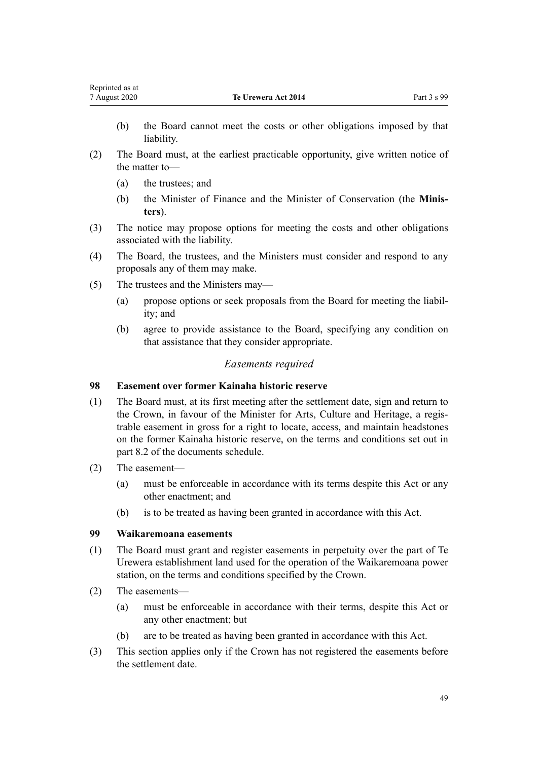- <span id="page-48-0"></span>(b) the Board cannot meet the costs or other obligations imposed by that liability.
- (2) The Board must, at the earliest practicable opportunity, give written notice of the matter to—
	- (a) the trustees; and
	- (b) the Minister of Finance and the Minister of Conservation (the **Ministers**).
- (3) The notice may propose options for meeting the costs and other obligations associated with the liability.
- (4) The Board, the trustees, and the Ministers must consider and respond to any proposals any of them may make.
- (5) The trustees and the Ministers may—
	- (a) propose options or seek proposals from the Board for meeting the liability; and
	- (b) agree to provide assistance to the Board, specifying any condition on that assistance that they consider appropriate.

#### *Easements required*

#### **98 Easement over former Kainaha historic reserve**

- (1) The Board must, at its first meeting after the settlement date, sign and return to the Crown, in favour of the Minister for Arts, Culture and Heritage, a registrable easement in gross for a right to locate, access, and maintain headstones on the former Kainaha historic reserve, on the terms and conditions set out in part 8.2 of the documents schedule.
- (2) The easement—
	- (a) must be enforceable in accordance with its terms despite this Act or any other enactment; and
	- (b) is to be treated as having been granted in accordance with this Act.

#### **99 Waikaremoana easements**

- (1) The Board must grant and register easements in perpetuity over the part of Te Urewera establishment land used for the operation of the Waikaremoana power station, on the terms and conditions specified by the Crown.
- (2) The easements—
	- (a) must be enforceable in accordance with their terms, despite this Act or any other enactment; but
	- (b) are to be treated as having been granted in accordance with this Act.
- (3) This section applies only if the Crown has not registered the easements before the settlement date.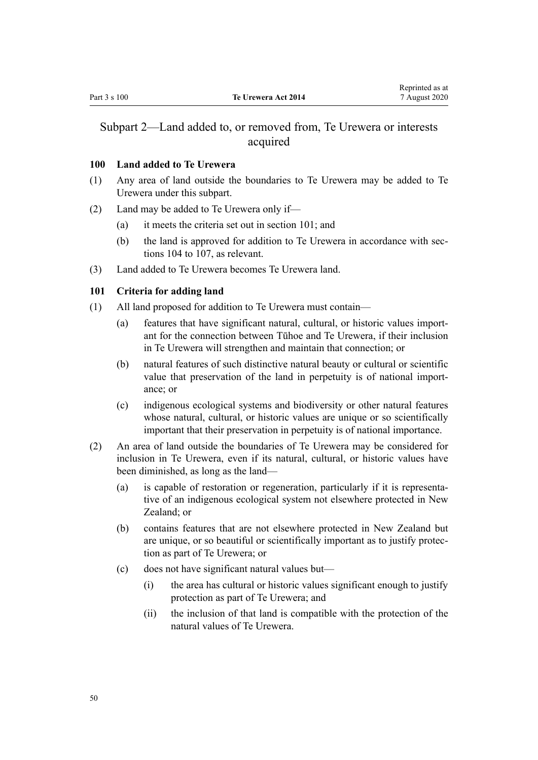# <span id="page-49-0"></span>Subpart 2—Land added to, or removed from, Te Urewera or interests acquired

# **100 Land added to Te Urewera**

- (1) Any area of land outside the boundaries to Te Urewera may be added to Te Urewera under this subpart.
- (2) Land may be added to Te Urewera only if—
	- (a) it meets the criteria set out in section 101; and
	- (b) the land is approved for addition to Te Urewera in accordance with [sec](#page-51-0)[tions 104 to 107,](#page-51-0) as relevant.
- (3) Land added to Te Urewera becomes Te Urewera land.

# **101 Criteria for adding land**

- (1) All land proposed for addition to Te Urewera must contain—
	- (a) features that have significant natural, cultural, or historic values important for the connection between Tūhoe and Te Urewera, if their inclusion in Te Urewera will strengthen and maintain that connection; or
	- (b) natural features of such distinctive natural beauty or cultural or scientific value that preservation of the land in perpetuity is of national importance; or
	- (c) indigenous ecological systems and biodiversity or other natural features whose natural, cultural, or historic values are unique or so scientifically important that their preservation in perpetuity is of national importance.
- (2) An area of land outside the boundaries of Te Urewera may be considered for inclusion in Te Urewera, even if its natural, cultural, or historic values have been diminished, as long as the land—
	- (a) is capable of restoration or regeneration, particularly if it is representative of an indigenous ecological system not elsewhere protected in New Zealand; or
	- (b) contains features that are not elsewhere protected in New Zealand but are unique, or so beautiful or scientifically important as to justify protection as part of Te Urewera; or
	- (c) does not have significant natural values but—
		- (i) the area has cultural or historic values significant enough to justify protection as part of Te Urewera; and
		- (ii) the inclusion of that land is compatible with the protection of the natural values of Te Urewera.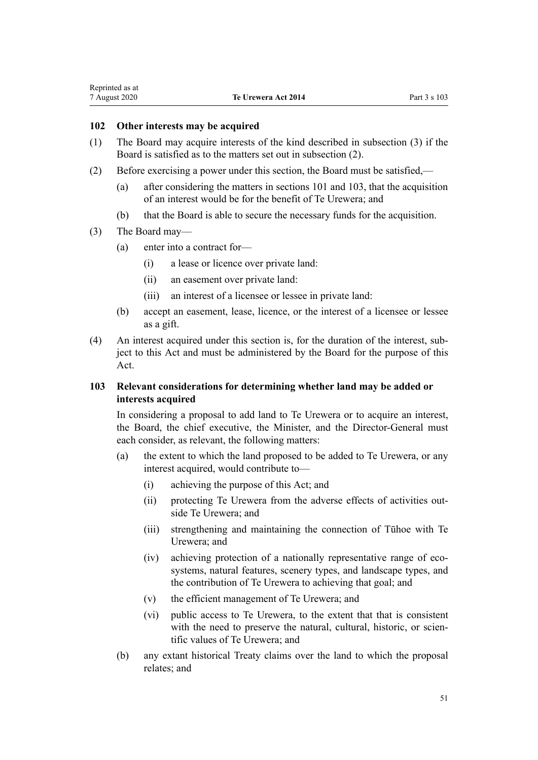#### <span id="page-50-0"></span>**102 Other interests may be acquired**

- (1) The Board may acquire interests of the kind described in subsection (3) if the Board is satisfied as to the matters set out in subsection (2).
- (2) Before exercising a power under this section, the Board must be satisfied,—
	- (a) after considering the matters in [sections 101](#page-49-0) and 103, that the acquisition of an interest would be for the benefit of Te Urewera; and
	- (b) that the Board is able to secure the necessary funds for the acquisition.
- (3) The Board may—
	- (a) enter into a contract for—
		- (i) a lease or licence over private land:
		- (ii) an easement over private land:
		- (iii) an interest of a licensee or lessee in private land:
	- (b) accept an easement, lease, licence, or the interest of a licensee or lessee as a gift.
- (4) An interest acquired under this section is, for the duration of the interest, subject to this Act and must be administered by the Board for the purpose of this Act.

# **103 Relevant considerations for determining whether land may be added or interests acquired**

In considering a proposal to add land to Te Urewera or to acquire an interest, the Board, the chief executive, the Minister, and the Director-General must each consider, as relevant, the following matters:

- (a) the extent to which the land proposed to be added to Te Urewera, or any interest acquired, would contribute to—
	- (i) achieving the purpose of this Act; and
	- (ii) protecting Te Urewera from the adverse effects of activities outside Te Urewera; and
	- (iii) strengthening and maintaining the connection of Tūhoe with Te Urewera; and
	- (iv) achieving protection of a nationally representative range of ecosystems, natural features, scenery types, and landscape types, and the contribution of Te Urewera to achieving that goal; and
	- (v) the efficient management of Te Urewera; and
	- (vi) public access to Te Urewera, to the extent that that is consistent with the need to preserve the natural, cultural, historic, or scientific values of Te Urewera; and
- (b) any extant historical Treaty claims over the land to which the proposal relates; and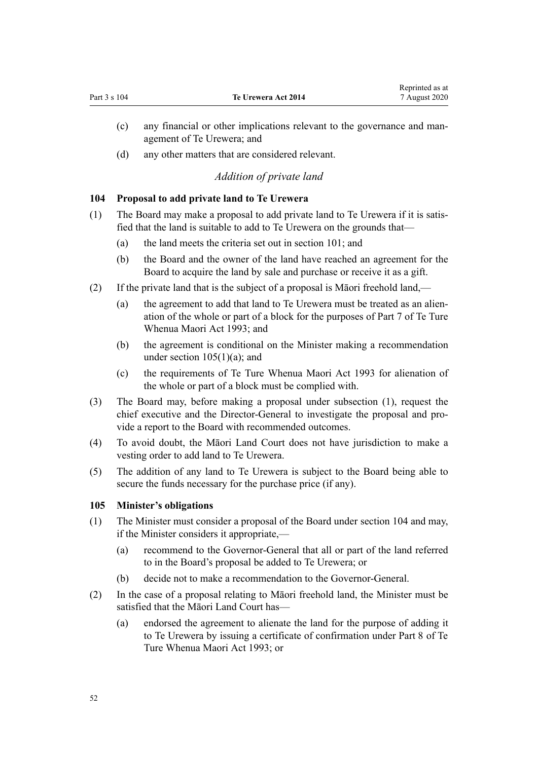- <span id="page-51-0"></span>(c) any financial or other implications relevant to the governance and management of Te Urewera; and
- (d) any other matters that are considered relevant.

# *Addition of private land*

#### **104 Proposal to add private land to Te Urewera**

- (1) The Board may make a proposal to add private land to Te Urewera if it is satisfied that the land is suitable to add to Te Urewera on the grounds that—
	- (a) the land meets the criteria set out in [section 101;](#page-49-0) and
	- (b) the Board and the owner of the land have reached an agreement for the Board to acquire the land by sale and purchase or receive it as a gift.
- (2) If the private land that is the subject of a proposal is Māori freehold land,—
	- (a) the agreement to add that land to Te Urewera must be treated as an alienation of the whole or part of a block for the purposes of [Part 7](http://legislation.govt.nz/pdflink.aspx?id=DLM291510) of Te Ture Whenua Maori Act 1993; and
	- (b) the agreement is conditional on the Minister making a recommendation under section  $105(1)(a)$ ; and
	- (c) the requirements of [Te Ture Whenua Maori Act 1993](http://legislation.govt.nz/pdflink.aspx?id=DLM289881) for alienation of the whole or part of a block must be complied with.
- (3) The Board may, before making a proposal under subsection (1), request the chief executive and the Director-General to investigate the proposal and provide a report to the Board with recommended outcomes.
- (4) To avoid doubt, the Māori Land Court does not have jurisdiction to make a vesting order to add land to Te Urewera.
- (5) The addition of any land to Te Urewera is subject to the Board being able to secure the funds necessary for the purchase price (if any).

#### **105 Minister's obligations**

- (1) The Minister must consider a proposal of the Board under section 104 and may, if the Minister considers it appropriate,—
	- (a) recommend to the Governor-General that all or part of the land referred to in the Board's proposal be added to Te Urewera; or
	- (b) decide not to make a recommendation to the Governor-General.
- (2) In the case of a proposal relating to Māori freehold land, the Minister must be satisfied that the Māori Land Court has—
	- (a) endorsed the agreement to alienate the land for the purpose of adding it to Te Urewera by issuing a certificate of confirmation under [Part 8](http://legislation.govt.nz/pdflink.aspx?id=DLM291539) of Te Ture Whenua Maori Act 1993; or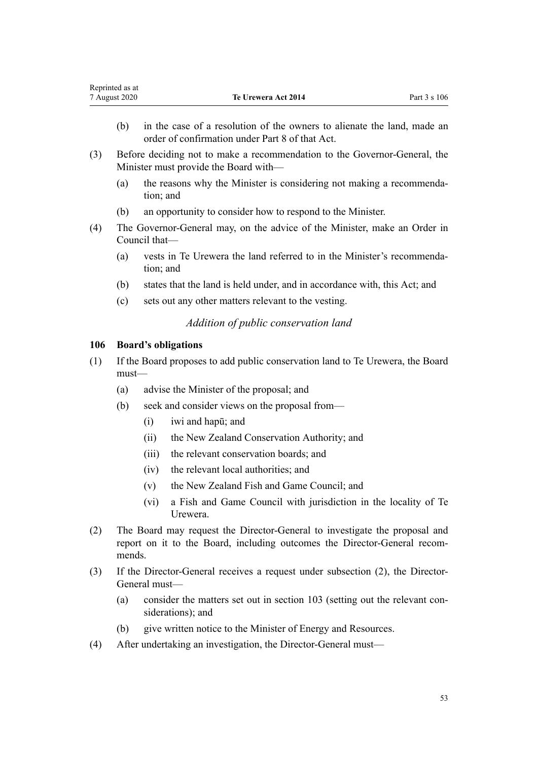- <span id="page-52-0"></span>(b) in the case of a resolution of the owners to alienate the land, made an order of confirmation under [Part 8](http://legislation.govt.nz/pdflink.aspx?id=DLM291539) of that Act.
- (3) Before deciding not to make a recommendation to the Governor-General, the Minister must provide the Board with—
	- (a) the reasons why the Minister is considering not making a recommendation; and
	- (b) an opportunity to consider how to respond to the Minister.
- (4) The Governor-General may, on the advice of the Minister, make an Order in Council that—
	- (a) vests in Te Urewera the land referred to in the Minister's recommendation; and
	- (b) states that the land is held under, and in accordance with, this Act; and
	- (c) sets out any other matters relevant to the vesting.

# *Addition of public conservation land*

# **106 Board's obligations**

- (1) If the Board proposes to add public conservation land to Te Urewera, the Board must—
	- (a) advise the Minister of the proposal; and
	- (b) seek and consider views on the proposal from—
		- (i) iwi and hapū; and
		- (ii) the New Zealand Conservation Authority; and
		- (iii) the relevant conservation boards; and
		- (iv) the relevant local authorities; and
		- (v) the New Zealand Fish and Game Council; and
		- (vi) a Fish and Game Council with jurisdiction in the locality of Te Urewera.
- (2) The Board may request the Director-General to investigate the proposal and report on it to the Board, including outcomes the Director-General recommends.
- (3) If the Director-General receives a request under subsection (2), the Director-General must—
	- (a) consider the matters set out in [section 103](#page-50-0) (setting out the relevant considerations); and
	- (b) give written notice to the Minister of Energy and Resources.
- (4) After undertaking an investigation, the Director-General must—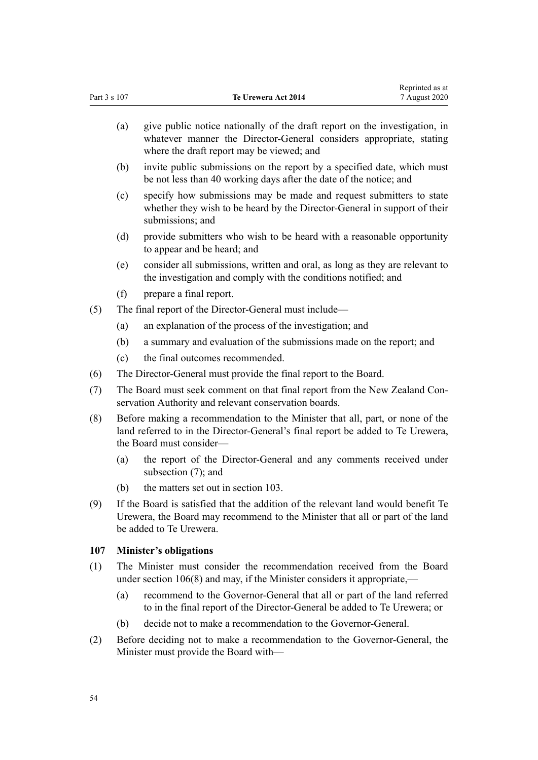|     | (a)                                                                                                                                                                                           | give public notice nationally of the draft report on the investigation, in<br>whatever manner the Director-General considers appropriate, stating<br>where the draft report may be viewed; and |
|-----|-----------------------------------------------------------------------------------------------------------------------------------------------------------------------------------------------|------------------------------------------------------------------------------------------------------------------------------------------------------------------------------------------------|
|     | (b)                                                                                                                                                                                           | invite public submissions on the report by a specified date, which must<br>be not less than 40 working days after the date of the notice; and                                                  |
|     | (c)                                                                                                                                                                                           | specify how submissions may be made and request submitters to state<br>whether they wish to be heard by the Director-General in support of their<br>submissions; and                           |
|     | (d)                                                                                                                                                                                           | provide submitters who wish to be heard with a reasonable opportunity<br>to appear and be heard; and                                                                                           |
|     | (e)                                                                                                                                                                                           | consider all submissions, written and oral, as long as they are relevant to<br>the investigation and comply with the conditions notified; and                                                  |
|     | (f)                                                                                                                                                                                           | prepare a final report.                                                                                                                                                                        |
| (5) |                                                                                                                                                                                               | The final report of the Director-General must include—                                                                                                                                         |
|     | (a)                                                                                                                                                                                           | an explanation of the process of the investigation; and                                                                                                                                        |
|     | (b)                                                                                                                                                                                           | a summary and evaluation of the submissions made on the report; and                                                                                                                            |
|     | (c)                                                                                                                                                                                           | the final outcomes recommended.                                                                                                                                                                |
| (6) |                                                                                                                                                                                               | The Director-General must provide the final report to the Board.                                                                                                                               |
| (7) | The Board must seek comment on that final report from the New Zealand Con-<br>servation Authority and relevant conservation boards.                                                           |                                                                                                                                                                                                |
| (8) |                                                                                                                                                                                               | Before making a recommendation to the Minister that all, part, or none of the<br>land referred to in the Director-General's final report be added to Te Urewera,<br>the Board must consider—   |
|     | (a)                                                                                                                                                                                           | the report of the Director-General and any comments received under<br>subsection $(7)$ ; and                                                                                                   |
|     | (b)                                                                                                                                                                                           | the matters set out in section 103.                                                                                                                                                            |
| (9) | If the Board is satisfied that the addition of the relevant land would benefit Te<br>Urewera, the Board may recommend to the Minister that all or part of the land<br>be added to Te Urewera. |                                                                                                                                                                                                |
| 107 |                                                                                                                                                                                               | <b>Minister's obligations</b>                                                                                                                                                                  |
| (1) |                                                                                                                                                                                               | The Minister must consider the recommendation received from the Board<br>under section $106(8)$ and may, if the Minister considers it appropriate,—                                            |
|     | (a)                                                                                                                                                                                           | recommend to the Governor-General that all or part of the land referred<br>to in the final report of the Director-General be added to Te Urewera; or                                           |
|     | (b)                                                                                                                                                                                           | decide not to make a recommendation to the Governor-General.                                                                                                                                   |
| (2) |                                                                                                                                                                                               | Before deciding not to make a recommendation to the Governor-General, the<br>Minister must provide the Board with—                                                                             |

Reprinted as at 7 August 2020

<span id="page-53-0"></span>Part 3 s 107 **Te Urewera Act 2014**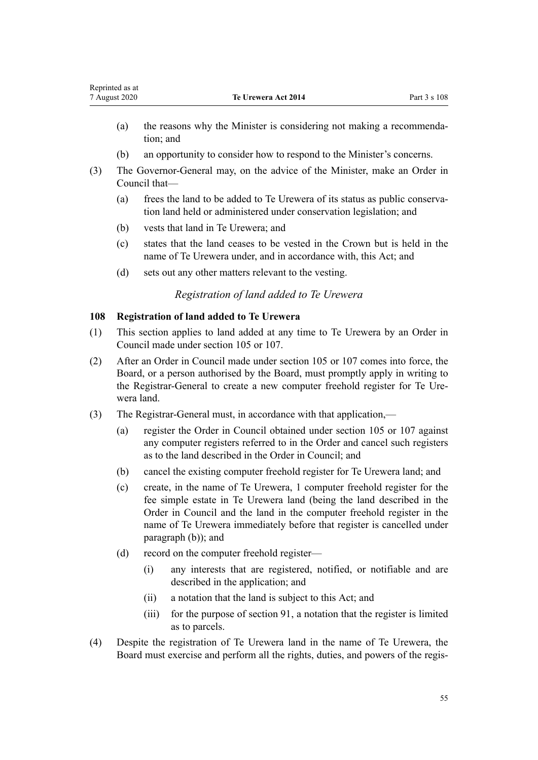- (a) the reasons why the Minister is considering not making a recommendation; and
- (b) an opportunity to consider how to respond to the Minister's concerns.
- (3) The Governor-General may, on the advice of the Minister, make an Order in Council that—
	- (a) frees the land to be added to Te Urewera of its status as public conservation land held or administered under conservation legislation; and
	- (b) vests that land in Te Urewera; and
	- (c) states that the land ceases to be vested in the Crown but is held in the name of Te Urewera under, and in accordance with, this Act; and
	- (d) sets out any other matters relevant to the vesting.

# *Registration of land added to Te Urewera*

# **108 Registration of land added to Te Urewera**

- (1) This section applies to land added at any time to Te Urewera by an Order in Council made under [section 105](#page-51-0) or [107.](#page-53-0)
- (2) After an Order in Council made under [section 105](#page-51-0) or [107](#page-53-0) comes into force, the Board, or a person authorised by the Board, must promptly apply in writing to the Registrar-General to create a new computer freehold register for Te Urewera land.
- (3) The Registrar-General must, in accordance with that application,—
	- (a) register the Order in Council obtained under [section 105](#page-51-0) or [107](#page-53-0) against any computer registers referred to in the Order and cancel such registers as to the land described in the Order in Council; and
	- (b) cancel the existing computer freehold register for Te Urewera land; and
	- (c) create, in the name of Te Urewera, 1 computer freehold register for the fee simple estate in Te Urewera land (being the land described in the Order in Council and the land in the computer freehold register in the name of Te Urewera immediately before that register is cancelled under paragraph (b)); and
	- (d) record on the computer freehold register—
		- (i) any interests that are registered, notified, or notifiable and are described in the application; and
		- (ii) a notation that the land is subject to this Act; and
		- (iii) for the purpose of [section 91](#page-45-0), a notation that the register is limited as to parcels.
- (4) Despite the registration of Te Urewera land in the name of Te Urewera, the Board must exercise and perform all the rights, duties, and powers of the regis-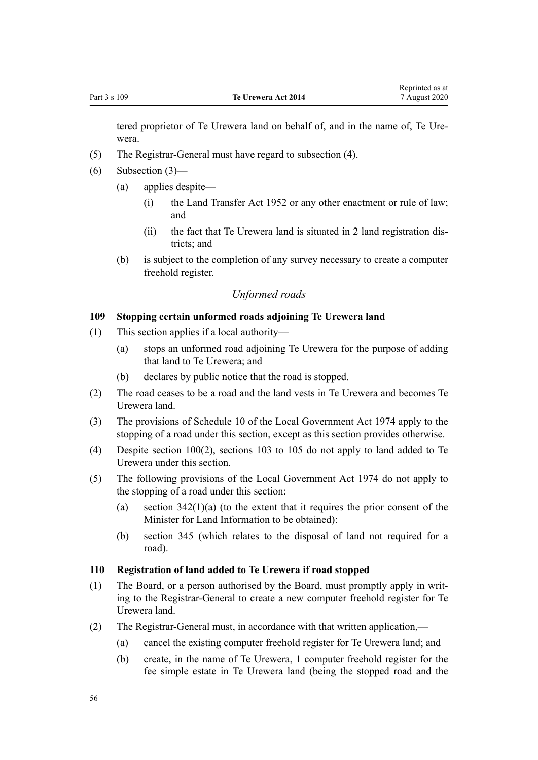tered proprietor of Te Urewera land on behalf of, and in the name of, Te Urewera.

- (5) The Registrar-General must have regard to subsection (4).
- (6) Subsection (3)—
	- (a) applies despite—
		- (i) the [Land Transfer Act 1952](http://legislation.govt.nz/pdflink.aspx?id=DLM269031) or any other enactment or rule of law; and
		- (ii) the fact that Te Urewera land is situated in 2 land registration districts; and
	- (b) is subject to the completion of any survey necessary to create a computer freehold register.

# *Unformed roads*

# **109 Stopping certain unformed roads adjoining Te Urewera land**

- (1) This section applies if a local authority—
	- (a) stops an unformed road adjoining Te Urewera for the purpose of adding that land to Te Urewera; and
	- (b) declares by public notice that the road is stopped.
- (2) The road ceases to be a road and the land vests in Te Urewera and becomes Te Urewera land.
- (3) The provisions of [Schedule 10](http://legislation.govt.nz/pdflink.aspx?id=DLM425592) of the Local Government Act 1974 apply to the stopping of a road under this section, except as this section provides otherwise.
- (4) Despite [section 100\(2\),](#page-49-0) [sections 103 to 105](#page-50-0) do not apply to land added to Te Urewera under this section.
- (5) The following provisions of the [Local Government Act 1974](http://legislation.govt.nz/pdflink.aspx?id=DLM415531) do not apply to the stopping of a road under this section:
	- (a) section  $342(1)(a)$  (to the extent that it requires the prior consent of the Minister for Land Information to be obtained):
	- (b) [section 345](http://legislation.govt.nz/pdflink.aspx?id=DLM420626) (which relates to the disposal of land not required for a road).

#### **110 Registration of land added to Te Urewera if road stopped**

- (1) The Board, or a person authorised by the Board, must promptly apply in writing to the Registrar-General to create a new computer freehold register for Te Urewera land.
- (2) The Registrar-General must, in accordance with that written application,—
	- (a) cancel the existing computer freehold register for Te Urewera land; and
	- (b) create, in the name of Te Urewera, 1 computer freehold register for the fee simple estate in Te Urewera land (being the stopped road and the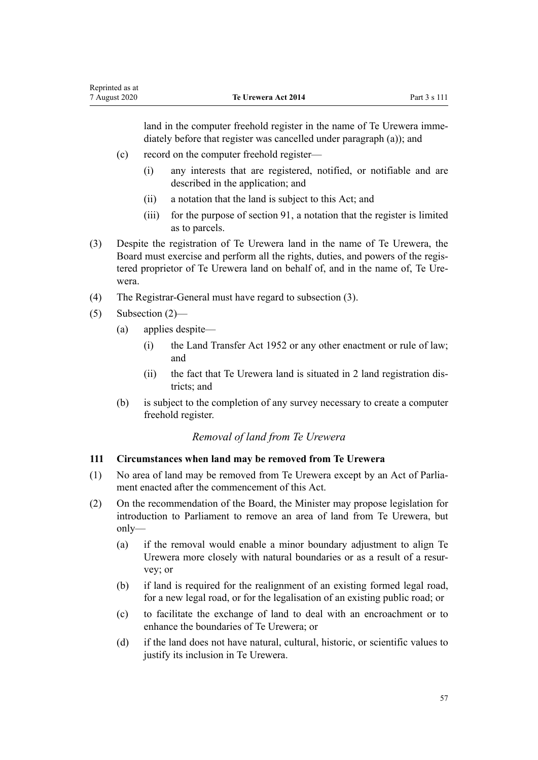<span id="page-56-0"></span>land in the computer freehold register in the name of Te Urewera immediately before that register was cancelled under paragraph (a)); and

- (c) record on the computer freehold register—
	- (i) any interests that are registered, notified, or notifiable and are described in the application; and
	- (ii) a notation that the land is subject to this Act; and
	- (iii) for the purpose of [section 91](#page-45-0), a notation that the register is limited as to parcels.
- (3) Despite the registration of Te Urewera land in the name of Te Urewera, the Board must exercise and perform all the rights, duties, and powers of the registered proprietor of Te Urewera land on behalf of, and in the name of, Te Urewera.
- (4) The Registrar-General must have regard to subsection (3).
- (5) Subsection (2)—
	- (a) applies despite—
		- (i) the Land Transfer Act 1952 or any other enactment or rule of law; and
		- (ii) the fact that Te Urewera land is situated in 2 land registration districts; and
	- (b) is subject to the completion of any survey necessary to create a computer freehold register.

# *Removal of land from Te Urewera*

# **111 Circumstances when land may be removed from Te Urewera**

- (1) No area of land may be removed from Te Urewera except by an Act of Parliament enacted after the commencement of this Act.
- (2) On the recommendation of the Board, the Minister may propose legislation for introduction to Parliament to remove an area of land from Te Urewera, but only—
	- (a) if the removal would enable a minor boundary adjustment to align Te Urewera more closely with natural boundaries or as a result of a resurvey; or
	- (b) if land is required for the realignment of an existing formed legal road, for a new legal road, or for the legalisation of an existing public road; or
	- (c) to facilitate the exchange of land to deal with an encroachment or to enhance the boundaries of Te Urewera; or
	- (d) if the land does not have natural, cultural, historic, or scientific values to justify its inclusion in Te Urewera.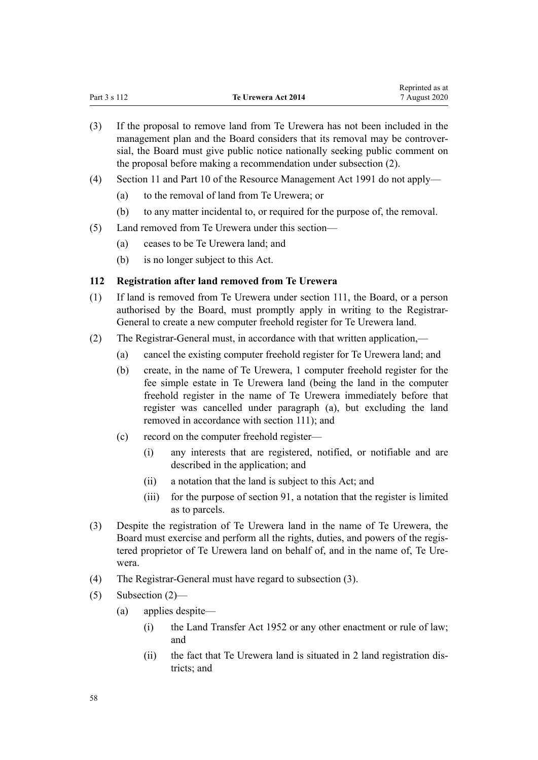Reprinted as at

- (3) If the proposal to remove land from Te Urewera has not been included in the management plan and the Board considers that its removal may be controversial, the Board must give public notice nationally seeking public comment on the proposal before making a recommendation under subsection (2).
- (4) [Section 11](http://legislation.govt.nz/pdflink.aspx?id=DLM231942) and [Part 10](http://legislation.govt.nz/pdflink.aspx?id=DLM236786) of the Resource Management Act 1991 do not apply—
	- (a) to the removal of land from Te Urewera; or
	- (b) to any matter incidental to, or required for the purpose of, the removal.
- (5) Land removed from Te Urewera under this section—
	- (a) ceases to be Te Urewera land; and
	- (b) is no longer subject to this Act.

# **112 Registration after land removed from Te Urewera**

- (1) If land is removed from Te Urewera under [section 111,](#page-56-0) the Board, or a person authorised by the Board, must promptly apply in writing to the Registrar-General to create a new computer freehold register for Te Urewera land.
- (2) The Registrar-General must, in accordance with that written application,—
	- (a) cancel the existing computer freehold register for Te Urewera land; and
	- (b) create, in the name of Te Urewera, 1 computer freehold register for the fee simple estate in Te Urewera land (being the land in the computer freehold register in the name of Te Urewera immediately before that register was cancelled under paragraph (a), but excluding the land removed in accordance with [section 111\)](#page-56-0); and
	- (c) record on the computer freehold register—
		- (i) any interests that are registered, notified, or notifiable and are described in the application; and
		- (ii) a notation that the land is subject to this Act; and
		- (iii) for the purpose of [section 91](#page-45-0), a notation that the register is limited as to parcels.
- (3) Despite the registration of Te Urewera land in the name of Te Urewera, the Board must exercise and perform all the rights, duties, and powers of the registered proprietor of Te Urewera land on behalf of, and in the name of, Te Urewera.
- (4) The Registrar-General must have regard to subsection (3).
- (5) Subsection (2)—
	- (a) applies despite—
		- (i) the [Land Transfer Act 1952](http://legislation.govt.nz/pdflink.aspx?id=DLM269031) or any other enactment or rule of law; and
		- (ii) the fact that Te Urewera land is situated in 2 land registration districts; and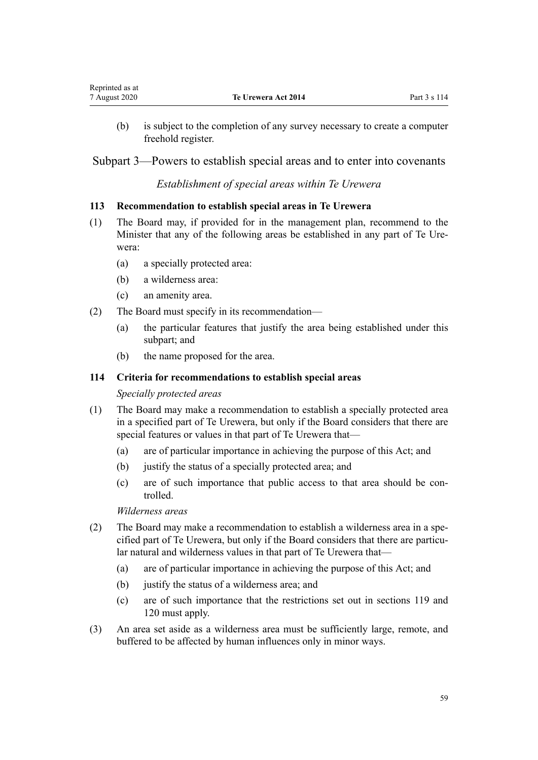<span id="page-58-0"></span>(b) is subject to the completion of any survey necessary to create a computer freehold register.

Subpart 3—Powers to establish special areas and to enter into covenants

# *Establishment of special areas within Te Urewera*

# **113 Recommendation to establish special areas in Te Urewera**

- (1) The Board may, if provided for in the management plan, recommend to the Minister that any of the following areas be established in any part of Te Urewera:
	- (a) a specially protected area:
	- (b) a wilderness area:
	- (c) an amenity area.
- (2) The Board must specify in its recommendation—
	- (a) the particular features that justify the area being established under this subpart; and
	- (b) the name proposed for the area.

### **114 Criteria for recommendations to establish special areas**

#### *Specially protected areas*

- (1) The Board may make a recommendation to establish a specially protected area in a specified part of Te Urewera, but only if the Board considers that there are special features or values in that part of Te Urewera that—
	- (a) are of particular importance in achieving the purpose of this Act; and
	- (b) justify the status of a specially protected area; and
	- (c) are of such importance that public access to that area should be controlled.

*Wilderness areas*

- (2) The Board may make a recommendation to establish a wilderness area in a specified part of Te Urewera, but only if the Board considers that there are particular natural and wilderness values in that part of Te Urewera that—
	- (a) are of particular importance in achieving the purpose of this Act; and
	- (b) justify the status of a wilderness area; and
	- (c) are of such importance that the restrictions set out in [sections 119](#page-60-0) and [120](#page-60-0) must apply.
- (3) An area set aside as a wilderness area must be sufficiently large, remote, and buffered to be affected by human influences only in minor ways.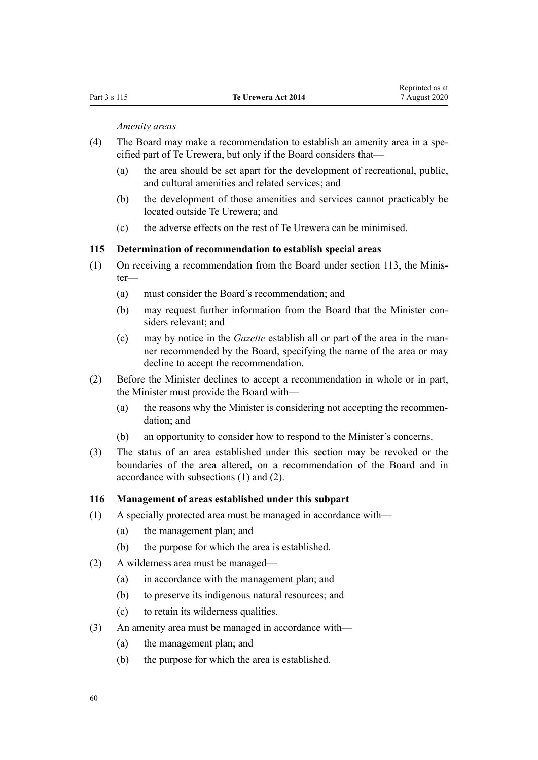*Amenity areas*

- (4) The Board may make a recommendation to establish an amenity area in a specified part of Te Urewera, but only if the Board considers that—
	- (a) the area should be set apart for the development of recreational, public, and cultural amenities and related services; and
	- (b) the development of those amenities and services cannot practicably be located outside Te Urewera; and
	- (c) the adverse effects on the rest of Te Urewera can be minimised.

#### **115 Determination of recommendation to establish special areas**

- (1) On receiving a recommendation from the Board under [section 113](#page-58-0), the Minister—
	- (a) must consider the Board's recommendation; and
	- (b) may request further information from the Board that the Minister considers relevant; and
	- (c) may by notice in the *Gazette* establish all or part of the area in the manner recommended by the Board, specifying the name of the area or may decline to accept the recommendation.
- (2) Before the Minister declines to accept a recommendation in whole or in part, the Minister must provide the Board with—
	- (a) the reasons why the Minister is considering not accepting the recommendation; and
	- (b) an opportunity to consider how to respond to the Minister's concerns.
- (3) The status of an area established under this section may be revoked or the boundaries of the area altered, on a recommendation of the Board and in accordance with subsections (1) and (2).

#### **116 Management of areas established under this subpart**

- (1) A specially protected area must be managed in accordance with—
	- (a) the management plan; and
	- (b) the purpose for which the area is established.
- (2) A wilderness area must be managed—
	- (a) in accordance with the management plan; and
	- (b) to preserve its indigenous natural resources; and
	- (c) to retain its wilderness qualities.
- (3) An amenity area must be managed in accordance with—
	- (a) the management plan; and
	- (b) the purpose for which the area is established.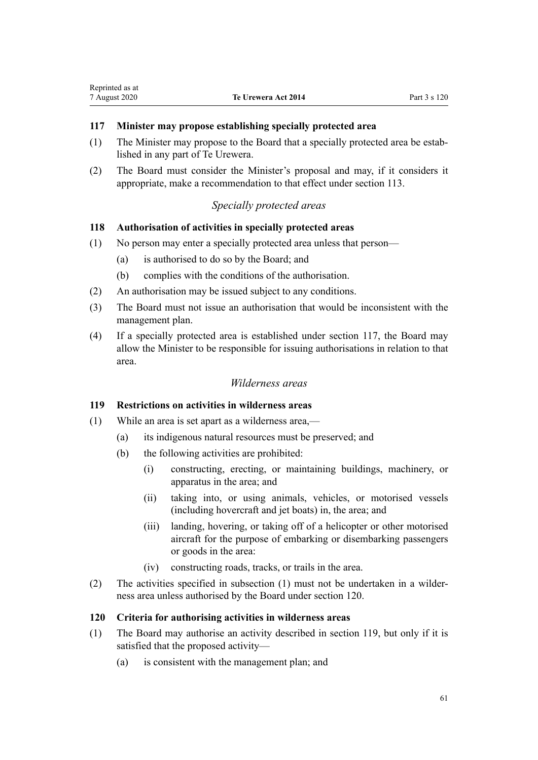#### <span id="page-60-0"></span>**117 Minister may propose establishing specially protected area**

- (1) The Minister may propose to the Board that a specially protected area be established in any part of Te Urewera.
- (2) The Board must consider the Minister's proposal and may, if it considers it appropriate, make a recommendation to that effect under [section 113](#page-58-0).

# *Specially protected areas*

### **118 Authorisation of activities in specially protected areas**

- (1) No person may enter a specially protected area unless that person—
	- (a) is authorised to do so by the Board; and
	- (b) complies with the conditions of the authorisation.
- (2) An authorisation may be issued subject to any conditions.
- (3) The Board must not issue an authorisation that would be inconsistent with the management plan.
- (4) If a specially protected area is established under section 117, the Board may allow the Minister to be responsible for issuing authorisations in relation to that area.

#### *Wilderness areas*

# **119 Restrictions on activities in wilderness areas**

- (1) While an area is set apart as a wilderness area,—
	- (a) its indigenous natural resources must be preserved; and
	- (b) the following activities are prohibited:
		- (i) constructing, erecting, or maintaining buildings, machinery, or apparatus in the area; and
		- (ii) taking into, or using animals, vehicles, or motorised vessels (including hovercraft and jet boats) in, the area; and
		- (iii) landing, hovering, or taking off of a helicopter or other motorised aircraft for the purpose of embarking or disembarking passengers or goods in the area:
		- (iv) constructing roads, tracks, or trails in the area.
- (2) The activities specified in subsection (1) must not be undertaken in a wilderness area unless authorised by the Board under section 120.

#### **120 Criteria for authorising activities in wilderness areas**

- (1) The Board may authorise an activity described in section 119, but only if it is satisfied that the proposed activity—
	- (a) is consistent with the management plan; and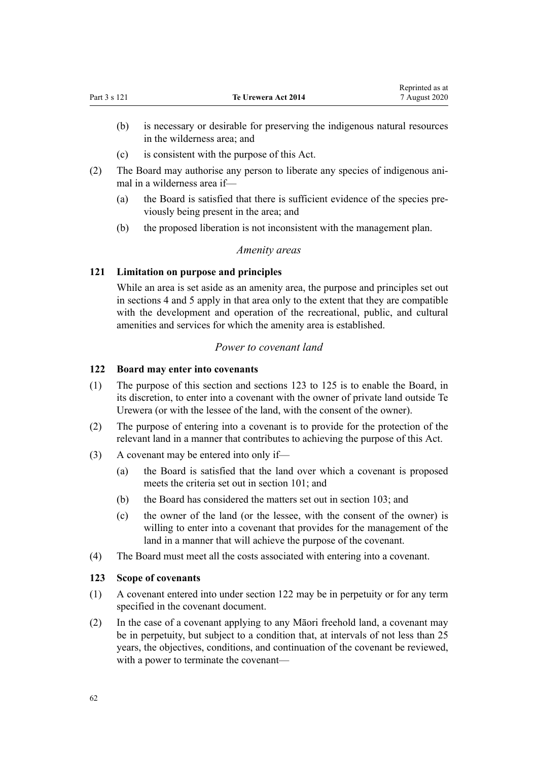- <span id="page-61-0"></span>(b) is necessary or desirable for preserving the indigenous natural resources in the wilderness area; and
- (c) is consistent with the purpose of this Act.
- (2) The Board may authorise any person to liberate any species of indigenous animal in a wilderness area if—
	- (a) the Board is satisfied that there is sufficient evidence of the species previously being present in the area; and
	- (b) the proposed liberation is not inconsistent with the management plan.

# *Amenity areas*

# **121 Limitation on purpose and principles**

While an area is set aside as an amenity area, the purpose and principles set out in [sections 4](#page-8-0) and [5](#page-8-0) apply in that area only to the extent that they are compatible with the development and operation of the recreational, public, and cultural amenities and services for which the amenity area is established.

# *Power to covenant land*

# **122 Board may enter into covenants**

- (1) The purpose of this section and sections 123 to 125 is to enable the Board, in its discretion, to enter into a covenant with the owner of private land outside Te Urewera (or with the lessee of the land, with the consent of the owner).
- (2) The purpose of entering into a covenant is to provide for the protection of the relevant land in a manner that contributes to achieving the purpose of this Act.
- (3) A covenant may be entered into only if—
	- (a) the Board is satisfied that the land over which a covenant is proposed meets the criteria set out in [section 101](#page-49-0); and
	- (b) the Board has considered the matters set out in [section 103](#page-50-0); and
	- (c) the owner of the land (or the lessee, with the consent of the owner) is willing to enter into a covenant that provides for the management of the land in a manner that will achieve the purpose of the covenant.
- (4) The Board must meet all the costs associated with entering into a covenant.

# **123 Scope of covenants**

- (1) A covenant entered into under section 122 may be in perpetuity or for any term specified in the covenant document.
- (2) In the case of a covenant applying to any Māori freehold land, a covenant may be in perpetuity, but subject to a condition that, at intervals of not less than 25 years, the objectives, conditions, and continuation of the covenant be reviewed, with a power to terminate the covenant—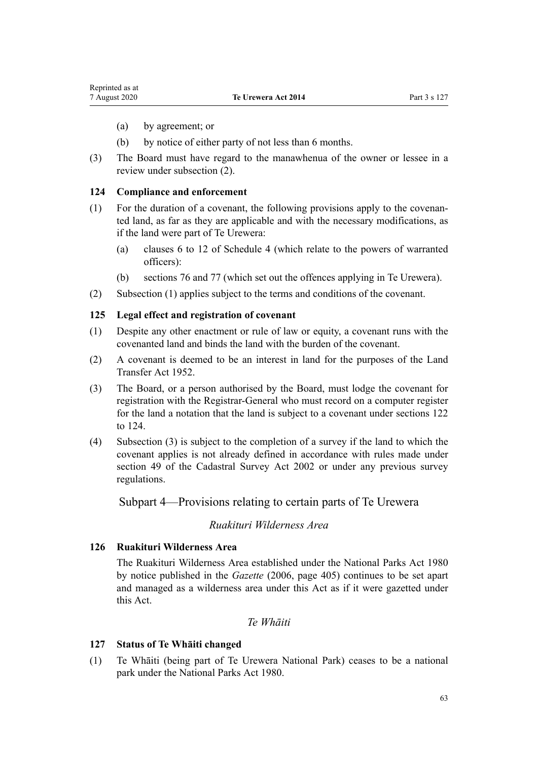- (a) by agreement; or
- (b) by notice of either party of not less than 6 months.
- (3) The Board must have regard to the manawhenua of the owner or lessee in a review under subsection (2).

#### **124 Compliance and enforcement**

- (1) For the duration of a covenant, the following provisions apply to the covenanted land, as far as they are applicable and with the necessary modifications, as if the land were part of Te Urewera:
	- (a) [clauses 6 to 12](#page-101-0) of Schedule 4 (which relate to the powers of warranted officers):
	- (b) [sections 76](#page-38-0) and [77](#page-40-0) (which set out the offences applying in Te Urewera).
- (2) Subsection (1) applies subject to the terms and conditions of the covenant.

#### **125 Legal effect and registration of covenant**

- (1) Despite any other enactment or rule of law or equity, a covenant runs with the covenanted land and binds the land with the burden of the covenant.
- (2) A covenant is deemed to be an interest in land for the purposes of the [Land](http://legislation.govt.nz/pdflink.aspx?id=DLM269031) [Transfer Act 1952](http://legislation.govt.nz/pdflink.aspx?id=DLM269031).
- (3) The Board, or a person authorised by the Board, must lodge the covenant for registration with the Registrar-General who must record on a computer register for the land a notation that the land is subject to a covenant under [sections 122](#page-61-0) [to 124](#page-61-0).
- (4) Subsection (3) is subject to the completion of a survey if the land to which the covenant applies is not already defined in accordance with rules made under [section 49](http://legislation.govt.nz/pdflink.aspx?id=DLM142600) of the Cadastral Survey Act 2002 or under any previous survey regulations.

Subpart 4—Provisions relating to certain parts of Te Urewera

#### *Ruakituri Wilderness Area*

#### **126 Ruakituri Wilderness Area**

The Ruakituri Wilderness Area established under the [National Parks Act 1980](http://legislation.govt.nz/pdflink.aspx?id=DLM36962) by notice published in the *Gazette* (2006, page 405) continues to be set apart and managed as a wilderness area under this Act as if it were gazetted under this Act.

## *Te Whāiti*

#### **127 Status of Te Whāiti changed**

(1) Te Whāiti (being part of Te Urewera National Park) ceases to be a national park under the [National Parks Act 1980.](http://legislation.govt.nz/pdflink.aspx?id=DLM36962)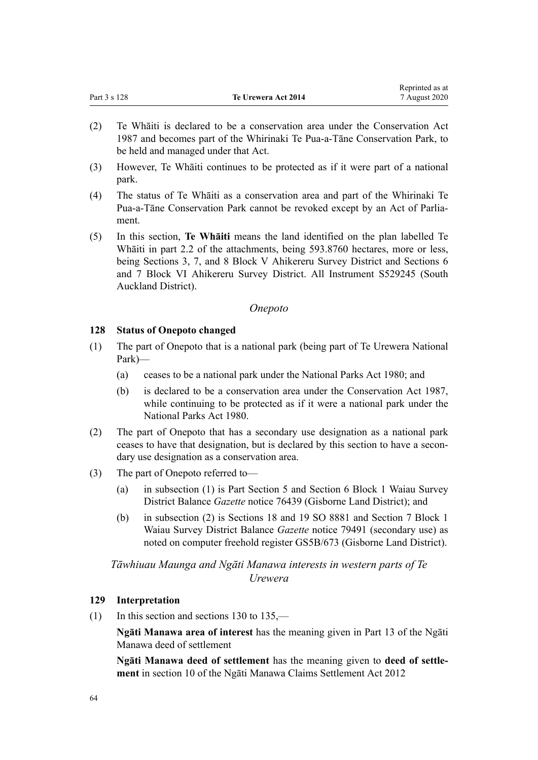<span id="page-63-0"></span>

|              |                     | Reprinted as at |
|--------------|---------------------|-----------------|
| Part 3 s 128 | Te Urewera Act 2014 | 7 August 2020   |

- (2) Te Whāiti is declared to be a conservation area under the [Conservation Act](http://legislation.govt.nz/pdflink.aspx?id=DLM103609) [1987](http://legislation.govt.nz/pdflink.aspx?id=DLM103609) and becomes part of the Whirinaki Te Pua-a-Tāne Conservation Park, to be held and managed under that Act.
- (3) However, Te Whāiti continues to be protected as if it were part of a national park.
- (4) The status of Te Whāiti as a conservation area and part of the Whirinaki Te Pua-a-Tāne Conservation Park cannot be revoked except by an Act of Parliament.
- (5) In this section, **Te Whāiti** means the land identified on the plan labelled Te Whāiti in part 2.2 of the attachments, being 593.8760 hectares, more or less, being Sections 3, 7, and 8 Block V Ahikereru Survey District and Sections 6 and 7 Block VI Ahikereru Survey District. All Instrument S529245 (South Auckland District).

# *Onepoto*

# **128 Status of Onepoto changed**

- (1) The part of Onepoto that is a national park (being part of Te Urewera National Park)—
	- (a) ceases to be a national park under the [National Parks Act 1980;](http://legislation.govt.nz/pdflink.aspx?id=DLM36962) and
	- (b) is declared to be a conservation area under the [Conservation Act 1987](http://legislation.govt.nz/pdflink.aspx?id=DLM103609), while continuing to be protected as if it were a national park under the [National Parks Act 1980.](http://legislation.govt.nz/pdflink.aspx?id=DLM36962)
- (2) The part of Onepoto that has a secondary use designation as a national park ceases to have that designation, but is declared by this section to have a secondary use designation as a conservation area.
- (3) The part of Onepoto referred to—
	- (a) in subsection (1) is Part Section 5 and Section 6 Block 1 Waiau Survey District Balance *Gazette* notice 76439 (Gisborne Land District); and
	- (b) in subsection (2) is Sections 18 and 19 SO 8881 and Section 7 Block 1 Waiau Survey District Balance *Gazette* notice 79491 (secondary use) as noted on computer freehold register GS5B/673 (Gisborne Land District).

*Tāwhiuau Maunga and Ngāti Manawa interests in western parts of Te Urewera*

# **129 Interpretation**

(1) In this section and [sections 130 to 135](#page-64-0),—

**Ngāti Manawa area of interest** has the meaning given in Part 13 of the Ngāti Manawa deed of settlement

**Ngāti Manawa deed of settlement** has the meaning given to **deed of settlement** in [section 10](http://legislation.govt.nz/pdflink.aspx?id=DLM3276821) of the Ngāti Manawa Claims Settlement Act 2012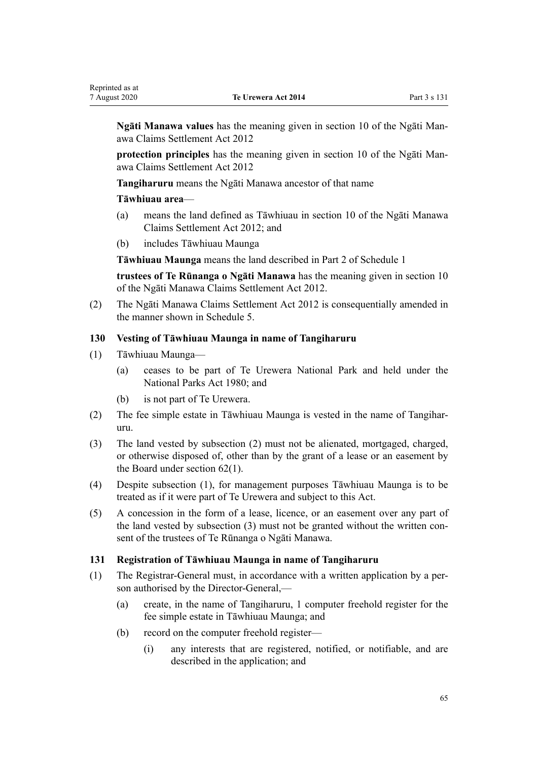<span id="page-64-0"></span>**Ngāti Manawa values** has the meaning given in [section 10](http://legislation.govt.nz/pdflink.aspx?id=DLM3276821) of the Ngāti Manawa Claims Settlement Act 2012

**protection principles** has the meaning given in [section 10](http://legislation.govt.nz/pdflink.aspx?id=DLM3276821) of the Ngāti Manawa Claims Settlement Act 2012

**Tangiharuru** means the Ngāti Manawa ancestor of that name

#### **Tāwhiuau area**—

- (a) means the land defined as Tāwhiuau in [section 10](http://legislation.govt.nz/pdflink.aspx?id=DLM3276821) of the Ngāti Manawa Claims Settlement Act 2012; and
- (b) includes Tāwhiuau Maunga

**Tāwhiuau Maunga** means the land described in [Part 2](#page-68-0) of Schedule 1

**trustees of Te Rūnanga o Ngāti Manawa** has the meaning given in [section 10](http://legislation.govt.nz/pdflink.aspx?id=DLM3276821) of the Ngāti Manawa Claims Settlement Act 2012.

(2) The [Ngāti Manawa Claims Settlement Act 2012](http://legislation.govt.nz/pdflink.aspx?id=DLM3276800) is consequentially amended in the manner shown in [Schedule 5](#page-112-0).

# **130 Vesting of Tāwhiuau Maunga in name of Tangiharuru**

- (1) Tāwhiuau Maunga—
	- (a) ceases to be part of Te Urewera National Park and held under the [National Parks Act 1980;](http://legislation.govt.nz/pdflink.aspx?id=DLM36962) and
	- (b) is not part of Te Urewera.
- (2) The fee simple estate in Tāwhiuau Maunga is vested in the name of Tangiharuru.
- (3) The land vested by subsection (2) must not be alienated, mortgaged, charged, or otherwise disposed of, other than by the grant of a lease or an easement by the Board under [section 62\(1\).](#page-32-0)
- (4) Despite subsection (1), for management purposes Tāwhiuau Maunga is to be treated as if it were part of Te Urewera and subject to this Act.
- (5) A concession in the form of a lease, licence, or an easement over any part of the land vested by subsection (3) must not be granted without the written consent of the trustees of Te Rūnanga o Ngāti Manawa.

#### **131 Registration of Tāwhiuau Maunga in name of Tangiharuru**

- (1) The Registrar-General must, in accordance with a written application by a person authorised by the Director-General,—
	- (a) create, in the name of Tangiharuru, 1 computer freehold register for the fee simple estate in Tāwhiuau Maunga; and
	- (b) record on the computer freehold register—
		- (i) any interests that are registered, notified, or notifiable, and are described in the application; and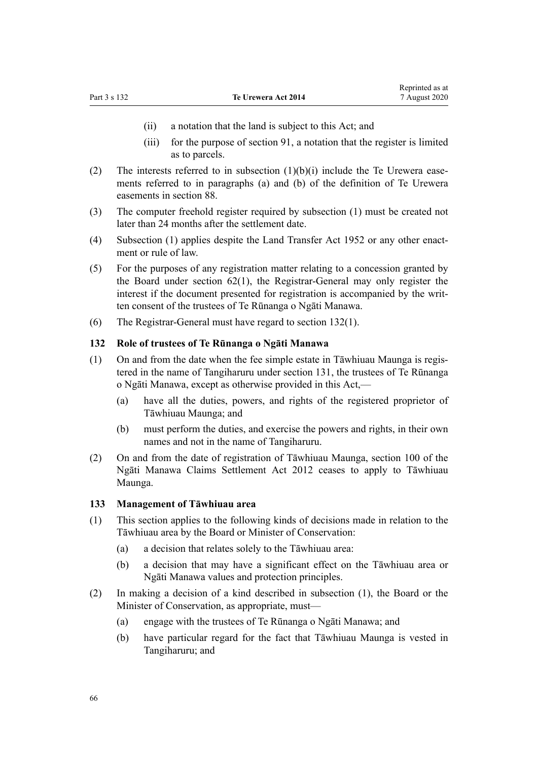- (ii) a notation that the land is subject to this Act; and
- (iii) for the purpose of [section 91](#page-45-0), a notation that the register is limited as to parcels.
- (2) The interests referred to in subsection  $(1)(b)(i)$  include the Te Urewera easements referred to in paragraphs (a) and (b) of the definition of Te Urewera easements in [section 88](#page-43-0).
- (3) The computer freehold register required by subsection (1) must be created not later than 24 months after the settlement date.
- (4) Subsection (1) applies despite the Land Transfer Act 1952 or any other enactment or rule of law.
- (5) For the purposes of any registration matter relating to a concession granted by the Board under [section 62\(1\)](#page-32-0), the Registrar-General may only register the interest if the document presented for registration is accompanied by the written consent of the trustees of Te Rūnanga o Ngāti Manawa.
- (6) The Registrar-General must have regard to section 132(1).

# **132 Role of trustees of Te Rūnanga o Ngāti Manawa**

- (1) On and from the date when the fee simple estate in Tāwhiuau Maunga is registered in the name of Tangiharuru under [section 131,](#page-64-0) the trustees of Te Rūnanga o Ngāti Manawa, except as otherwise provided in this Act,—
	- (a) have all the duties, powers, and rights of the registered proprietor of Tāwhiuau Maunga; and
	- (b) must perform the duties, and exercise the powers and rights, in their own names and not in the name of Tangiharuru.
- (2) On and from the date of registration of Tāwhiuau Maunga, [section 100](http://legislation.govt.nz/pdflink.aspx?id=DLM3277079) of the Ngāti Manawa Claims Settlement Act 2012 ceases to apply to Tāwhiuau Maunga.

#### **133 Management of Tāwhiuau area**

- (1) This section applies to the following kinds of decisions made in relation to the Tāwhiuau area by the Board or Minister of Conservation:
	- (a) a decision that relates solely to the Tāwhiuau area:
	- (b) a decision that may have a significant effect on the Tāwhiuau area or Ngāti Manawa values and protection principles.
- (2) In making a decision of a kind described in subsection (1), the Board or the Minister of Conservation, as appropriate, must—
	- (a) engage with the trustees of Te Rūnanga o Ngāti Manawa; and
	- (b) have particular regard for the fact that Tāwhiuau Maunga is vested in Tangiharuru; and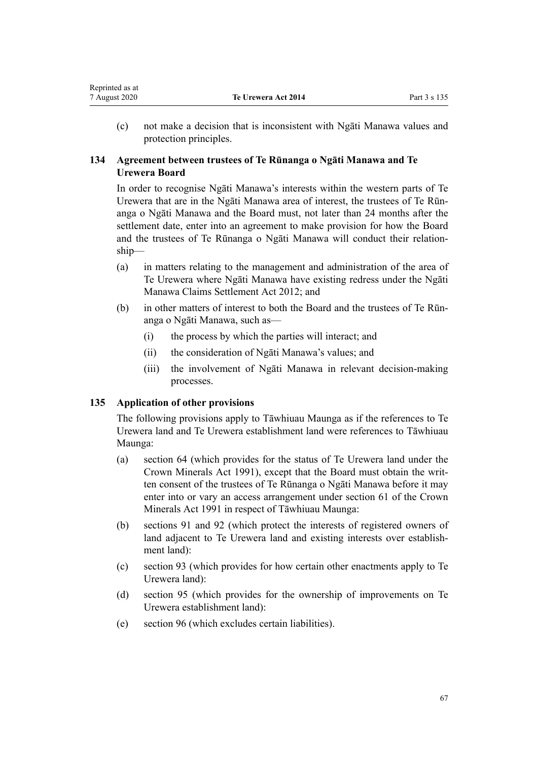(c) not make a decision that is inconsistent with Ngāti Manawa values and protection principles.

# **134 Agreement between trustees of Te Rūnanga o Ngāti Manawa and Te Urewera Board**

In order to recognise Ngāti Manawa's interests within the western parts of Te Urewera that are in the Ngāti Manawa area of interest, the trustees of Te Rūnanga o Ngāti Manawa and the Board must, not later than 24 months after the settlement date, enter into an agreement to make provision for how the Board and the trustees of Te Rūnanga o Ngāti Manawa will conduct their relationship—

- (a) in matters relating to the management and administration of the area of Te Urewera where Ngāti Manawa have existing redress under the [Ngāti](http://legislation.govt.nz/pdflink.aspx?id=DLM3276800) [Manawa Claims Settlement Act 2012;](http://legislation.govt.nz/pdflink.aspx?id=DLM3276800) and
- (b) in other matters of interest to both the Board and the trustees of Te Rūnanga o Ngāti Manawa, such as—
	- (i) the process by which the parties will interact; and
	- (ii) the consideration of Ngāti Manawa's values; and
	- (iii) the involvement of Ngāti Manawa in relevant decision-making processes.

# **135 Application of other provisions**

Reprinted as at

The following provisions apply to Tāwhiuau Maunga as if the references to Te Urewera land and Te Urewera establishment land were references to Tāwhiuau Maunga:

- (a) [section 64](#page-33-0) (which provides for the status of Te Urewera land under the Crown Minerals Act 1991), except that the Board must obtain the written consent of the trustees of Te Rūnanga o Ngāti Manawa before it may enter into or vary an access arrangement under [section 61](http://legislation.govt.nz/pdflink.aspx?id=DLM246714) of the Crown Minerals Act 1991 in respect of Tāwhiuau Maunga:
- (b) [sections 91](#page-45-0) and [92](#page-45-0) (which protect the interests of registered owners of land adjacent to Te Urewera land and existing interests over establishment land):
- (c) [section 93](#page-46-0) (which provides for how certain other enactments apply to Te Urewera land):
- (d) [section 95](#page-46-0) (which provides for the ownership of improvements on Te Urewera establishment land):
- (e) [section 96](#page-47-0) (which excludes certain liabilities).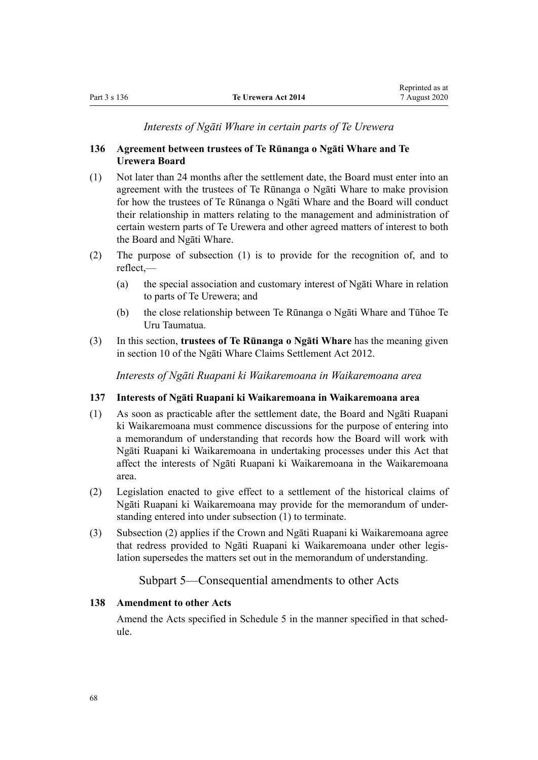#### *Interests of Ngāti Whare in certain parts of Te Urewera*

# **136 Agreement between trustees of Te Rūnanga o Ngāti Whare and Te Urewera Board**

- (1) Not later than 24 months after the settlement date, the Board must enter into an agreement with the trustees of Te Rūnanga o Ngāti Whare to make provision for how the trustees of Te Rūnanga o Ngāti Whare and the Board will conduct their relationship in matters relating to the management and administration of certain western parts of Te Urewera and other agreed matters of interest to both the Board and Ngāti Whare.
- (2) The purpose of subsection (1) is to provide for the recognition of, and to reflect,—
	- (a) the special association and customary interest of Ngāti Whare in relation to parts of Te Urewera; and
	- (b) the close relationship between Te Rūnanga o Ngāti Whare and Tūhoe Te Uru Taumatua.
- (3) In this section, **trustees of Te Rūnanga o Ngāti Whare** has the meaning given in [section 10](http://legislation.govt.nz/pdflink.aspx?id=DLM4339919) of the Ngāti Whare Claims Settlement Act 2012.

*Interests of Ngāti Ruapani ki Waikaremoana in Waikaremoana area*

#### **137 Interests of Ngāti Ruapani ki Waikaremoana in Waikaremoana area**

- (1) As soon as practicable after the settlement date, the Board and Ngāti Ruapani ki Waikaremoana must commence discussions for the purpose of entering into a memorandum of understanding that records how the Board will work with Ngāti Ruapani ki Waikaremoana in undertaking processes under this Act that affect the interests of Ngāti Ruapani ki Waikaremoana in the Waikaremoana area.
- (2) Legislation enacted to give effect to a settlement of the historical claims of Ngāti Ruapani ki Waikaremoana may provide for the memorandum of understanding entered into under subsection (1) to terminate.
- (3) Subsection (2) applies if the Crown and Ngāti Ruapani ki Waikaremoana agree that redress provided to Ngāti Ruapani ki Waikaremoana under other legislation supersedes the matters set out in the memorandum of understanding.

# Subpart 5—Consequential amendments to other Acts

#### **138 Amendment to other Acts**

Amend the Acts specified in [Schedule 5](#page-112-0) in the manner specified in that schedule.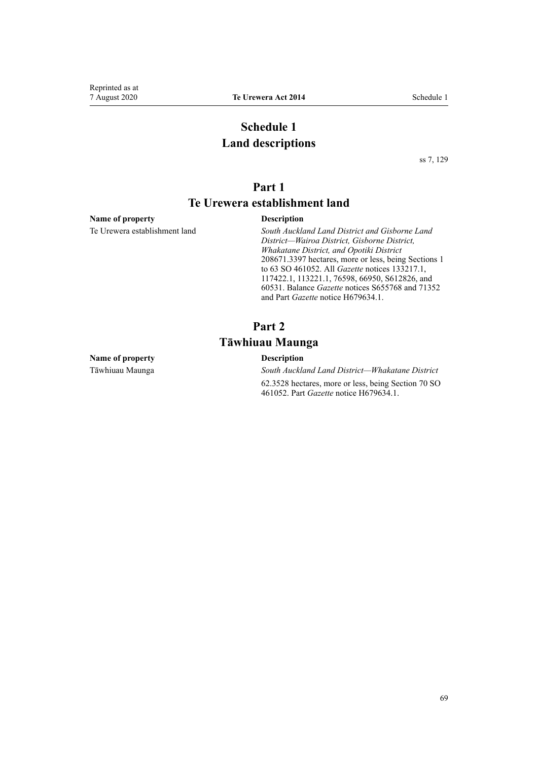# **Schedule 1 Land descriptions**

[ss 7](#page-8-0), [129](#page-63-0)

# **Part 1**

# **Te Urewera establishment land**

#### <span id="page-68-0"></span>**Name of property Description**

Te Urewera establishment land *South Auckland Land District and Gisborne Land District—Wairoa District, Gisborne District, Whakatane District, and Opotiki District* 208671.3397 hectares, more or less, being Sections 1 to 63 SO 461052. All *Gazette* notices 133217.1, 117422.1, 113221.1, 76598, 66950, S612826, and 60531. Balance *Gazette* notices S655768 and 71352 and Part *Gazette* notice H679634.1.

# **Part 2 Tāwhiuau Maunga**

**Name of property Description**

Tāwhiuau Maunga *South Auckland Land District—Whakatane District* 62.3528 hectares, more or less, being Section 70 SO 461052. Part *Gazette* notice H679634.1.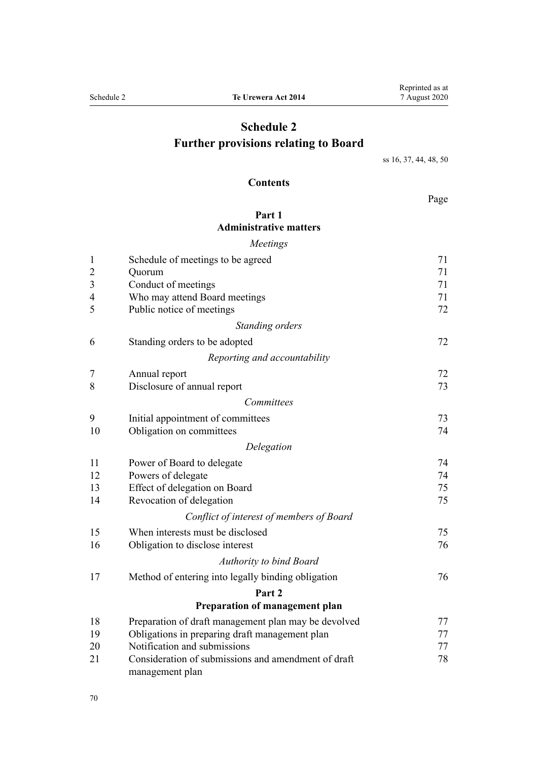# **Schedule 2 Further provisions relating to Board**

[ss 16](#page-15-0), [37,](#page-23-0) [44](#page-25-0), [48, 50](#page-27-0)

# **Contents**

Page

# **[Part 1](#page-70-0) [Administrative matters](#page-70-0)**

|                | Meetings                                             |    |
|----------------|------------------------------------------------------|----|
| $\mathbf{1}$   | Schedule of meetings to be agreed                    | 71 |
| $\overline{c}$ | Quorum                                               | 71 |
| 3              | Conduct of meetings                                  | 71 |
| 4              | Who may attend Board meetings                        | 71 |
| 5              | Public notice of meetings                            | 72 |
|                | Standing orders                                      |    |
| 6              | Standing orders to be adopted                        | 72 |
|                | Reporting and accountability                         |    |
| 7              | Annual report                                        | 72 |
| 8              | Disclosure of annual report                          | 73 |
|                | Committees                                           |    |
| 9              | Initial appointment of committees                    | 73 |
| 10             | Obligation on committees                             | 74 |
|                | Delegation                                           |    |
| 11             | Power of Board to delegate                           | 74 |
| 12             | Powers of delegate                                   | 74 |
| 13             | Effect of delegation on Board                        | 75 |
| 14             | Revocation of delegation                             | 75 |
|                | Conflict of interest of members of Board             |    |
| 15             | When interests must be disclosed                     | 75 |
| 16             | Obligation to disclose interest                      | 76 |
|                | <b>Authority to bind Board</b>                       |    |
| 17             | Method of entering into legally binding obligation   | 76 |
|                | Part 2                                               |    |
|                | Preparation of management plan                       |    |
| 18             | Preparation of draft management plan may be devolved | 77 |
| 19             | Obligations in preparing draft management plan       | 77 |
| 20             | Notification and submissions                         | 77 |
| 21             | Consideration of submissions and amendment of draft  | 78 |

[management plan](#page-77-0)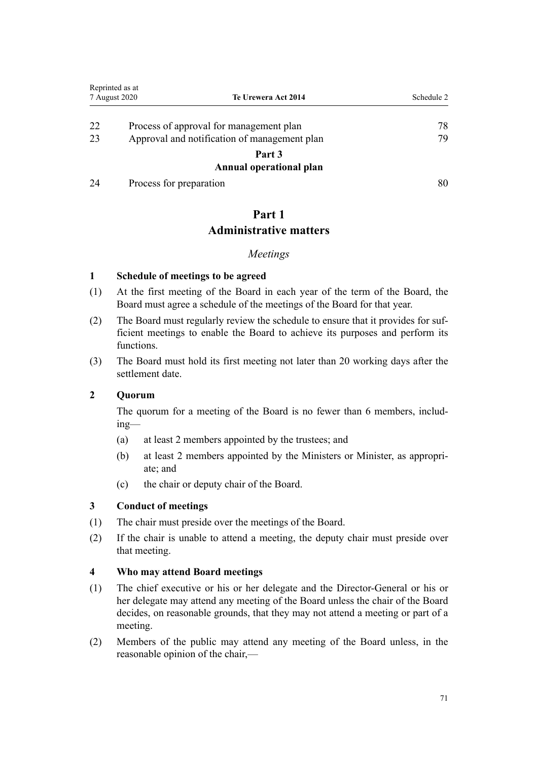<span id="page-70-0"></span>

|    | Reprinted as at                              |            |
|----|----------------------------------------------|------------|
|    | 7 August 2020<br>Te Urewera Act 2014         | Schedule 2 |
| 22 | Process of approval for management plan      | 78         |
| 23 | Approval and notification of management plan | 79         |
|    | Part 3                                       |            |
|    | Annual operational plan                      |            |
| 24 | Process for preparation                      | 80         |

# **Part 1**

# **Administrative matters**

# *Meetings*

# **1 Schedule of meetings to be agreed**

- (1) At the first meeting of the Board in each year of the term of the Board, the Board must agree a schedule of the meetings of the Board for that year.
- (2) The Board must regularly review the schedule to ensure that it provides for sufficient meetings to enable the Board to achieve its purposes and perform its functions.
- (3) The Board must hold its first meeting not later than 20 working days after the settlement date.

# **2 Quorum**

The quorum for a meeting of the Board is no fewer than 6 members, including—

- (a) at least 2 members appointed by the trustees; and
- (b) at least 2 members appointed by the Ministers or Minister, as appropriate; and
- (c) the chair or deputy chair of the Board.

# **3 Conduct of meetings**

- (1) The chair must preside over the meetings of the Board.
- (2) If the chair is unable to attend a meeting, the deputy chair must preside over that meeting.

# **4 Who may attend Board meetings**

- (1) The chief executive or his or her delegate and the Director-General or his or her delegate may attend any meeting of the Board unless the chair of the Board decides, on reasonable grounds, that they may not attend a meeting or part of a meeting.
- (2) Members of the public may attend any meeting of the Board unless, in the reasonable opinion of the chair,—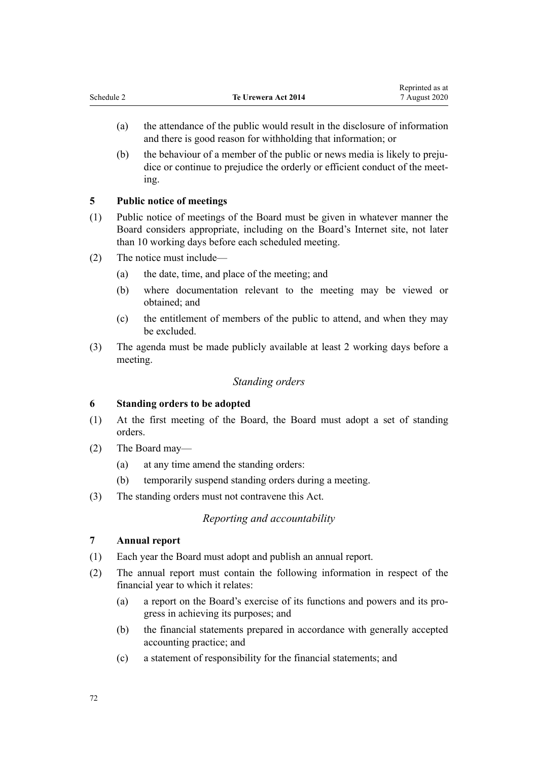- <span id="page-71-0"></span>(a) the attendance of the public would result in the disclosure of information and there is good reason for withholding that information; or
- (b) the behaviour of a member of the public or news media is likely to prejudice or continue to prejudice the orderly or efficient conduct of the meeting.

# **5 Public notice of meetings**

- (1) Public notice of meetings of the Board must be given in whatever manner the Board considers appropriate, including on the Board's Internet site, not later than 10 working days before each scheduled meeting.
- (2) The notice must include—
	- (a) the date, time, and place of the meeting; and
	- (b) where documentation relevant to the meeting may be viewed or obtained; and
	- (c) the entitlement of members of the public to attend, and when they may be excluded.
- (3) The agenda must be made publicly available at least 2 working days before a meeting.

# *Standing orders*

# **6 Standing orders to be adopted**

- (1) At the first meeting of the Board, the Board must adopt a set of standing orders.
- (2) The Board may—
	- (a) at any time amend the standing orders:
	- (b) temporarily suspend standing orders during a meeting.
- (3) The standing orders must not contravene this Act.

# *Reporting and accountability*

# **7 Annual report**

- (1) Each year the Board must adopt and publish an annual report.
- (2) The annual report must contain the following information in respect of the financial year to which it relates:
	- (a) a report on the Board's exercise of its functions and powers and its progress in achieving its purposes; and
	- (b) the financial statements prepared in accordance with generally accepted accounting practice; and
	- (c) a statement of responsibility for the financial statements; and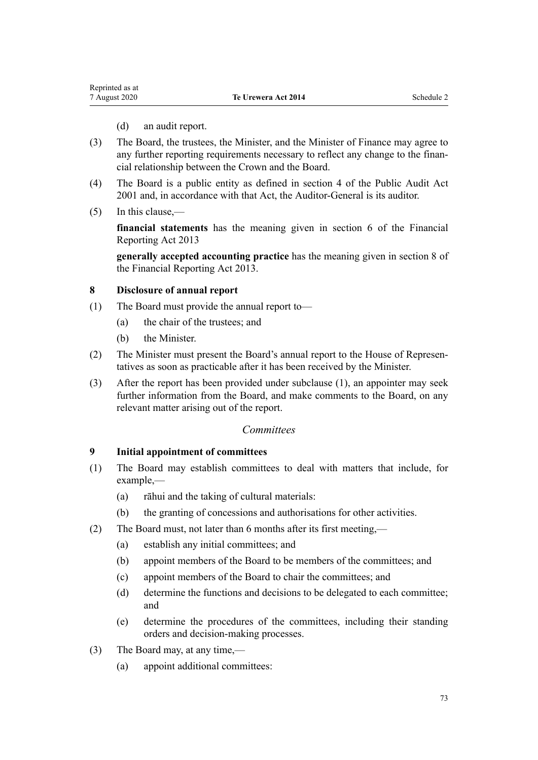- (d) an audit report.
- (3) The Board, the trustees, the Minister, and the Minister of Finance may agree to any further reporting requirements necessary to reflect any change to the financial relationship between the Crown and the Board.
- (4) The Board is a public entity as defined in [section 4](http://legislation.govt.nz/pdflink.aspx?id=DLM88548) of the Public Audit Act 2001 and, in accordance with that Act, the Auditor-General is its auditor.
- (5) In this clause,—

**financial statements** has the meaning given in [section 6](http://legislation.govt.nz/pdflink.aspx?id=DLM4632890) of the Financial Reporting Act 2013

**generally accepted accounting practice** has the meaning given in [section 8](http://legislation.govt.nz/pdflink.aspx?id=DLM4632894) of the Financial Reporting Act 2013.

#### **8 Disclosure of annual report**

- (1) The Board must provide the annual report to—
	- (a) the chair of the trustees; and
	- (b) the Minister.
- (2) The Minister must present the Board's annual report to the House of Representatives as soon as practicable after it has been received by the Minister.
- (3) After the report has been provided under subclause (1), an appointer may seek further information from the Board, and make comments to the Board, on any relevant matter arising out of the report.

### *Committees*

#### **9 Initial appointment of committees**

- (1) The Board may establish committees to deal with matters that include, for example,—
	- (a) rāhui and the taking of cultural materials:
	- (b) the granting of concessions and authorisations for other activities.
- (2) The Board must, not later than 6 months after its first meeting,—
	- (a) establish any initial committees; and
	- (b) appoint members of the Board to be members of the committees; and
	- (c) appoint members of the Board to chair the committees; and
	- (d) determine the functions and decisions to be delegated to each committee; and
	- (e) determine the procedures of the committees, including their standing orders and decision-making processes.
- (3) The Board may, at any time,—
	- (a) appoint additional committees: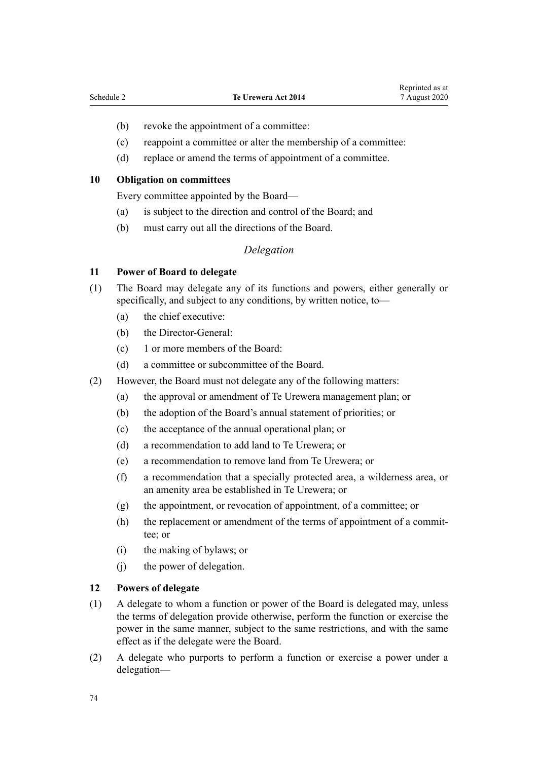- (b) revoke the appointment of a committee:
- (c) reappoint a committee or alter the membership of a committee:
- (d) replace or amend the terms of appointment of a committee.

#### **10 Obligation on committees**

Every committee appointed by the Board—

- (a) is subject to the direction and control of the Board; and
- (b) must carry out all the directions of the Board.

#### *Delegation*

#### **11 Power of Board to delegate**

- (1) The Board may delegate any of its functions and powers, either generally or specifically, and subject to any conditions, by written notice, to—
	- (a) the chief executive:
	- (b) the Director-General:
	- (c) 1 or more members of the Board:
	- (d) a committee or subcommittee of the Board.
- (2) However, the Board must not delegate any of the following matters:
	- (a) the approval or amendment of Te Urewera management plan; or
	- (b) the adoption of the Board's annual statement of priorities; or
	- (c) the acceptance of the annual operational plan; or
	- (d) a recommendation to add land to Te Urewera; or
	- (e) a recommendation to remove land from Te Urewera; or
	- (f) a recommendation that a specially protected area, a wilderness area, or an amenity area be established in Te Urewera; or
	- (g) the appointment, or revocation of appointment, of a committee; or
	- (h) the replacement or amendment of the terms of appointment of a committee; or
	- (i) the making of bylaws; or
	- (j) the power of delegation.

#### **12 Powers of delegate**

- (1) A delegate to whom a function or power of the Board is delegated may, unless the terms of delegation provide otherwise, perform the function or exercise the power in the same manner, subject to the same restrictions, and with the same effect as if the delegate were the Board.
- (2) A delegate who purports to perform a function or exercise a power under a delegation—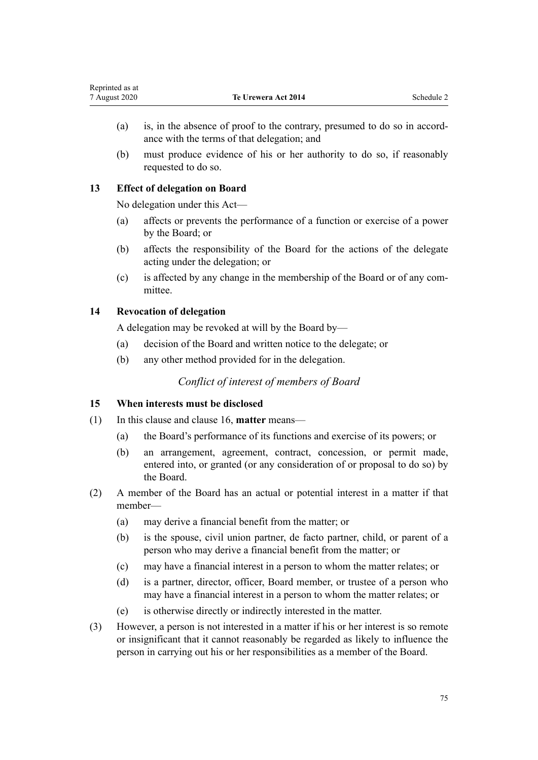- (a) is, in the absence of proof to the contrary, presumed to do so in accordance with the terms of that delegation; and
- (b) must produce evidence of his or her authority to do so, if reasonably requested to do so.

## **13 Effect of delegation on Board**

No delegation under this Act—

- (a) affects or prevents the performance of a function or exercise of a power by the Board; or
- (b) affects the responsibility of the Board for the actions of the delegate acting under the delegation; or
- (c) is affected by any change in the membership of the Board or of any committee.

## **14 Revocation of delegation**

A delegation may be revoked at will by the Board by—

- (a) decision of the Board and written notice to the delegate; or
- (b) any other method provided for in the delegation.

## *Conflict of interest of members of Board*

#### **15 When interests must be disclosed**

- (1) In this clause and [clause 16](#page-75-0), **matter** means—
	- (a) the Board's performance of its functions and exercise of its powers; or
	- (b) an arrangement, agreement, contract, concession, or permit made, entered into, or granted (or any consideration of or proposal to do so) by the Board.
- (2) A member of the Board has an actual or potential interest in a matter if that member—
	- (a) may derive a financial benefit from the matter; or
	- (b) is the spouse, civil union partner, de facto partner, child, or parent of a person who may derive a financial benefit from the matter; or
	- (c) may have a financial interest in a person to whom the matter relates; or
	- (d) is a partner, director, officer, Board member, or trustee of a person who may have a financial interest in a person to whom the matter relates; or
	- (e) is otherwise directly or indirectly interested in the matter.
- (3) However, a person is not interested in a matter if his or her interest is so remote or insignificant that it cannot reasonably be regarded as likely to influence the person in carrying out his or her responsibilities as a member of the Board.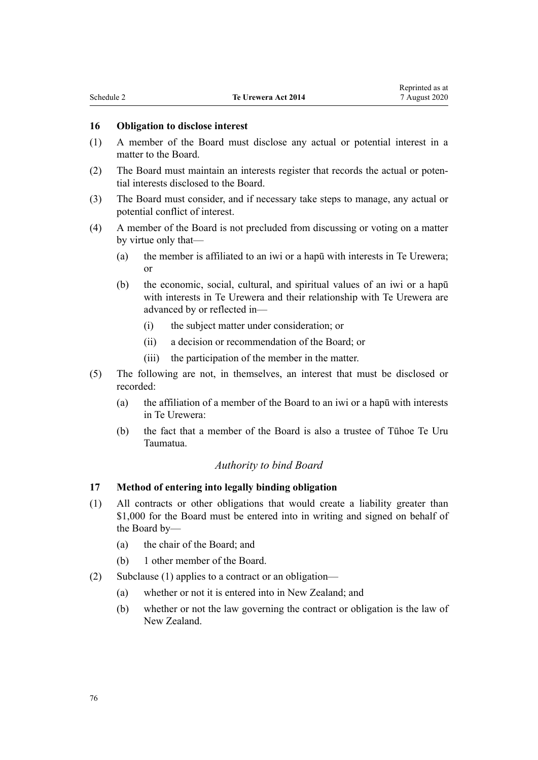#### <span id="page-75-0"></span>**16 Obligation to disclose interest**

- (1) A member of the Board must disclose any actual or potential interest in a matter to the Board.
- (2) The Board must maintain an interests register that records the actual or potential interests disclosed to the Board.
- (3) The Board must consider, and if necessary take steps to manage, any actual or potential conflict of interest.
- (4) A member of the Board is not precluded from discussing or voting on a matter by virtue only that—
	- (a) the member is affiliated to an iwi or a hapū with interests in Te Urewera; or
	- (b) the economic, social, cultural, and spiritual values of an iwi or a hapū with interests in Te Urewera and their relationship with Te Urewera are advanced by or reflected in—
		- (i) the subject matter under consideration; or
		- (ii) a decision or recommendation of the Board; or
		- (iii) the participation of the member in the matter.
- (5) The following are not, in themselves, an interest that must be disclosed or recorded:
	- (a) the affiliation of a member of the Board to an iwi or a hapū with interests in Te Urewera:
	- (b) the fact that a member of the Board is also a trustee of Tūhoe Te Uru Taumatua.

#### *Authority to bind Board*

#### **17 Method of entering into legally binding obligation**

- (1) All contracts or other obligations that would create a liability greater than \$1,000 for the Board must be entered into in writing and signed on behalf of the Board by—
	- (a) the chair of the Board; and
	- (b) 1 other member of the Board.
- (2) Subclause (1) applies to a contract or an obligation—
	- (a) whether or not it is entered into in New Zealand; and
	- (b) whether or not the law governing the contract or obligation is the law of New Zealand.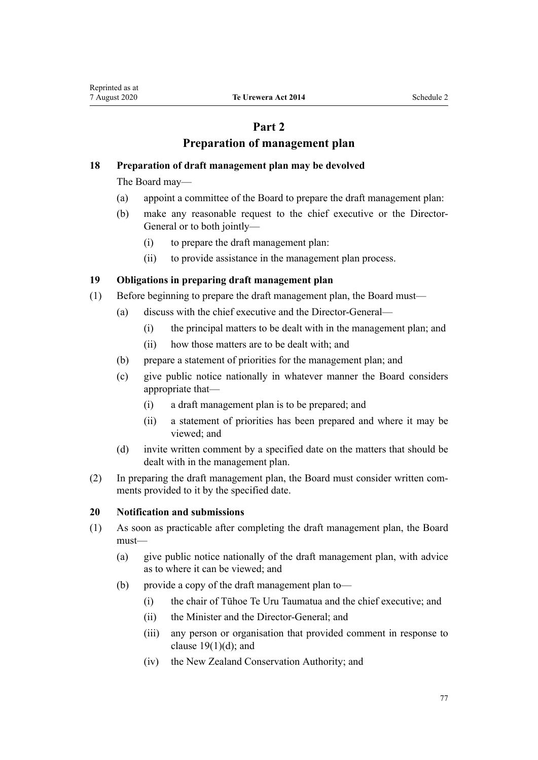## **Part 2**

## **Preparation of management plan**

### **18 Preparation of draft management plan may be devolved**

The Board may—

- (a) appoint a committee of the Board to prepare the draft management plan:
- (b) make any reasonable request to the chief executive or the Director-General or to both jointly—
	- (i) to prepare the draft management plan:
	- (ii) to provide assistance in the management plan process.

#### **19 Obligations in preparing draft management plan**

- (1) Before beginning to prepare the draft management plan, the Board must—
	- (a) discuss with the chief executive and the Director-General—
		- (i) the principal matters to be dealt with in the management plan; and
		- (ii) how those matters are to be dealt with; and
	- (b) prepare a statement of priorities for the management plan; and
	- (c) give public notice nationally in whatever manner the Board considers appropriate that—
		- (i) a draft management plan is to be prepared; and
		- (ii) a statement of priorities has been prepared and where it may be viewed; and
	- (d) invite written comment by a specified date on the matters that should be dealt with in the management plan.
- (2) In preparing the draft management plan, the Board must consider written comments provided to it by the specified date.

#### **20 Notification and submissions**

- (1) As soon as practicable after completing the draft management plan, the Board must—
	- (a) give public notice nationally of the draft management plan, with advice as to where it can be viewed; and
	- (b) provide a copy of the draft management plan to—
		- (i) the chair of Tūhoe Te Uru Taumatua and the chief executive; and
		- (ii) the Minister and the Director-General; and
		- (iii) any person or organisation that provided comment in response to clause  $19(1)(d)$ ; and
		- (iv) the New Zealand Conservation Authority; and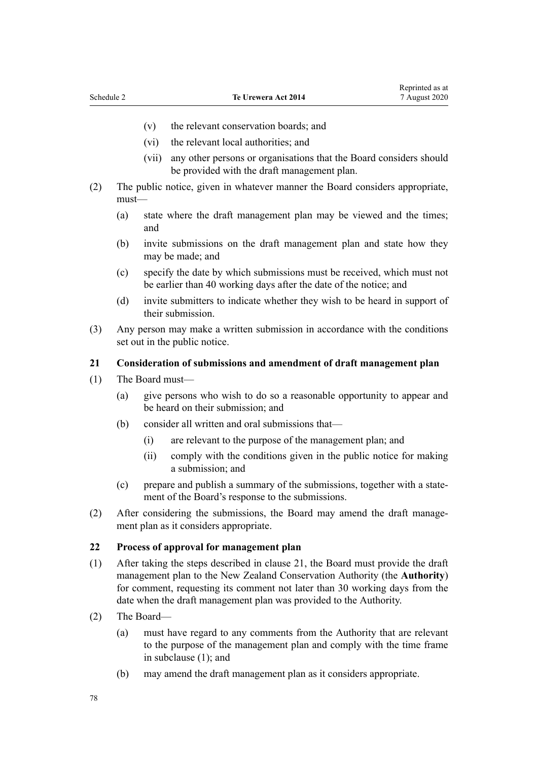- <span id="page-77-0"></span>(v) the relevant conservation boards; and
- (vi) the relevant local authorities; and
- (vii) any other persons or organisations that the Board considers should be provided with the draft management plan.
- (2) The public notice, given in whatever manner the Board considers appropriate, must—
	- (a) state where the draft management plan may be viewed and the times; and
	- (b) invite submissions on the draft management plan and state how they may be made; and
	- (c) specify the date by which submissions must be received, which must not be earlier than 40 working days after the date of the notice; and
	- (d) invite submitters to indicate whether they wish to be heard in support of their submission.
- (3) Any person may make a written submission in accordance with the conditions set out in the public notice.

#### **21 Consideration of submissions and amendment of draft management plan**

- (1) The Board must—
	- (a) give persons who wish to do so a reasonable opportunity to appear and be heard on their submission; and
	- (b) consider all written and oral submissions that—
		- (i) are relevant to the purpose of the management plan; and
		- (ii) comply with the conditions given in the public notice for making a submission; and
	- (c) prepare and publish a summary of the submissions, together with a statement of the Board's response to the submissions.
- (2) After considering the submissions, the Board may amend the draft management plan as it considers appropriate.

#### **22 Process of approval for management plan**

- (1) After taking the steps described in clause 21, the Board must provide the draft management plan to the New Zealand Conservation Authority (the **Authority**) for comment, requesting its comment not later than 30 working days from the date when the draft management plan was provided to the Authority.
- (2) The Board—
	- (a) must have regard to any comments from the Authority that are relevant to the purpose of the management plan and comply with the time frame in subclause (1); and
	- (b) may amend the draft management plan as it considers appropriate.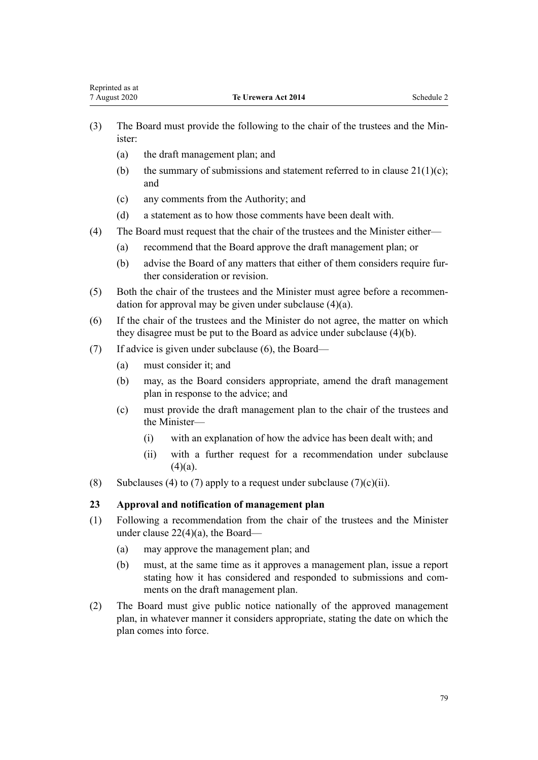- (3) The Board must provide the following to the chair of the trustees and the Minister:
	- (a) the draft management plan; and
	- (b) the summary of submissions and statement referred to in clause  $21(1)(c)$ ; and
	- (c) any comments from the Authority; and
	- (d) a statement as to how those comments have been dealt with.
- (4) The Board must request that the chair of the trustees and the Minister either—
	- (a) recommend that the Board approve the draft management plan; or
	- (b) advise the Board of any matters that either of them considers require further consideration or revision.
- (5) Both the chair of the trustees and the Minister must agree before a recommendation for approval may be given under subclause (4)(a).
- (6) If the chair of the trustees and the Minister do not agree, the matter on which they disagree must be put to the Board as advice under subclause (4)(b).
- (7) If advice is given under subclause (6), the Board—
	- (a) must consider it; and
	- (b) may, as the Board considers appropriate, amend the draft management plan in response to the advice; and
	- (c) must provide the draft management plan to the chair of the trustees and the Minister—
		- (i) with an explanation of how the advice has been dealt with; and
		- (ii) with a further request for a recommendation under subclause  $(4)(a)$ .
- (8) Subclauses (4) to (7) apply to a request under subclause (7)(c)(ii).

## **23 Approval and notification of management plan**

- (1) Following a recommendation from the chair of the trustees and the Minister under [clause 22\(4\)\(a\),](#page-77-0) the Board—
	- (a) may approve the management plan; and
	- (b) must, at the same time as it approves a management plan, issue a report stating how it has considered and responded to submissions and comments on the draft management plan.
- (2) The Board must give public notice nationally of the approved management plan, in whatever manner it considers appropriate, stating the date on which the plan comes into force.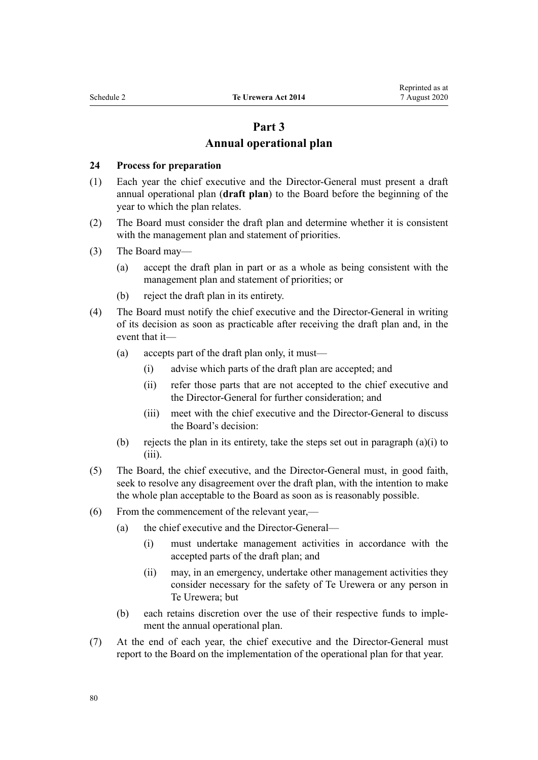## **Part 3 Annual operational plan**

#### **24 Process for preparation**

- (1) Each year the chief executive and the Director-General must present a draft annual operational plan (**draft plan**) to the Board before the beginning of the year to which the plan relates.
- (2) The Board must consider the draft plan and determine whether it is consistent with the management plan and statement of priorities.
- (3) The Board may—
	- (a) accept the draft plan in part or as a whole as being consistent with the management plan and statement of priorities; or
	- (b) reject the draft plan in its entirety.
- (4) The Board must notify the chief executive and the Director-General in writing of its decision as soon as practicable after receiving the draft plan and, in the event that it—
	- (a) accepts part of the draft plan only, it must—
		- (i) advise which parts of the draft plan are accepted; and
		- (ii) refer those parts that are not accepted to the chief executive and the Director-General for further consideration; and
		- (iii) meet with the chief executive and the Director-General to discuss the Board's decision:
	- (b) rejects the plan in its entirety, take the steps set out in paragraph (a)(i) to (iii).
- (5) The Board, the chief executive, and the Director-General must, in good faith, seek to resolve any disagreement over the draft plan, with the intention to make the whole plan acceptable to the Board as soon as is reasonably possible.
- (6) From the commencement of the relevant year,—
	- (a) the chief executive and the Director-General—
		- (i) must undertake management activities in accordance with the accepted parts of the draft plan; and
		- (ii) may, in an emergency, undertake other management activities they consider necessary for the safety of Te Urewera or any person in Te Urewera; but
	- (b) each retains discretion over the use of their respective funds to implement the annual operational plan.
- (7) At the end of each year, the chief executive and the Director-General must report to the Board on the implementation of the operational plan for that year.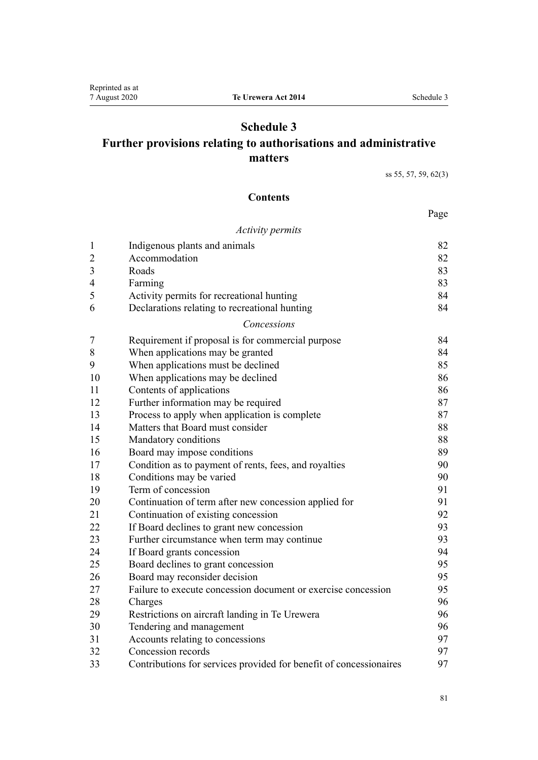## **Schedule 3**

## **Further provisions relating to authorisations and administrative matters**

[ss 55](#page-30-0), [57, 59](#page-31-0), [62\(3\)](#page-32-0)

## **Contents**

#### Page

#### *[Activity permits](#page-81-0)*

| 1              | Indigenous plants and animals                                      | 82 |
|----------------|--------------------------------------------------------------------|----|
| $\overline{c}$ | Accommodation                                                      | 82 |
| 3              | Roads                                                              | 83 |
| $\overline{4}$ | Farming                                                            | 83 |
| 5              | Activity permits for recreational hunting                          | 84 |
| 6              | Declarations relating to recreational hunting                      | 84 |
|                | Concessions                                                        |    |
| $\overline{7}$ | Requirement if proposal is for commercial purpose                  | 84 |
| 8              | When applications may be granted                                   | 84 |
| 9              | When applications must be declined                                 | 85 |
| 10             | When applications may be declined                                  | 86 |
| 11             | Contents of applications                                           | 86 |
| 12             | Further information may be required                                | 87 |
| 13             | Process to apply when application is complete                      | 87 |
| 14             | Matters that Board must consider                                   | 88 |
| 15             | Mandatory conditions                                               | 88 |
| 16             | Board may impose conditions                                        | 89 |
| 17             | Condition as to payment of rents, fees, and royalties              | 90 |
| 18             | Conditions may be varied                                           | 90 |
| 19             | Term of concession                                                 | 91 |
| 20             | Continuation of term after new concession applied for              | 91 |
| 21             | Continuation of existing concession                                | 92 |
| 22             | If Board declines to grant new concession                          | 93 |
| 23             | Further circumstance when term may continue                        | 93 |
| 24             | If Board grants concession                                         | 94 |
| 25             | Board declines to grant concession                                 | 95 |
| 26             | Board may reconsider decision                                      | 95 |
| 27             | Failure to execute concession document or exercise concession      | 95 |
| 28             | Charges                                                            | 96 |
| 29             | Restrictions on aircraft landing in Te Urewera                     | 96 |
| 30             | Tendering and management                                           | 96 |
| 31             | Accounts relating to concessions                                   | 97 |
| 32             | Concession records                                                 | 97 |
| 33             | Contributions for services provided for benefit of concessionaires | 97 |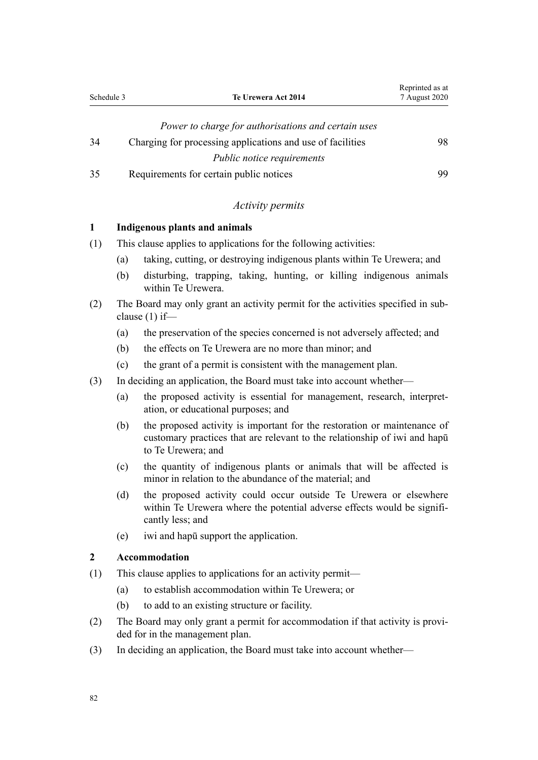<span id="page-81-0"></span>

| Schedule 3 | Te Urewera Act 2014                                        | 7 August 2020 |
|------------|------------------------------------------------------------|---------------|
|            | Power to charge for authorisations and certain uses        |               |
| 34         | Charging for processing applications and use of facilities | 98.           |
|            | <i>Public notice requirements</i>                          |               |

Reprinted as at

[35](#page-98-0) [Requirements for certain public notices](#page-98-0) [99](#page-98-0)

## *Activity permits*

#### **1 Indigenous plants and animals**

- (1) This clause applies to applications for the following activities:
	- (a) taking, cutting, or destroying indigenous plants within Te Urewera; and
	- (b) disturbing, trapping, taking, hunting, or killing indigenous animals within Te Urewera.
- (2) The Board may only grant an activity permit for the activities specified in subclause (1) if—
	- (a) the preservation of the species concerned is not adversely affected; and
	- (b) the effects on Te Urewera are no more than minor; and
	- (c) the grant of a permit is consistent with the management plan.
- (3) In deciding an application, the Board must take into account whether—
	- (a) the proposed activity is essential for management, research, interpretation, or educational purposes; and
	- (b) the proposed activity is important for the restoration or maintenance of customary practices that are relevant to the relationship of iwi and hapū to Te Urewera; and
	- (c) the quantity of indigenous plants or animals that will be affected is minor in relation to the abundance of the material; and
	- (d) the proposed activity could occur outside Te Urewera or elsewhere within Te Urewera where the potential adverse effects would be significantly less; and
	- (e) iwi and hapū support the application.

#### **2 Accommodation**

- (1) This clause applies to applications for an activity permit—
	- (a) to establish accommodation within Te Urewera; or
	- (b) to add to an existing structure or facility.
- (2) The Board may only grant a permit for accommodation if that activity is provided for in the management plan.
- (3) In deciding an application, the Board must take into account whether—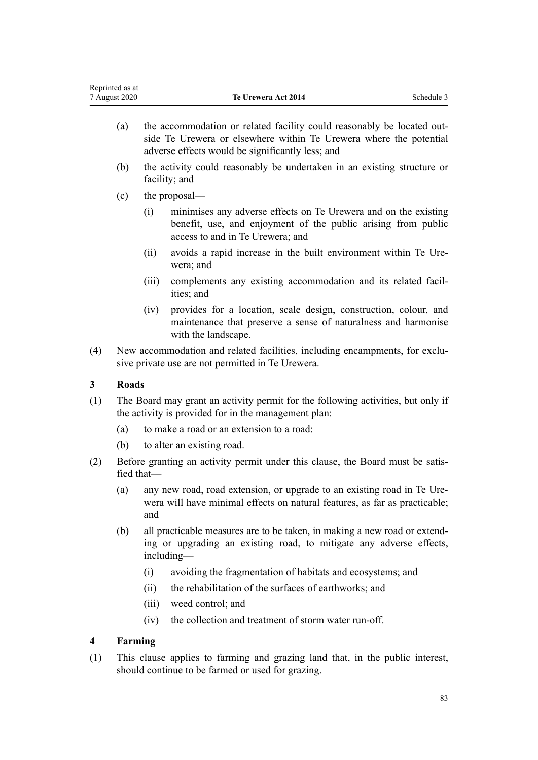|              | 7 August 2020 |                                                                                                                                          | Te Urewera Act 2014                                                                                                                                                                              | Schedule 3 |  |
|--------------|---------------|------------------------------------------------------------------------------------------------------------------------------------------|--------------------------------------------------------------------------------------------------------------------------------------------------------------------------------------------------|------------|--|
|              | (a)           |                                                                                                                                          | the accommodation or related facility could reasonably be located out-<br>side Te Urewera or elsewhere within Te Urewera where the potential<br>adverse effects would be significantly less; and |            |  |
|              | (b)           |                                                                                                                                          | the activity could reasonably be undertaken in an existing structure or<br>facility; and                                                                                                         |            |  |
|              | (c)           |                                                                                                                                          | the proposal—                                                                                                                                                                                    |            |  |
|              |               | (i)                                                                                                                                      | minimises any adverse effects on Te Urewera and on the existing<br>benefit, use, and enjoyment of the public arising from public<br>access to and in Te Urewera; and                             |            |  |
|              |               | (ii)                                                                                                                                     | avoids a rapid increase in the built environment within Te Ure-<br>wera; and                                                                                                                     |            |  |
|              |               | (iii)                                                                                                                                    | complements any existing accommodation and its related facil-<br>ities; and                                                                                                                      |            |  |
|              |               | (iv)                                                                                                                                     | provides for a location, scale design, construction, colour, and<br>maintenance that preserve a sense of naturalness and harmonise<br>with the landscape.                                        |            |  |
| (4)          |               | New accommodation and related facilities, including encampments, for exclu-<br>sive private use are not permitted in Te Urewera.         |                                                                                                                                                                                                  |            |  |
| $\mathbf{3}$ | <b>Roads</b>  |                                                                                                                                          |                                                                                                                                                                                                  |            |  |
| (1)          |               | The Board may grant an activity permit for the following activities, but only if<br>the activity is provided for in the management plan: |                                                                                                                                                                                                  |            |  |
|              | (a)           |                                                                                                                                          | to make a road or an extension to a road:                                                                                                                                                        |            |  |
|              | (b)           |                                                                                                                                          | to alter an existing road.                                                                                                                                                                       |            |  |
| (2)          |               | Before granting an activity permit under this clause, the Board must be satis-<br>fied that-                                             |                                                                                                                                                                                                  |            |  |
|              | (a)           | and                                                                                                                                      | any new road, road extension, or upgrade to an existing road in Te Ure-<br>wera will have minimal effects on natural features, as far as practicable;                                            |            |  |
|              | (b)           |                                                                                                                                          | all practicable measures are to be taken, in making a new road or extend-<br>ing or upgrading an existing road, to mitigate any adverse effects,<br>including—                                   |            |  |
|              |               | (i)                                                                                                                                      | avoiding the fragmentation of habitats and ecosystems; and                                                                                                                                       |            |  |
|              |               | (ii)                                                                                                                                     | the rehabilitation of the surfaces of earthworks; and                                                                                                                                            |            |  |
|              |               | (iii)                                                                                                                                    | weed control; and                                                                                                                                                                                |            |  |
|              |               | (iv)                                                                                                                                     | the collection and treatment of storm water run-off.                                                                                                                                             |            |  |
| 4            | Farming       |                                                                                                                                          |                                                                                                                                                                                                  |            |  |
| (1)          |               |                                                                                                                                          | This clause applies to farming and grazing land that, in the public interest,<br>should continue to be farmed or used for grazing.                                                               |            |  |
|              |               |                                                                                                                                          |                                                                                                                                                                                                  |            |  |

<span id="page-82-0"></span>Reprinted as at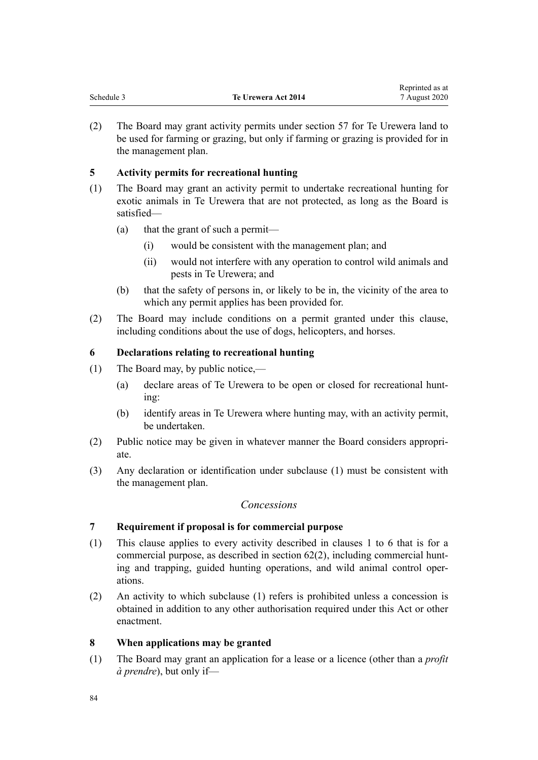<span id="page-83-0"></span>

|            |                     | Reprinted as at |
|------------|---------------------|-----------------|
| Schedule 3 | Te Urewera Act 2014 | 7 August 2020   |

(2) The Board may grant activity permits under [section 57](#page-31-0) for Te Urewera land to be used for farming or grazing, but only if farming or grazing is provided for in the management plan.

## **5 Activity permits for recreational hunting**

- (1) The Board may grant an activity permit to undertake recreational hunting for exotic animals in Te Urewera that are not protected, as long as the Board is satisfied—
	- (a) that the grant of such a permit—
		- (i) would be consistent with the management plan; and
		- (ii) would not interfere with any operation to control wild animals and pests in Te Urewera; and
	- (b) that the safety of persons in, or likely to be in, the vicinity of the area to which any permit applies has been provided for.
- (2) The Board may include conditions on a permit granted under this clause, including conditions about the use of dogs, helicopters, and horses.

## **6 Declarations relating to recreational hunting**

- (1) The Board may, by public notice,—
	- (a) declare areas of Te Urewera to be open or closed for recreational hunting:
	- (b) identify areas in Te Urewera where hunting may, with an activity permit, be undertaken.
- (2) Public notice may be given in whatever manner the Board considers appropriate.
- (3) Any declaration or identification under subclause (1) must be consistent with the management plan.

## *Concessions*

## **7 Requirement if proposal is for commercial purpose**

- (1) This clause applies to every activity described in [clauses 1 to 6](#page-81-0) that is for a commercial purpose, as described in [section 62\(2\),](#page-32-0) including commercial hunting and trapping, guided hunting operations, and wild animal control operations.
- (2) An activity to which subclause (1) refers is prohibited unless a concession is obtained in addition to any other authorisation required under this Act or other enactment.

## **8 When applications may be granted**

(1) The Board may grant an application for a lease or a licence (other than a *profit à prendre*), but only if—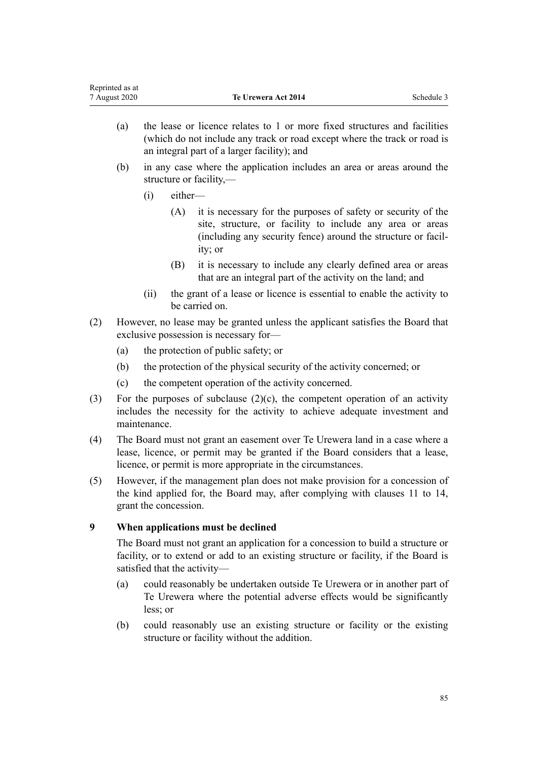- <span id="page-84-0"></span>(a) the lease or licence relates to 1 or more fixed structures and facilities (which do not include any track or road except where the track or road is an integral part of a larger facility); and
- (b) in any case where the application includes an area or areas around the structure or facility,—
	- (i) either—
		- (A) it is necessary for the purposes of safety or security of the site, structure, or facility to include any area or areas (including any security fence) around the structure or facility; or
		- (B) it is necessary to include any clearly defined area or areas that are an integral part of the activity on the land; and
	- (ii) the grant of a lease or licence is essential to enable the activity to be carried on.
- (2) However, no lease may be granted unless the applicant satisfies the Board that exclusive possession is necessary for—
	- (a) the protection of public safety; or
	- (b) the protection of the physical security of the activity concerned; or
	- (c) the competent operation of the activity concerned.
- (3) For the purposes of subclause  $(2)(c)$ , the competent operation of an activity includes the necessity for the activity to achieve adequate investment and maintenance.
- (4) The Board must not grant an easement over Te Urewera land in a case where a lease, licence, or permit may be granted if the Board considers that a lease, licence, or permit is more appropriate in the circumstances.
- (5) However, if the management plan does not make provision for a concession of the kind applied for, the Board may, after complying with [clauses 11 to 14](#page-85-0), grant the concession.

## **9 When applications must be declined**

The Board must not grant an application for a concession to build a structure or facility, or to extend or add to an existing structure or facility, if the Board is satisfied that the activity—

- (a) could reasonably be undertaken outside Te Urewera or in another part of Te Urewera where the potential adverse effects would be significantly less; or
- (b) could reasonably use an existing structure or facility or the existing structure or facility without the addition.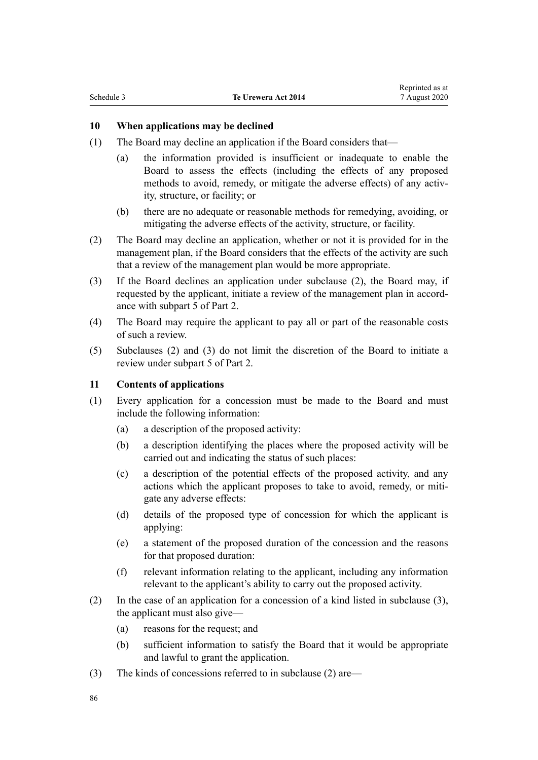### <span id="page-85-0"></span>**10 When applications may be declined**

- (1) The Board may decline an application if the Board considers that—
	- (a) the information provided is insufficient or inadequate to enable the Board to assess the effects (including the effects of any proposed methods to avoid, remedy, or mitigate the adverse effects) of any activity, structure, or facility; or
	- (b) there are no adequate or reasonable methods for remedying, avoiding, or mitigating the adverse effects of the activity, structure, or facility.
- (2) The Board may decline an application, whether or not it is provided for in the management plan, if the Board considers that the effects of the activity are such that a review of the management plan would be more appropriate.
- (3) If the Board declines an application under subclause (2), the Board may, if requested by the applicant, initiate a review of the management plan in accordance with [subpart 5](#page-33-0) of Part 2.
- (4) The Board may require the applicant to pay all or part of the reasonable costs of such a review.
- (5) Subclauses (2) and (3) do not limit the discretion of the Board to initiate a review under [subpart 5](#page-33-0) of Part 2.

#### **11 Contents of applications**

- (1) Every application for a concession must be made to the Board and must include the following information:
	- (a) a description of the proposed activity:
	- (b) a description identifying the places where the proposed activity will be carried out and indicating the status of such places:
	- (c) a description of the potential effects of the proposed activity, and any actions which the applicant proposes to take to avoid, remedy, or mitigate any adverse effects:
	- (d) details of the proposed type of concession for which the applicant is applying:
	- (e) a statement of the proposed duration of the concession and the reasons for that proposed duration:
	- (f) relevant information relating to the applicant, including any information relevant to the applicant's ability to carry out the proposed activity.
- (2) In the case of an application for a concession of a kind listed in subclause (3), the applicant must also give—
	- (a) reasons for the request; and
	- (b) sufficient information to satisfy the Board that it would be appropriate and lawful to grant the application.
- (3) The kinds of concessions referred to in subclause (2) are—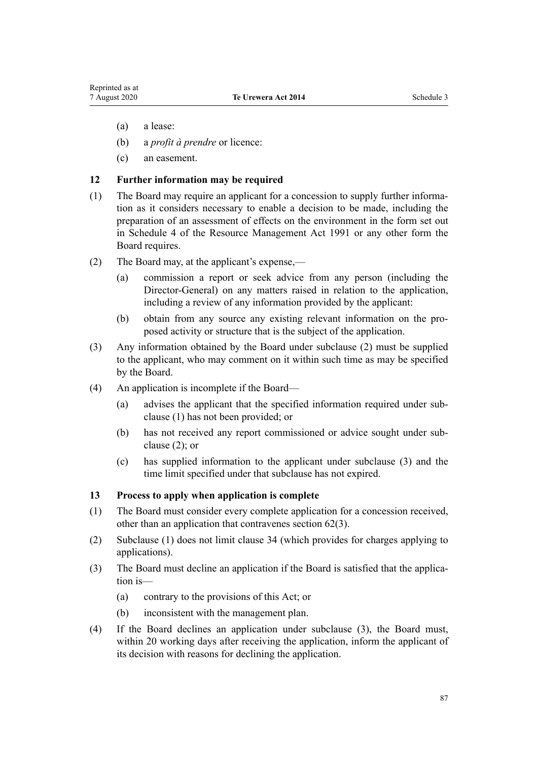- <span id="page-86-0"></span>(a) a lease:
- (b) a *profit à prendre* or licence:
- (c) an easement.

#### **12 Further information may be required**

- (1) The Board may require an applicant for a concession to supply further information as it considers necessary to enable a decision to be made, including the preparation of an assessment of effects on the environment in the form set out in Schedule 4 of the Resource Management Act 1991 or any other form the Board requires.
- (2) The Board may, at the applicant's expense,—
	- (a) commission a report or seek advice from any person (including the Director-General) on any matters raised in relation to the application, including a review of any information provided by the applicant:
	- (b) obtain from any source any existing relevant information on the proposed activity or structure that is the subject of the application.
- (3) Any information obtained by the Board under subclause (2) must be supplied to the applicant, who may comment on it within such time as may be specified by the Board.
- (4) An application is incomplete if the Board—
	- (a) advises the applicant that the specified information required under subclause (1) has not been provided; or
	- (b) has not received any report commissioned or advice sought under subclause (2); or
	- (c) has supplied information to the applicant under subclause (3) and the time limit specified under that subclause has not expired.

#### **13 Process to apply when application is complete**

- (1) The Board must consider every complete application for a concession received, other than an application that contravenes [section 62\(3\)](#page-32-0).
- (2) Subclause (1) does not limit [clause 34](#page-97-0) (which provides for charges applying to applications).
- (3) The Board must decline an application if the Board is satisfied that the application is—
	- (a) contrary to the provisions of this Act; or
	- (b) inconsistent with the management plan.
- (4) If the Board declines an application under subclause (3), the Board must, within 20 working days after receiving the application, inform the applicant of its decision with reasons for declining the application.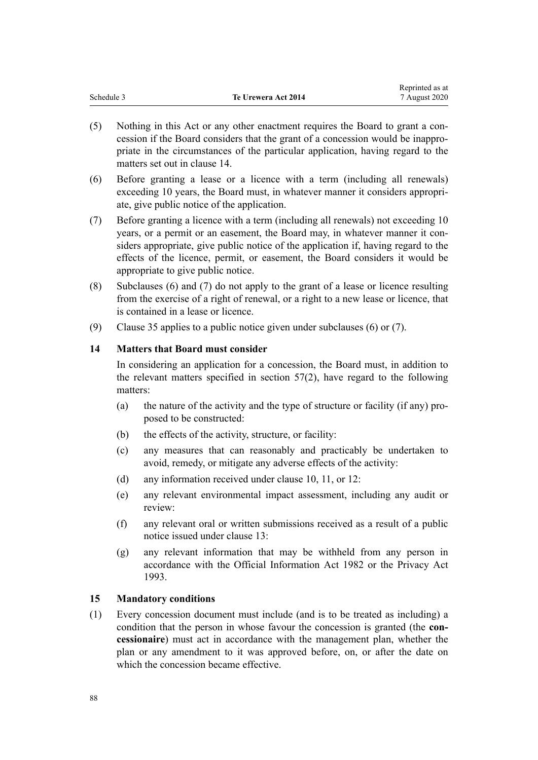<span id="page-87-0"></span>

| www.com<br>7 August 2020 |
|--------------------------|
|                          |

Reprinted as at

- (5) Nothing in this Act or any other enactment requires the Board to grant a concession if the Board considers that the grant of a concession would be inappropriate in the circumstances of the particular application, having regard to the matters set out in clause 14.
- (6) Before granting a lease or a licence with a term (including all renewals) exceeding 10 years, the Board must, in whatever manner it considers appropriate, give public notice of the application.
- (7) Before granting a licence with a term (including all renewals) not exceeding 10 years, or a permit or an easement, the Board may, in whatever manner it considers appropriate, give public notice of the application if, having regard to the effects of the licence, permit, or easement, the Board considers it would be appropriate to give public notice.
- (8) Subclauses (6) and (7) do not apply to the grant of a lease or licence resulting from the exercise of a right of renewal, or a right to a new lease or licence, that is contained in a lease or licence.
- (9) [Clause 35](#page-98-0) applies to a public notice given under subclauses (6) or (7).

#### **14 Matters that Board must consider**

In considering an application for a concession, the Board must, in addition to the relevant matters specified in [section 57\(2\),](#page-31-0) have regard to the following matters:

- (a) the nature of the activity and the type of structure or facility (if any) proposed to be constructed:
- (b) the effects of the activity, structure, or facility:
- (c) any measures that can reasonably and practicably be undertaken to avoid, remedy, or mitigate any adverse effects of the activity:
- (d) any information received under [clause 10,](#page-85-0) [11,](#page-85-0) or [12](#page-86-0):
- (e) any relevant environmental impact assessment, including any audit or review:
- (f) any relevant oral or written submissions received as a result of a public notice issued under [clause 13:](#page-86-0)
- (g) any relevant information that may be withheld from any person in accordance with the Official Information Act 1982 or the Privacy Act 1993.

#### **15 Mandatory conditions**

(1) Every concession document must include (and is to be treated as including) a condition that the person in whose favour the concession is granted (the **concessionaire**) must act in accordance with the management plan, whether the plan or any amendment to it was approved before, on, or after the date on which the concession became effective.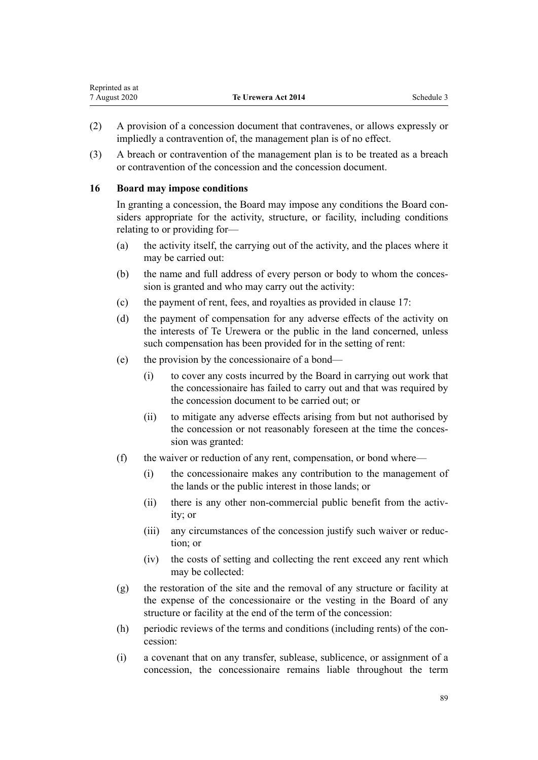| Reprinted as at |                     |            |
|-----------------|---------------------|------------|
| 7 August 2020   | Te Urewera Act 2014 | Schedule 3 |

- (2) A provision of a concession document that contravenes, or allows expressly or impliedly a contravention of, the management plan is of no effect.
- (3) A breach or contravention of the management plan is to be treated as a breach or contravention of the concession and the concession document.

#### **16 Board may impose conditions**

<span id="page-88-0"></span>Representative as a set of the set of the set of the set of the set of the set of the set of the set of the set of the set of the set of the set of the set of the set of the set of the set of the set of the set of the set

In granting a concession, the Board may impose any conditions the Board considers appropriate for the activity, structure, or facility, including conditions relating to or providing for—

- (a) the activity itself, the carrying out of the activity, and the places where it may be carried out:
- (b) the name and full address of every person or body to whom the concession is granted and who may carry out the activity:
- (c) the payment of rent, fees, and royalties as provided in [clause 17](#page-89-0):
- (d) the payment of compensation for any adverse effects of the activity on the interests of Te Urewera or the public in the land concerned, unless such compensation has been provided for in the setting of rent:
- (e) the provision by the concessionaire of a bond—
	- (i) to cover any costs incurred by the Board in carrying out work that the concessionaire has failed to carry out and that was required by the concession document to be carried out; or
	- (ii) to mitigate any adverse effects arising from but not authorised by the concession or not reasonably foreseen at the time the concession was granted:
- (f) the waiver or reduction of any rent, compensation, or bond where—
	- (i) the concessionaire makes any contribution to the management of the lands or the public interest in those lands; or
	- (ii) there is any other non-commercial public benefit from the activity; or
	- (iii) any circumstances of the concession justify such waiver or reduction; or
	- (iv) the costs of setting and collecting the rent exceed any rent which may be collected:
- (g) the restoration of the site and the removal of any structure or facility at the expense of the concessionaire or the vesting in the Board of any structure or facility at the end of the term of the concession:
- (h) periodic reviews of the terms and conditions (including rents) of the concession:
- (i) a covenant that on any transfer, sublease, sublicence, or assignment of a concession, the concessionaire remains liable throughout the term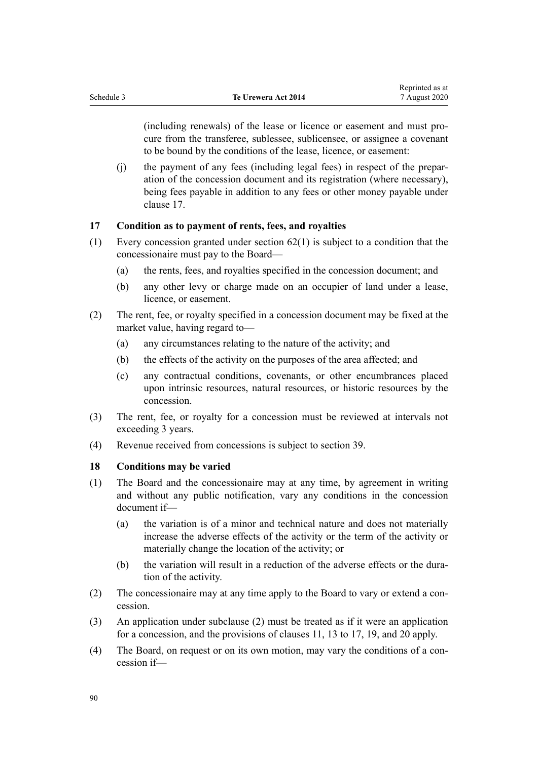<span id="page-89-0"></span>(including renewals) of the lease or licence or easement and must procure from the transferee, sublessee, sublicensee, or assignee a covenant to be bound by the conditions of the lease, licence, or easement:

(j) the payment of any fees (including legal fees) in respect of the preparation of the concession document and its registration (where necessary), being fees payable in addition to any fees or other money payable under clause 17.

### **17 Condition as to payment of rents, fees, and royalties**

- (1) Every concession granted under [section 62\(1\)](#page-32-0) is subject to a condition that the concessionaire must pay to the Board—
	- (a) the rents, fees, and royalties specified in the concession document; and
	- (b) any other levy or charge made on an occupier of land under a lease, licence, or easement.
- (2) The rent, fee, or royalty specified in a concession document may be fixed at the market value, having regard to—
	- (a) any circumstances relating to the nature of the activity; and
	- (b) the effects of the activity on the purposes of the area affected; and
	- (c) any contractual conditions, covenants, or other encumbrances placed upon intrinsic resources, natural resources, or historic resources by the concession.
- (3) The rent, fee, or royalty for a concession must be reviewed at intervals not exceeding 3 years.
- (4) Revenue received from concessions is subject to [section 39.](#page-23-0)

#### **18 Conditions may be varied**

- (1) The Board and the concessionaire may at any time, by agreement in writing and without any public notification, vary any conditions in the concession document if—
	- (a) the variation is of a minor and technical nature and does not materially increase the adverse effects of the activity or the term of the activity or materially change the location of the activity; or
	- (b) the variation will result in a reduction of the adverse effects or the duration of the activity.
- (2) The concessionaire may at any time apply to the Board to vary or extend a concession.
- (3) An application under subclause (2) must be treated as if it were an application for a concession, and the provisions of [clauses 11](#page-85-0), [13](#page-86-0) to 17, [19](#page-90-0), and [20](#page-90-0) apply.
- (4) The Board, on request or on its own motion, may vary the conditions of a concession if—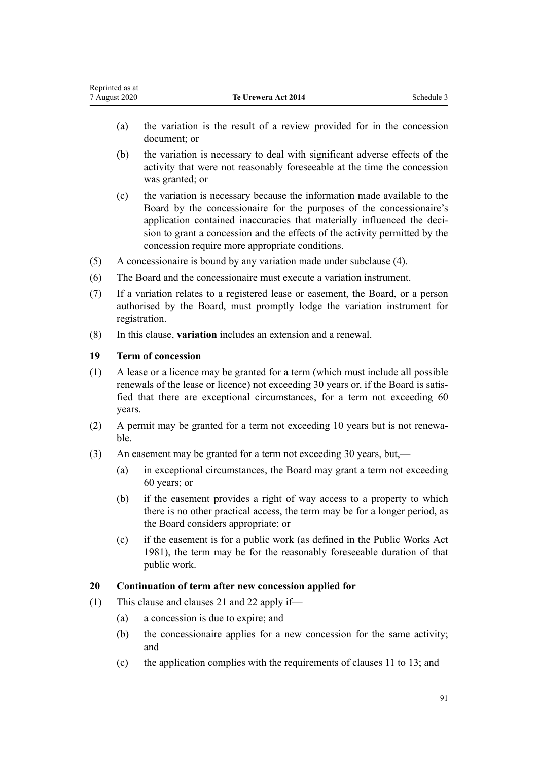- <span id="page-90-0"></span>(a) the variation is the result of a review provided for in the concession document; or
- (b) the variation is necessary to deal with significant adverse effects of the activity that were not reasonably foreseeable at the time the concession was granted; or
- (c) the variation is necessary because the information made available to the Board by the concessionaire for the purposes of the concessionaire's application contained inaccuracies that materially influenced the decision to grant a concession and the effects of the activity permitted by the concession require more appropriate conditions.
- (5) A concessionaire is bound by any variation made under subclause (4).
- (6) The Board and the concessionaire must execute a variation instrument.
- (7) If a variation relates to a registered lease or easement, the Board, or a person authorised by the Board, must promptly lodge the variation instrument for registration.
- (8) In this clause, **variation** includes an extension and a renewal.

## **19 Term of concession**

- (1) A lease or a licence may be granted for a term (which must include all possible renewals of the lease or licence) not exceeding 30 years or, if the Board is satisfied that there are exceptional circumstances, for a term not exceeding 60 years.
- (2) A permit may be granted for a term not exceeding 10 years but is not renewable.
- (3) An easement may be granted for a term not exceeding 30 years, but,—
	- (a) in exceptional circumstances, the Board may grant a term not exceeding 60 years; or
	- (b) if the easement provides a right of way access to a property to which there is no other practical access, the term may be for a longer period, as the Board considers appropriate; or
	- (c) if the easement is for a public work (as defined in the [Public Works Act](http://legislation.govt.nz/pdflink.aspx?id=DLM45426) [1981](http://legislation.govt.nz/pdflink.aspx?id=DLM45426)), the term may be for the reasonably foreseeable duration of that public work.

## **20 Continuation of term after new concession applied for**

- (1) This clause and [clauses 21](#page-91-0) and [22](#page-92-0) apply if—
	- (a) a concession is due to expire; and
	- (b) the concessionaire applies for a new concession for the same activity; and
	- (c) the application complies with the requirements of [clauses 11 to 13](#page-85-0); and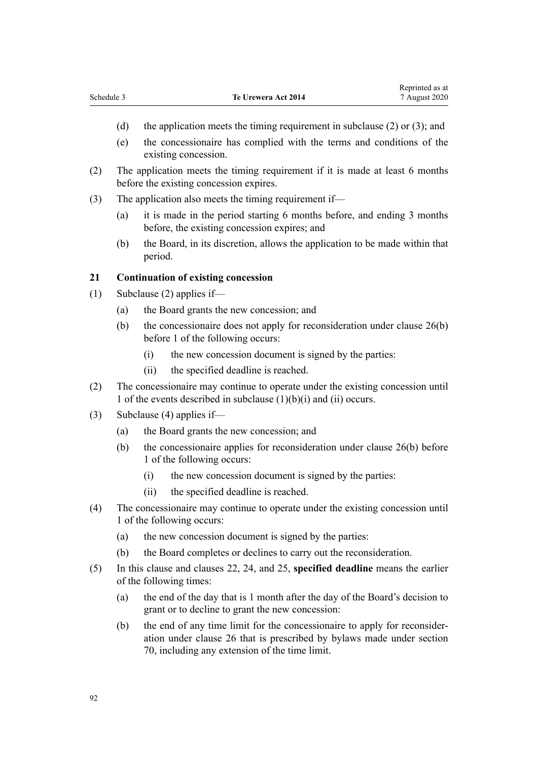- <span id="page-91-0"></span>(d) the application meets the timing requirement in subclause (2) or (3); and
- (e) the concessionaire has complied with the terms and conditions of the existing concession.
- (2) The application meets the timing requirement if it is made at least 6 months before the existing concession expires.
- (3) The application also meets the timing requirement if—
	- (a) it is made in the period starting 6 months before, and ending 3 months before, the existing concession expires; and
	- (b) the Board, in its discretion, allows the application to be made within that period.

#### **21 Continuation of existing concession**

- (1) Subclause (2) applies if—
	- (a) the Board grants the new concession; and
	- (b) the concessionaire does not apply for reconsideration under [clause 26\(b\)](#page-94-0) before 1 of the following occurs:
		- (i) the new concession document is signed by the parties:
		- (ii) the specified deadline is reached.
- (2) The concessionaire may continue to operate under the existing concession until 1 of the events described in subclause  $(1)(b)(i)$  and  $(ii)$  occurs.
- (3) Subclause (4) applies if—
	- (a) the Board grants the new concession; and
	- (b) the concessionaire applies for reconsideration under [clause 26\(b\)](#page-94-0) before 1 of the following occurs:
		- (i) the new concession document is signed by the parties:
		- (ii) the specified deadline is reached.
- (4) The concessionaire may continue to operate under the existing concession until 1 of the following occurs:
	- (a) the new concession document is signed by the parties:
	- (b) the Board completes or declines to carry out the reconsideration.
- (5) In this clause and [clauses 22,](#page-92-0) [24,](#page-93-0) and [25,](#page-94-0) **specified deadline** means the earlier of the following times:
	- (a) the end of the day that is 1 month after the day of the Board's decision to grant or to decline to grant the new concession:
	- (b) the end of any time limit for the concessionaire to apply for reconsideration under [clause 26](#page-94-0) that is prescribed by bylaws made under [section](#page-35-0) [70,](#page-35-0) including any extension of the time limit.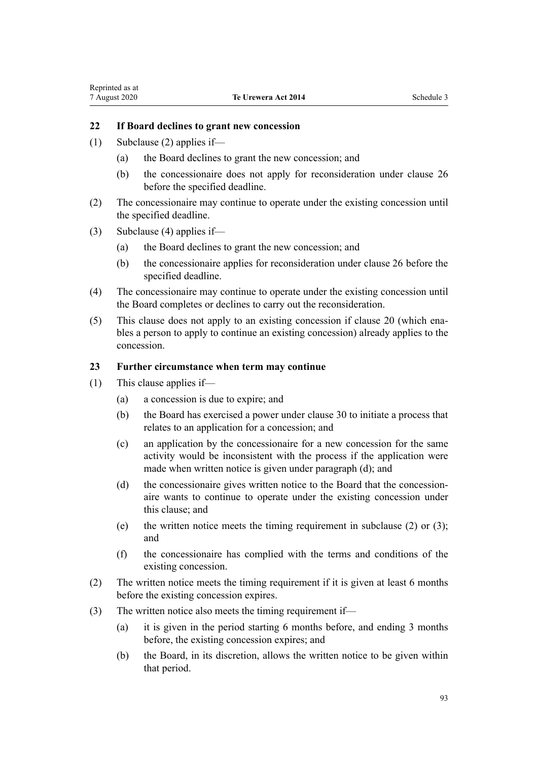## <span id="page-92-0"></span>**22 If Board declines to grant new concession**

- (1) Subclause (2) applies if—
	- (a) the Board declines to grant the new concession; and
	- (b) the concessionaire does not apply for reconsideration under [clause 26](#page-94-0) before the specified deadline.
- (2) The concessionaire may continue to operate under the existing concession until the specified deadline.
- (3) Subclause (4) applies if—
	- (a) the Board declines to grant the new concession; and
	- (b) the concessionaire applies for reconsideration under [clause 26](#page-94-0) before the specified deadline.
- (4) The concessionaire may continue to operate under the existing concession until the Board completes or declines to carry out the reconsideration.
- (5) This clause does not apply to an existing concession if [clause 20](#page-90-0) (which enables a person to apply to continue an existing concession) already applies to the concession.

#### **23 Further circumstance when term may continue**

- (1) This clause applies if—
	- (a) a concession is due to expire; and
	- (b) the Board has exercised a power under [clause 30](#page-95-0) to initiate a process that relates to an application for a concession; and
	- (c) an application by the concessionaire for a new concession for the same activity would be inconsistent with the process if the application were made when written notice is given under paragraph (d); and
	- (d) the concessionaire gives written notice to the Board that the concessionaire wants to continue to operate under the existing concession under this clause; and
	- (e) the written notice meets the timing requirement in subclause (2) or (3); and
	- (f) the concessionaire has complied with the terms and conditions of the existing concession.
- (2) The written notice meets the timing requirement if it is given at least 6 months before the existing concession expires.
- (3) The written notice also meets the timing requirement if—
	- (a) it is given in the period starting 6 months before, and ending 3 months before, the existing concession expires; and
	- (b) the Board, in its discretion, allows the written notice to be given within that period.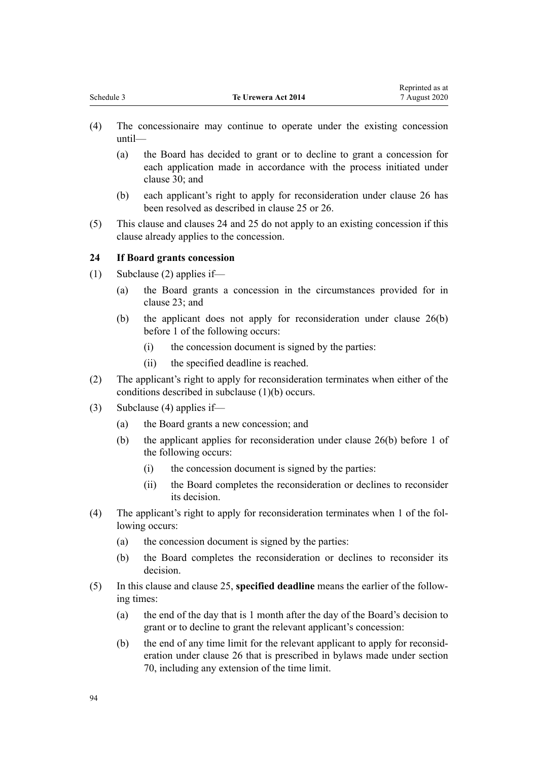- <span id="page-93-0"></span>(4) The concessionaire may continue to operate under the existing concession until—
	- (a) the Board has decided to grant or to decline to grant a concession for each application made in accordance with the process initiated under [clause 30](#page-95-0); and

Reprinted as at

- (b) each applicant's right to apply for reconsideration under [clause 26](#page-94-0) has been resolved as described in [clause 25](#page-94-0) or [26.](#page-94-0)
- (5) This clause and clauses 24 and [25](#page-94-0) do not apply to an existing concession if this clause already applies to the concession.

#### **24 If Board grants concession**

- (1) Subclause (2) applies if—
	- (a) the Board grants a concession in the circumstances provided for in [clause 23](#page-92-0); and
	- (b) the applicant does not apply for reconsideration under [clause 26\(b\)](#page-94-0) before 1 of the following occurs:
		- (i) the concession document is signed by the parties:
		- (ii) the specified deadline is reached.
- (2) The applicant's right to apply for reconsideration terminates when either of the conditions described in subclause (1)(b) occurs.
- (3) Subclause (4) applies if—
	- (a) the Board grants a new concession; and
	- (b) the applicant applies for reconsideration under [clause 26\(b\)](#page-94-0) before 1 of the following occurs:
		- (i) the concession document is signed by the parties:
		- (ii) the Board completes the reconsideration or declines to reconsider its decision.
- (4) The applicant's right to apply for reconsideration terminates when 1 of the following occurs:
	- (a) the concession document is signed by the parties:
	- (b) the Board completes the reconsideration or declines to reconsider its decision.
- (5) In this clause and [clause 25](#page-94-0), **specified deadline** means the earlier of the following times:
	- (a) the end of the day that is 1 month after the day of the Board's decision to grant or to decline to grant the relevant applicant's concession:
	- (b) the end of any time limit for the relevant applicant to apply for reconsideration under [clause 26](#page-94-0) that is prescribed in bylaws made under [section](#page-35-0) [70,](#page-35-0) including any extension of the time limit.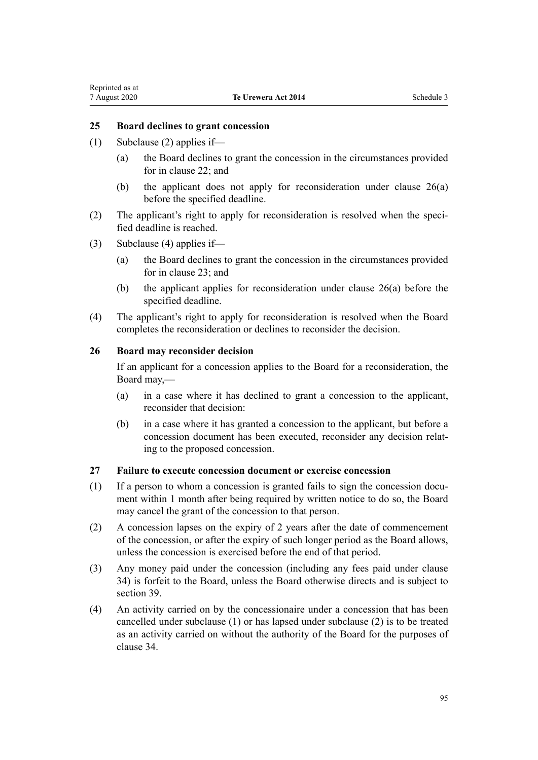#### <span id="page-94-0"></span>**25 Board declines to grant concession**

- (1) Subclause (2) applies if—
	- (a) the Board declines to grant the concession in the circumstances provided for in [clause 22](#page-92-0); and
	- (b) the applicant does not apply for reconsideration under clause 26(a) before the specified deadline.
- (2) The applicant's right to apply for reconsideration is resolved when the specified deadline is reached.
- (3) Subclause (4) applies if—
	- (a) the Board declines to grant the concession in the circumstances provided for in [clause 23](#page-92-0); and
	- (b) the applicant applies for reconsideration under clause 26(a) before the specified deadline.
- (4) The applicant's right to apply for reconsideration is resolved when the Board completes the reconsideration or declines to reconsider the decision.

#### **26 Board may reconsider decision**

If an applicant for a concession applies to the Board for a reconsideration, the Board may,—

- (a) in a case where it has declined to grant a concession to the applicant, reconsider that decision:
- (b) in a case where it has granted a concession to the applicant, but before a concession document has been executed, reconsider any decision relating to the proposed concession.

## **27 Failure to execute concession document or exercise concession**

- (1) If a person to whom a concession is granted fails to sign the concession document within 1 month after being required by written notice to do so, the Board may cancel the grant of the concession to that person.
- (2) A concession lapses on the expiry of 2 years after the date of commencement of the concession, or after the expiry of such longer period as the Board allows, unless the concession is exercised before the end of that period.
- (3) Any money paid under the concession (including any fees paid under [clause](#page-97-0) [34\)](#page-97-0) is forfeit to the Board, unless the Board otherwise directs and is subject to [section 39](#page-23-0).
- (4) An activity carried on by the concessionaire under a concession that has been cancelled under subclause (1) or has lapsed under subclause (2) is to be treated as an activity carried on without the authority of the Board for the purposes of [clause 34](#page-97-0).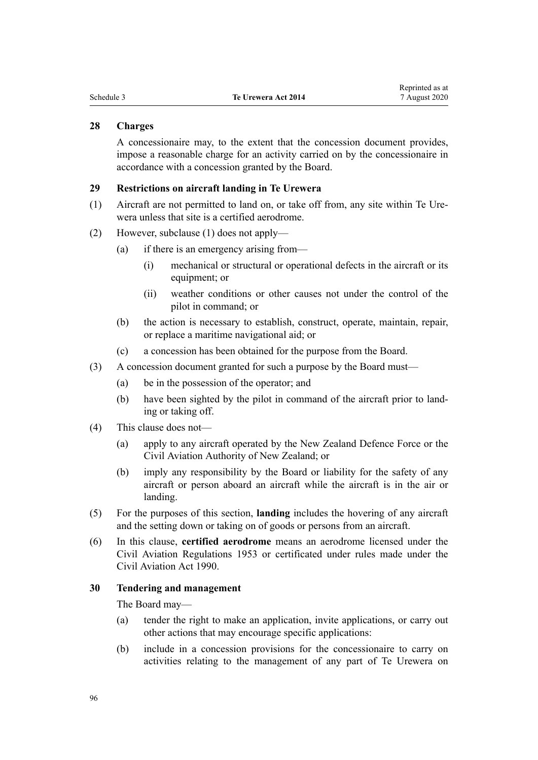#### <span id="page-95-0"></span>**28 Charges**

A concessionaire may, to the extent that the concession document provides, impose a reasonable charge for an activity carried on by the concessionaire in accordance with a concession granted by the Board.

#### **29 Restrictions on aircraft landing in Te Urewera**

- (1) Aircraft are not permitted to land on, or take off from, any site within Te Urewera unless that site is a certified aerodrome.
- (2) However, subclause (1) does not apply—
	- (a) if there is an emergency arising from—
		- (i) mechanical or structural or operational defects in the aircraft or its equipment; or
		- (ii) weather conditions or other causes not under the control of the pilot in command; or
	- (b) the action is necessary to establish, construct, operate, maintain, repair, or replace a maritime navigational aid; or
	- (c) a concession has been obtained for the purpose from the Board.
- (3) A concession document granted for such a purpose by the Board must—
	- (a) be in the possession of the operator; and
	- (b) have been sighted by the pilot in command of the aircraft prior to landing or taking off.
- (4) This clause does not—
	- (a) apply to any aircraft operated by the New Zealand Defence Force or the Civil Aviation Authority of New Zealand; or
	- (b) imply any responsibility by the Board or liability for the safety of any aircraft or person aboard an aircraft while the aircraft is in the air or landing.
- (5) For the purposes of this section, **landing** includes the hovering of any aircraft and the setting down or taking on of goods or persons from an aircraft.
- (6) In this clause, **certified aerodrome** means an aerodrome licensed under the Civil Aviation Regulations 1953 or certificated under rules made under the [Civil Aviation Act 1990.](http://legislation.govt.nz/pdflink.aspx?id=DLM214686)

#### **30 Tendering and management**

The Board may—

- (a) tender the right to make an application, invite applications, or carry out other actions that may encourage specific applications:
- (b) include in a concession provisions for the concessionaire to carry on activities relating to the management of any part of Te Urewera on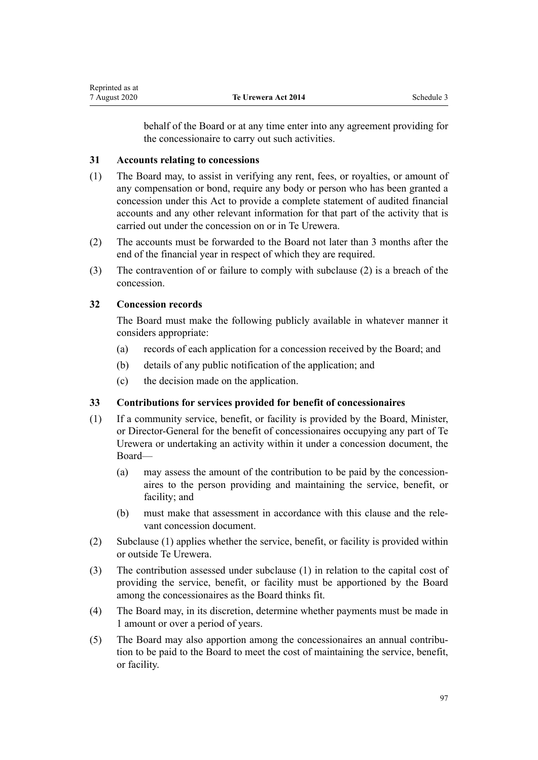behalf of the Board or at any time enter into any agreement providing for the concessionaire to carry out such activities.

#### <span id="page-96-0"></span>**31 Accounts relating to concessions**

- (1) The Board may, to assist in verifying any rent, fees, or royalties, or amount of any compensation or bond, require any body or person who has been granted a concession under this Act to provide a complete statement of audited financial accounts and any other relevant information for that part of the activity that is carried out under the concession on or in Te Urewera.
- (2) The accounts must be forwarded to the Board not later than 3 months after the end of the financial year in respect of which they are required.
- (3) The contravention of or failure to comply with subclause (2) is a breach of the concession.

#### **32 Concession records**

The Board must make the following publicly available in whatever manner it considers appropriate:

- (a) records of each application for a concession received by the Board; and
- (b) details of any public notification of the application; and
- (c) the decision made on the application.

#### **33 Contributions for services provided for benefit of concessionaires**

- (1) If a community service, benefit, or facility is provided by the Board, Minister, or Director-General for the benefit of concessionaires occupying any part of Te Urewera or undertaking an activity within it under a concession document, the Board—
	- (a) may assess the amount of the contribution to be paid by the concessionaires to the person providing and maintaining the service, benefit, or facility; and
	- (b) must make that assessment in accordance with this clause and the relevant concession document.
- (2) Subclause (1) applies whether the service, benefit, or facility is provided within or outside Te Urewera.
- (3) The contribution assessed under subclause (1) in relation to the capital cost of providing the service, benefit, or facility must be apportioned by the Board among the concessionaires as the Board thinks fit.
- (4) The Board may, in its discretion, determine whether payments must be made in 1 amount or over a period of years.
- (5) The Board may also apportion among the concessionaires an annual contribution to be paid to the Board to meet the cost of maintaining the service, benefit, or facility.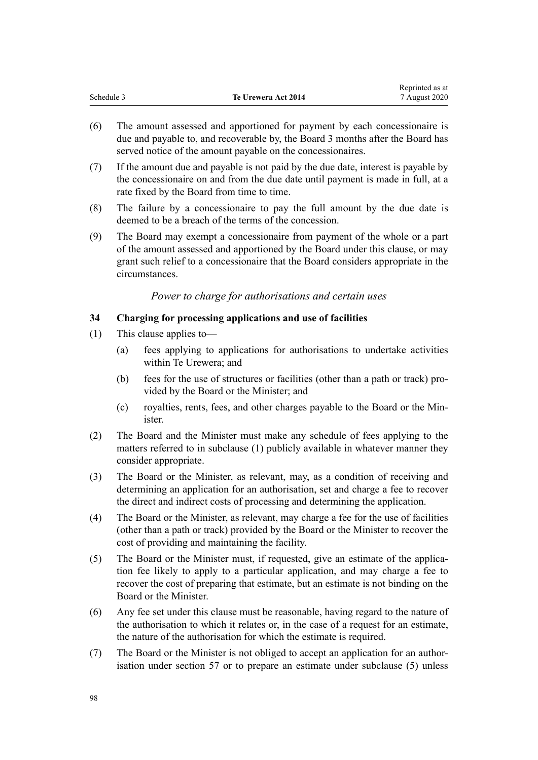<span id="page-97-0"></span>

|            |                     | Reprinted as at |
|------------|---------------------|-----------------|
| Schedule 3 | Te Urewera Act 2014 | 7 August 2020   |

- (6) The amount assessed and apportioned for payment by each concessionaire is due and payable to, and recoverable by, the Board 3 months after the Board has served notice of the amount payable on the concessionaires.
- (7) If the amount due and payable is not paid by the due date, interest is payable by the concessionaire on and from the due date until payment is made in full, at a rate fixed by the Board from time to time.
- (8) The failure by a concessionaire to pay the full amount by the due date is deemed to be a breach of the terms of the concession.
- (9) The Board may exempt a concessionaire from payment of the whole or a part of the amount assessed and apportioned by the Board under this clause, or may grant such relief to a concessionaire that the Board considers appropriate in the circumstances.

#### *Power to charge for authorisations and certain uses*

#### **34 Charging for processing applications and use of facilities**

- (1) This clause applies to—
	- (a) fees applying to applications for authorisations to undertake activities within Te Urewera; and
	- (b) fees for the use of structures or facilities (other than a path or track) provided by the Board or the Minister; and
	- (c) royalties, rents, fees, and other charges payable to the Board or the Minister.
- (2) The Board and the Minister must make any schedule of fees applying to the matters referred to in subclause (1) publicly available in whatever manner they consider appropriate.
- (3) The Board or the Minister, as relevant, may, as a condition of receiving and determining an application for an authorisation, set and charge a fee to recover the direct and indirect costs of processing and determining the application.
- (4) The Board or the Minister, as relevant, may charge a fee for the use of facilities (other than a path or track) provided by the Board or the Minister to recover the cost of providing and maintaining the facility.
- (5) The Board or the Minister must, if requested, give an estimate of the application fee likely to apply to a particular application, and may charge a fee to recover the cost of preparing that estimate, but an estimate is not binding on the Board or the Minister.
- (6) Any fee set under this clause must be reasonable, having regard to the nature of the authorisation to which it relates or, in the case of a request for an estimate, the nature of the authorisation for which the estimate is required.
- (7) The Board or the Minister is not obliged to accept an application for an authorisation under [section 57](#page-31-0) or to prepare an estimate under subclause (5) unless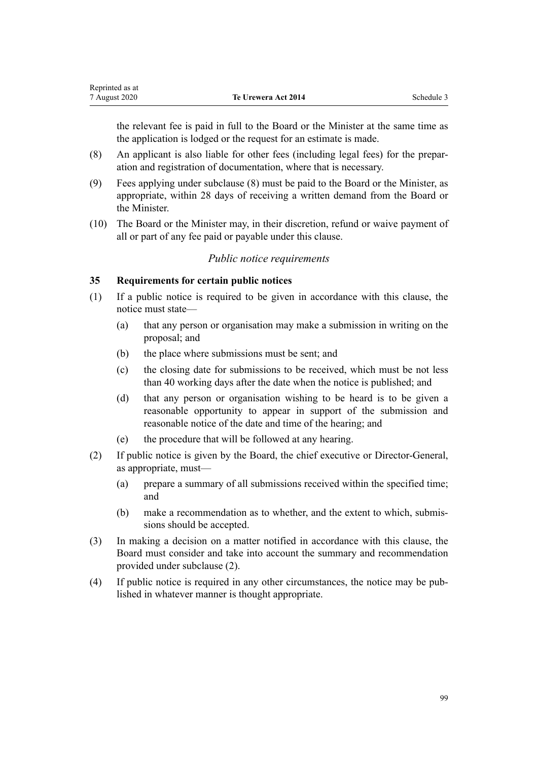<span id="page-98-0"></span>the relevant fee is paid in full to the Board or the Minister at the same time as the application is lodged or the request for an estimate is made.

- (8) An applicant is also liable for other fees (including legal fees) for the preparation and registration of documentation, where that is necessary.
- (9) Fees applying under subclause (8) must be paid to the Board or the Minister, as appropriate, within 28 days of receiving a written demand from the Board or the Minister.
- (10) The Board or the Minister may, in their discretion, refund or waive payment of all or part of any fee paid or payable under this clause.

#### *Public notice requirements*

### **35 Requirements for certain public notices**

- (1) If a public notice is required to be given in accordance with this clause, the notice must state—
	- (a) that any person or organisation may make a submission in writing on the proposal; and
	- (b) the place where submissions must be sent; and
	- (c) the closing date for submissions to be received, which must be not less than 40 working days after the date when the notice is published; and
	- (d) that any person or organisation wishing to be heard is to be given a reasonable opportunity to appear in support of the submission and reasonable notice of the date and time of the hearing; and
	- (e) the procedure that will be followed at any hearing.
- (2) If public notice is given by the Board, the chief executive or Director-General, as appropriate, must—
	- (a) prepare a summary of all submissions received within the specified time; and
	- (b) make a recommendation as to whether, and the extent to which, submissions should be accepted.
- (3) In making a decision on a matter notified in accordance with this clause, the Board must consider and take into account the summary and recommendation provided under subclause (2).
- (4) If public notice is required in any other circumstances, the notice may be published in whatever manner is thought appropriate.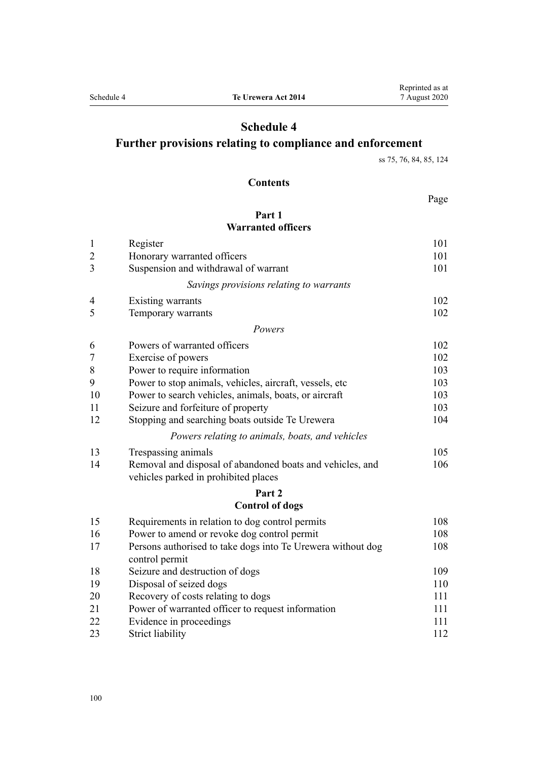## **Schedule 4**

## **Further provisions relating to compliance and enforcement**

[ss 75, 76](#page-38-0), [84, 85](#page-42-0), [124](#page-62-0)

### **Contents**

Page

## **[Part 1](#page-100-0) [Warranted officers](#page-100-0)**

| $\mathbf{1}$   | Register                                                    | 101 |
|----------------|-------------------------------------------------------------|-----|
| $\overline{2}$ | Honorary warranted officers                                 | 101 |
| 3              | Suspension and withdrawal of warrant                        | 101 |
|                | Savings provisions relating to warrants                     |     |
| 4              | Existing warrants                                           | 102 |
| 5              | Temporary warrants                                          | 102 |
|                | Powers                                                      |     |
| 6              | Powers of warranted officers                                | 102 |
| $\overline{7}$ | Exercise of powers                                          | 102 |
| 8              | Power to require information                                | 103 |
| 9              | Power to stop animals, vehicles, aircraft, vessels, etc     | 103 |
| 10             | Power to search vehicles, animals, boats, or aircraft       | 103 |
| 11             | Seizure and forfeiture of property                          | 103 |
| 12             | Stopping and searching boats outside Te Urewera             | 104 |
|                | Powers relating to animals, boats, and vehicles             |     |
| 13             | Trespassing animals                                         | 105 |
| 14             | Removal and disposal of abandoned boats and vehicles, and   | 106 |
|                | vehicles parked in prohibited places                        |     |
|                | Part 2                                                      |     |
|                | <b>Control of dogs</b>                                      |     |
| 15             | Requirements in relation to dog control permits             | 108 |
| 16             | Power to amend or revoke dog control permit                 | 108 |
| 17             | Persons authorised to take dogs into Te Urewera without dog | 108 |
|                | control permit                                              |     |
| 18             | Seizure and destruction of dogs                             | 109 |
| 19             | Disposal of seized dogs                                     | 110 |
| 20             | Recovery of costs relating to dogs                          | 111 |
| 21             | Power of warranted officer to request information           | 111 |
| 22             | Evidence in proceedings                                     | 111 |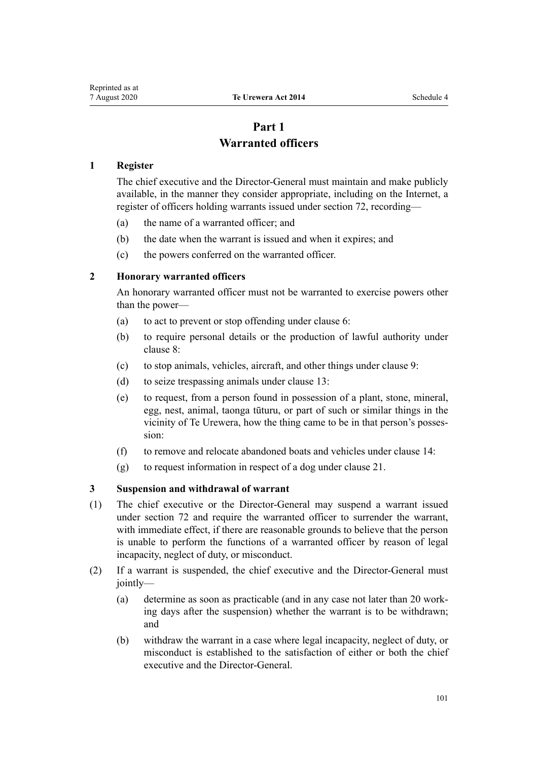## **Part 1 Warranted officers**

#### <span id="page-100-0"></span>**1 Register**

The chief executive and the Director-General must maintain and make publicly available, in the manner they consider appropriate, including on the Internet, a register of officers holding warrants issued under [section 72,](#page-37-0) recording—

- (a) the name of a warranted officer; and
- (b) the date when the warrant is issued and when it expires; and
- (c) the powers conferred on the warranted officer.

#### **2 Honorary warranted officers**

An honorary warranted officer must not be warranted to exercise powers other than the power—

- (a) to act to prevent or stop offending under [clause 6:](#page-101-0)
- (b) to require personal details or the production of lawful authority under [clause 8:](#page-102-0)
- (c) to stop animals, vehicles, aircraft, and other things under [clause 9](#page-102-0):
- (d) to seize trespassing animals under [clause 13:](#page-104-0)
- (e) to request, from a person found in possession of a plant, stone, mineral, egg, nest, animal, taonga tūturu, or part of such or similar things in the vicinity of Te Urewera, how the thing came to be in that person's possession:
- (f) to remove and relocate abandoned boats and vehicles under [clause 14](#page-105-0):
- (g) to request information in respect of a dog under [clause 21](#page-110-0).

#### **3 Suspension and withdrawal of warrant**

- (1) The chief executive or the Director-General may suspend a warrant issued under [section 72](#page-37-0) and require the warranted officer to surrender the warrant, with immediate effect, if there are reasonable grounds to believe that the person is unable to perform the functions of a warranted officer by reason of legal incapacity, neglect of duty, or misconduct.
- (2) If a warrant is suspended, the chief executive and the Director-General must jointly—
	- (a) determine as soon as practicable (and in any case not later than 20 working days after the suspension) whether the warrant is to be withdrawn; and
	- (b) withdraw the warrant in a case where legal incapacity, neglect of duty, or misconduct is established to the satisfaction of either or both the chief executive and the Director-General.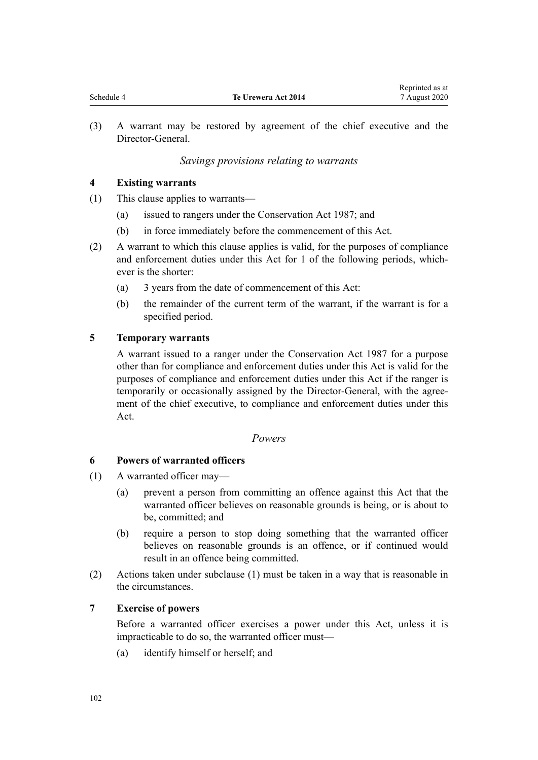Reprinted as at

<span id="page-101-0"></span>(3) A warrant may be restored by agreement of the chief executive and the Director-General.

## *Savings provisions relating to warrants*

## **4 Existing warrants**

- (1) This clause applies to warrants—
	- (a) issued to rangers under the Conservation Act 1987; and
	- (b) in force immediately before the commencement of this Act.
- (2) A warrant to which this clause applies is valid, for the purposes of compliance and enforcement duties under this Act for 1 of the following periods, whichever is the shorter:
	- (a) 3 years from the date of commencement of this Act:
	- (b) the remainder of the current term of the warrant, if the warrant is for a specified period.

## **5 Temporary warrants**

A warrant issued to a ranger under the Conservation Act 1987 for a purpose other than for compliance and enforcement duties under this Act is valid for the purposes of compliance and enforcement duties under this Act if the ranger is temporarily or occasionally assigned by the Director-General, with the agreement of the chief executive, to compliance and enforcement duties under this Act.

## *Powers*

## **6 Powers of warranted officers**

- (1) A warranted officer may—
	- (a) prevent a person from committing an offence against this Act that the warranted officer believes on reasonable grounds is being, or is about to be, committed; and
	- (b) require a person to stop doing something that the warranted officer believes on reasonable grounds is an offence, or if continued would result in an offence being committed.
- (2) Actions taken under subclause (1) must be taken in a way that is reasonable in the circumstances.

## **7 Exercise of powers**

Before a warranted officer exercises a power under this Act, unless it is impracticable to do so, the warranted officer must—

(a) identify himself or herself; and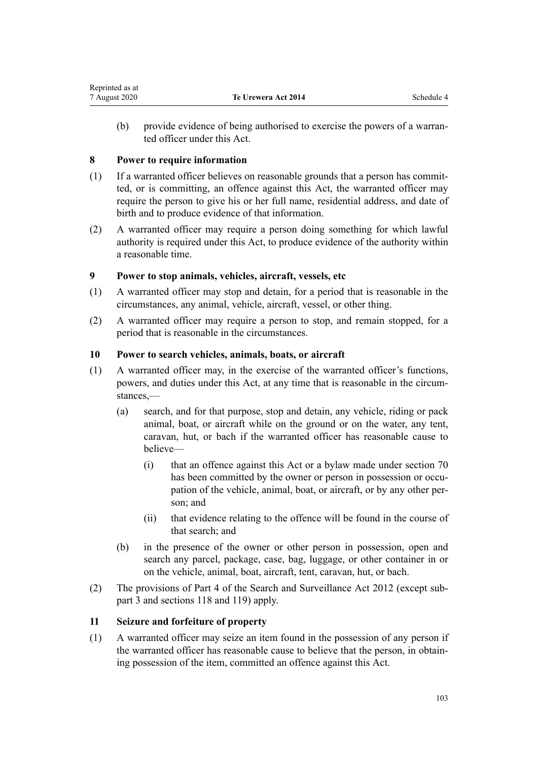<span id="page-102-0"></span>(b) provide evidence of being authorised to exercise the powers of a warranted officer under this Act.

## **8 Power to require information**

- (1) If a warranted officer believes on reasonable grounds that a person has committed, or is committing, an offence against this Act, the warranted officer may require the person to give his or her full name, residential address, and date of birth and to produce evidence of that information.
- (2) A warranted officer may require a person doing something for which lawful authority is required under this Act, to produce evidence of the authority within a reasonable time.

## **9 Power to stop animals, vehicles, aircraft, vessels, etc**

- (1) A warranted officer may stop and detain, for a period that is reasonable in the circumstances, any animal, vehicle, aircraft, vessel, or other thing.
- (2) A warranted officer may require a person to stop, and remain stopped, for a period that is reasonable in the circumstances.

## **10 Power to search vehicles, animals, boats, or aircraft**

- (1) A warranted officer may, in the exercise of the warranted officer's functions, powers, and duties under this Act, at any time that is reasonable in the circumstances,—
	- (a) search, and for that purpose, stop and detain, any vehicle, riding or pack animal, boat, or aircraft while on the ground or on the water, any tent, caravan, hut, or bach if the warranted officer has reasonable cause to believe—
		- (i) that an offence against this Act or a bylaw made under [section 70](#page-35-0) has been committed by the owner or person in possession or occupation of the vehicle, animal, boat, or aircraft, or by any other person; and
		- (ii) that evidence relating to the offence will be found in the course of that search; and
	- (b) in the presence of the owner or other person in possession, open and search any parcel, package, case, bag, luggage, or other container in or on the vehicle, animal, boat, aircraft, tent, caravan, hut, or bach.
- (2) The provisions of [Part 4](http://legislation.govt.nz/pdflink.aspx?id=DLM2136770) of the Search and Surveillance Act 2012 (except [sub](http://legislation.govt.nz/pdflink.aspx?id=DLM2136781)[part 3](http://legislation.govt.nz/pdflink.aspx?id=DLM2136781) and [sections 118](http://legislation.govt.nz/pdflink.aspx?id=DLM2136813) and [119\)](http://legislation.govt.nz/pdflink.aspx?id=DLM2136815) apply.

## **11 Seizure and forfeiture of property**

(1) A warranted officer may seize an item found in the possession of any person if the warranted officer has reasonable cause to believe that the person, in obtaining possession of the item, committed an offence against this Act.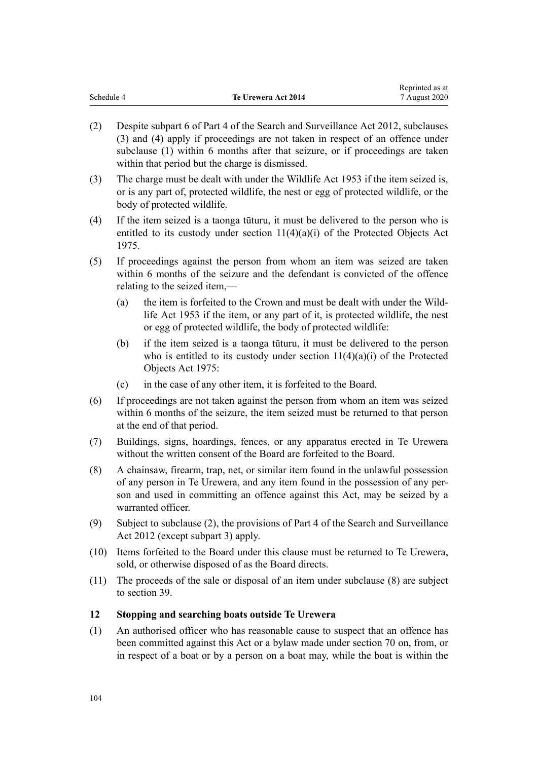<span id="page-103-0"></span>

|            |                     | Reprinted as at |
|------------|---------------------|-----------------|
| Schedule 4 | Te Urewera Act 2014 | 7 August 2020   |

- (2) Despite [subpart 6](http://legislation.govt.nz/pdflink.aspx?id=DLM2136860) of Part 4 of the Search and Surveillance Act 2012, subclauses (3) and (4) apply if proceedings are not taken in respect of an offence under subclause (1) within 6 months after that seizure, or if proceedings are taken within that period but the charge is dismissed.
- (3) The charge must be dealt with under the Wildlife Act 1953 if the item seized is, or is any part of, protected wildlife, the nest or egg of protected wildlife, or the body of protected wildlife.
- (4) If the item seized is a taonga tūturu, it must be delivered to the person who is entitled to its custody under [section 11\(4\)\(a\)\(i\)](http://legislation.govt.nz/pdflink.aspx?id=DLM432422) of the Protected Objects Act 1975.
- (5) If proceedings against the person from whom an item was seized are taken within 6 months of the seizure and the defendant is convicted of the offence relating to the seized item,—
	- (a) the item is forfeited to the Crown and must be dealt with under the [Wild](http://legislation.govt.nz/pdflink.aspx?id=DLM276813)[life Act 1953](http://legislation.govt.nz/pdflink.aspx?id=DLM276813) if the item, or any part of it, is protected wildlife, the nest or egg of protected wildlife, the body of protected wildlife:
	- (b) if the item seized is a taonga tūturu, it must be delivered to the person who is entitled to its custody under section  $11(4)(a)(i)$  of the Protected Objects Act 1975:
	- (c) in the case of any other item, it is forfeited to the Board.
- (6) If proceedings are not taken against the person from whom an item was seized within 6 months of the seizure, the item seized must be returned to that person at the end of that period.
- (7) Buildings, signs, hoardings, fences, or any apparatus erected in Te Urewera without the written consent of the Board are forfeited to the Board.
- (8) A chainsaw, firearm, trap, net, or similar item found in the unlawful possession of any person in Te Urewera, and any item found in the possession of any person and used in committing an offence against this Act, may be seized by a warranted officer.
- (9) Subject to subclause (2), the provisions of [Part 4](http://legislation.govt.nz/pdflink.aspx?id=DLM2136770) of the Search and Surveillance Act 2012 (except subpart 3) apply.
- (10) Items forfeited to the Board under this clause must be returned to Te Urewera, sold, or otherwise disposed of as the Board directs.
- (11) The proceeds of the sale or disposal of an item under subclause (8) are subject to [section 39.](#page-23-0)

## **12 Stopping and searching boats outside Te Urewera**

(1) An authorised officer who has reasonable cause to suspect that an offence has been committed against this Act or a bylaw made under [section 70](#page-35-0) on, from, or in respect of a boat or by a person on a boat may, while the boat is within the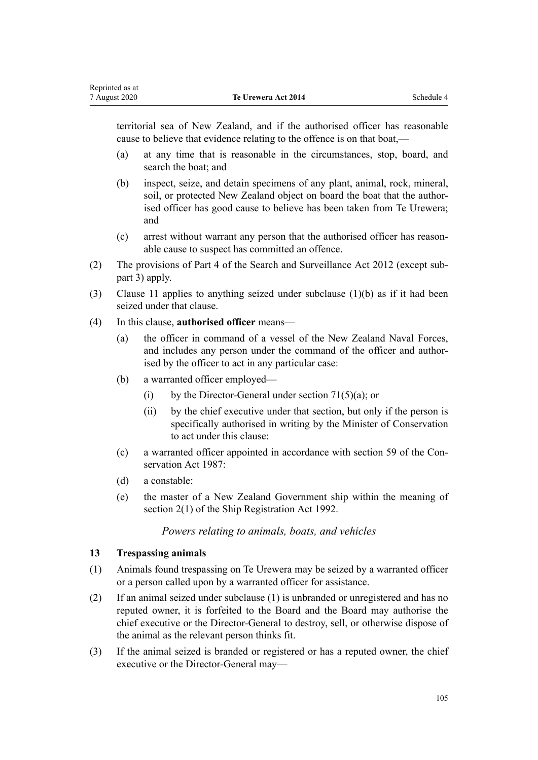<span id="page-104-0"></span>territorial sea of New Zealand, and if the authorised officer has reasonable cause to believe that evidence relating to the offence is on that boat,—

- (a) at any time that is reasonable in the circumstances, stop, board, and search the boat; and
- (b) inspect, seize, and detain specimens of any plant, animal, rock, mineral, soil, or protected New Zealand object on board the boat that the authorised officer has good cause to believe has been taken from Te Urewera; and
- (c) arrest without warrant any person that the authorised officer has reasonable cause to suspect has committed an offence.
- (2) The provisions of [Part 4](http://legislation.govt.nz/pdflink.aspx?id=DLM2136770) of the Search and Surveillance Act 2012 (except subpart 3) apply.
- (3) [Clause 11](#page-102-0) applies to anything seized under subclause (1)(b) as if it had been seized under that clause.
- (4) In this clause, **authorised officer** means—
	- (a) the officer in command of a vessel of the New Zealand Naval Forces, and includes any person under the command of the officer and authorised by the officer to act in any particular case:
	- (b) a warranted officer employed—
		- (i) by the Director-General under section  $71(5)(a)$ ; or
		- (ii) by the chief executive under that section, but only if the person is specifically authorised in writing by the Minister of Conservation to act under this clause:
	- (c) a warranted officer appointed in accordance with [section 59](http://legislation.govt.nz/pdflink.aspx?id=DLM106939) of the Conservation Act 1987:
	- (d) a constable:
	- (e) the master of a New Zealand Government ship within the meaning of [section 2\(1\)](http://legislation.govt.nz/pdflink.aspx?id=DLM275032) of the Ship Registration Act 1992.

## *Powers relating to animals, boats, and vehicles*

#### **13 Trespassing animals**

- (1) Animals found trespassing on Te Urewera may be seized by a warranted officer or a person called upon by a warranted officer for assistance.
- (2) If an animal seized under subclause (1) is unbranded or unregistered and has no reputed owner, it is forfeited to the Board and the Board may authorise the chief executive or the Director-General to destroy, sell, or otherwise dispose of the animal as the relevant person thinks fit.
- (3) If the animal seized is branded or registered or has a reputed owner, the chief executive or the Director-General may—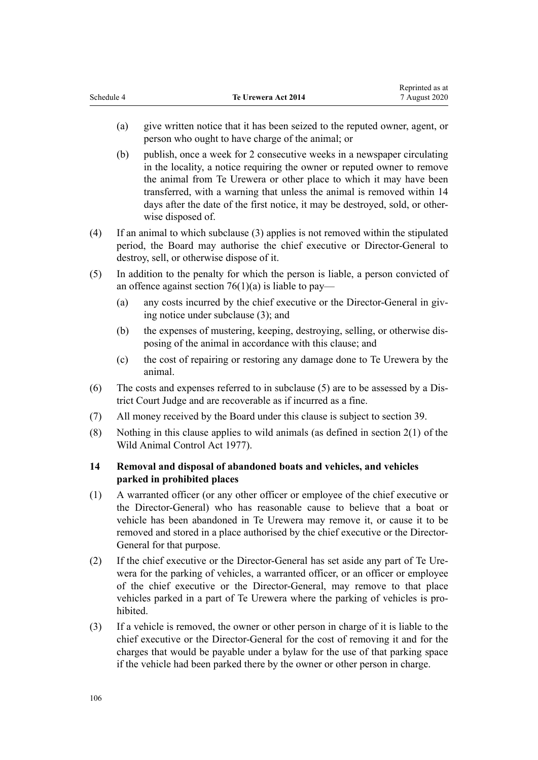- <span id="page-105-0"></span>(a) give written notice that it has been seized to the reputed owner, agent, or person who ought to have charge of the animal; or
- (b) publish, once a week for 2 consecutive weeks in a newspaper circulating in the locality, a notice requiring the owner or reputed owner to remove the animal from Te Urewera or other place to which it may have been transferred, with a warning that unless the animal is removed within 14 days after the date of the first notice, it may be destroyed, sold, or otherwise disposed of.
- (4) If an animal to which subclause (3) applies is not removed within the stipulated period, the Board may authorise the chief executive or Director-General to destroy, sell, or otherwise dispose of it.
- (5) In addition to the penalty for which the person is liable, a person convicted of an offence against section  $76(1)(a)$  is liable to pay—
	- (a) any costs incurred by the chief executive or the Director-General in giving notice under subclause (3); and
	- (b) the expenses of mustering, keeping, destroying, selling, or otherwise disposing of the animal in accordance with this clause; and
	- (c) the cost of repairing or restoring any damage done to Te Urewera by the animal.
- (6) The costs and expenses referred to in subclause (5) are to be assessed by a District Court Judge and are recoverable as if incurred as a fine.
- (7) All money received by the Board under this clause is subject to [section 39.](#page-23-0)
- (8) Nothing in this clause applies to wild animals (as defined in [section 2\(1\)](http://legislation.govt.nz/pdflink.aspx?id=DLM16628) of the Wild Animal Control Act 1977).

## **14 Removal and disposal of abandoned boats and vehicles, and vehicles parked in prohibited places**

- (1) A warranted officer (or any other officer or employee of the chief executive or the Director-General) who has reasonable cause to believe that a boat or vehicle has been abandoned in Te Urewera may remove it, or cause it to be removed and stored in a place authorised by the chief executive or the Director-General for that purpose.
- (2) If the chief executive or the Director-General has set aside any part of Te Urewera for the parking of vehicles, a warranted officer, or an officer or employee of the chief executive or the Director-General, may remove to that place vehicles parked in a part of Te Urewera where the parking of vehicles is prohibited.
- (3) If a vehicle is removed, the owner or other person in charge of it is liable to the chief executive or the Director-General for the cost of removing it and for the charges that would be payable under a bylaw for the use of that parking space if the vehicle had been parked there by the owner or other person in charge.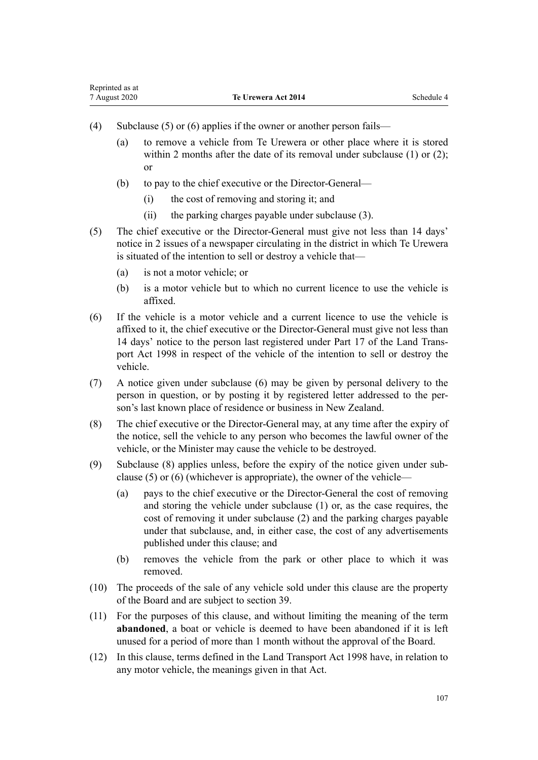- (4) Subclause (5) or (6) applies if the owner or another person fails—
	- (a) to remove a vehicle from Te Urewera or other place where it is stored within 2 months after the date of its removal under subclause (1) or (2): or
	- (b) to pay to the chief executive or the Director-General—
		- (i) the cost of removing and storing it; and
		- (ii) the parking charges payable under subclause (3).
- (5) The chief executive or the Director-General must give not less than 14 days' notice in 2 issues of a newspaper circulating in the district in which Te Urewera is situated of the intention to sell or destroy a vehicle that—
	- (a) is not a motor vehicle; or
	- (b) is a motor vehicle but to which no current licence to use the vehicle is affixed.
- (6) If the vehicle is a motor vehicle and a current licence to use the vehicle is affixed to it, the chief executive or the Director-General must give not less than 14 days' notice to the person last registered under [Part 17](http://legislation.govt.nz/pdflink.aspx?id=DLM2214226) of the Land Transport Act 1998 in respect of the vehicle of the intention to sell or destroy the vehicle.
- (7) A notice given under subclause (6) may be given by personal delivery to the person in question, or by posting it by registered letter addressed to the person's last known place of residence or business in New Zealand.
- (8) The chief executive or the Director-General may, at any time after the expiry of the notice, sell the vehicle to any person who becomes the lawful owner of the vehicle, or the Minister may cause the vehicle to be destroyed.
- (9) Subclause (8) applies unless, before the expiry of the notice given under subclause (5) or (6) (whichever is appropriate), the owner of the vehicle—
	- (a) pays to the chief executive or the Director-General the cost of removing and storing the vehicle under subclause (1) or, as the case requires, the cost of removing it under subclause (2) and the parking charges payable under that subclause, and, in either case, the cost of any advertisements published under this clause; and
	- (b) removes the vehicle from the park or other place to which it was removed.
- (10) The proceeds of the sale of any vehicle sold under this clause are the property of the Board and are subject to [section 39](#page-23-0).
- (11) For the purposes of this clause, and without limiting the meaning of the term **abandoned**, a boat or vehicle is deemed to have been abandoned if it is left unused for a period of more than 1 month without the approval of the Board.
- (12) In this clause, terms defined in the [Land Transport Act 1998](http://legislation.govt.nz/pdflink.aspx?id=DLM433612) have, in relation to any motor vehicle, the meanings given in that Act.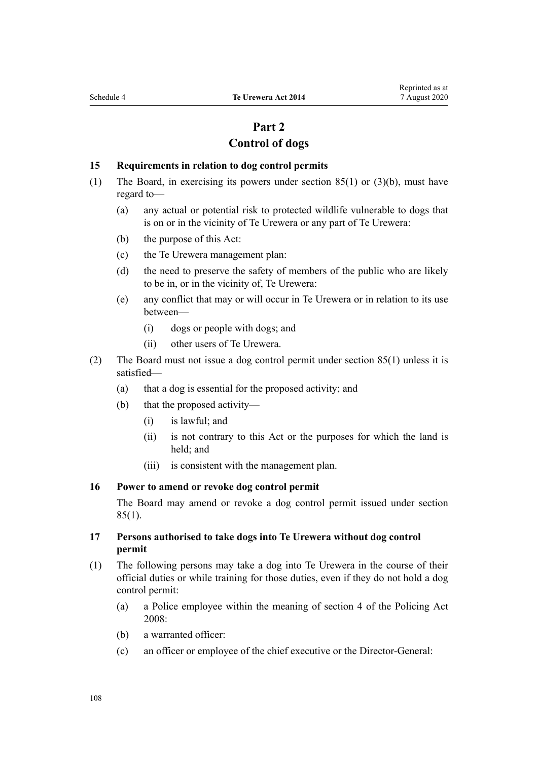# **Part 2**

## **Control of dogs**

#### <span id="page-107-0"></span>**15 Requirements in relation to dog control permits**

- (1) The Board, in exercising its powers under [section 85\(1\) or \(3\)\(b\),](#page-42-0) must have regard to—
	- (a) any actual or potential risk to protected wildlife vulnerable to dogs that is on or in the vicinity of Te Urewera or any part of Te Urewera:
	- (b) the purpose of this Act:
	- (c) the Te Urewera management plan:
	- (d) the need to preserve the safety of members of the public who are likely to be in, or in the vicinity of, Te Urewera:
	- (e) any conflict that may or will occur in Te Urewera or in relation to its use between—
		- (i) dogs or people with dogs; and
		- (ii) other users of Te Urewera.
- (2) The Board must not issue a dog control permit under [section 85\(1\)](#page-42-0) unless it is satisfied—
	- (a) that a dog is essential for the proposed activity; and
	- (b) that the proposed activity—
		- (i) is lawful; and
		- (ii) is not contrary to this Act or the purposes for which the land is held; and
		- (iii) is consistent with the management plan.

#### **16 Power to amend or revoke dog control permit**

The Board may amend or revoke a dog control permit issued under [section](#page-42-0)  $85(1)$ .

#### **17 Persons authorised to take dogs into Te Urewera without dog control permit**

- (1) The following persons may take a dog into Te Urewera in the course of their official duties or while training for those duties, even if they do not hold a dog control permit:
	- (a) a Police employee within the meaning of [section 4](http://legislation.govt.nz/pdflink.aspx?id=DLM1102132) of the Policing Act 2008:
	- (b) a warranted officer:
	- (c) an officer or employee of the chief executive or the Director-General: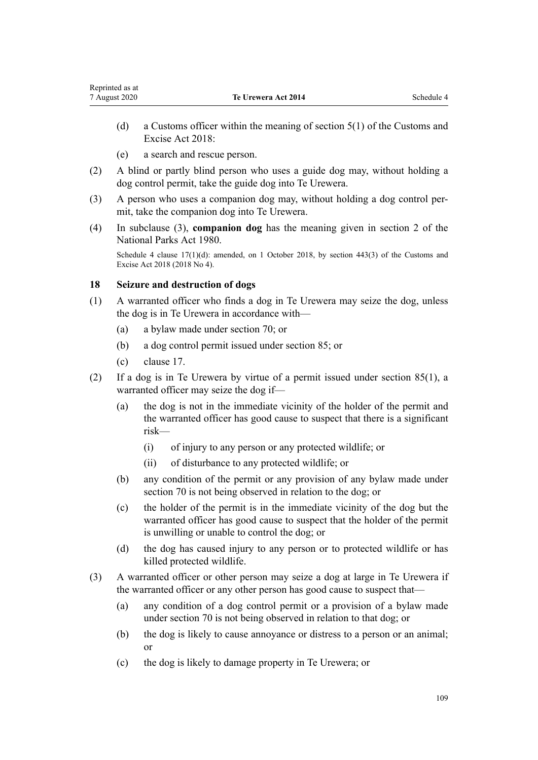- (d) a Customs officer within the meaning of [section 5\(1\)](http://legislation.govt.nz/pdflink.aspx?id=DLM7038971) of the Customs and Excise Act 2018:
- (e) a search and rescue person.

<span id="page-108-0"></span>Reprinted as at

- (2) A blind or partly blind person who uses a guide dog may, without holding a dog control permit, take the guide dog into Te Urewera.
- (3) A person who uses a companion dog may, without holding a dog control permit, take the companion dog into Te Urewera.
- (4) In subclause (3), **companion dog** has the meaning given in [section 2](http://legislation.govt.nz/pdflink.aspx?id=DLM36968) of the National Parks Act 1980.

Schedule 4 clause  $17(1)(d)$ : amended, on 1 October 2018, by [section 443\(3\)](http://legislation.govt.nz/pdflink.aspx?id=DLM7039957) of the Customs and Excise Act 2018 (2018 No 4).

# **18 Seizure and destruction of dogs**

- (1) A warranted officer who finds a dog in Te Urewera may seize the dog, unless the dog is in Te Urewera in accordance with—
	- (a) a bylaw made under [section 70;](#page-35-0) or
	- (b) a dog control permit issued under [section 85](#page-42-0); or
	- (c) [clause 17](#page-107-0).
- (2) If a dog is in Te Urewera by virtue of a permit issued under [section 85\(1\),](#page-42-0) a warranted officer may seize the dog if—
	- (a) the dog is not in the immediate vicinity of the holder of the permit and the warranted officer has good cause to suspect that there is a significant risk—
		- (i) of injury to any person or any protected wildlife; or
		- (ii) of disturbance to any protected wildlife; or
	- (b) any condition of the permit or any provision of any bylaw made under [section 70](#page-35-0) is not being observed in relation to the dog; or
	- (c) the holder of the permit is in the immediate vicinity of the dog but the warranted officer has good cause to suspect that the holder of the permit is unwilling or unable to control the dog; or
	- (d) the dog has caused injury to any person or to protected wildlife or has killed protected wildlife.
- (3) A warranted officer or other person may seize a dog at large in Te Urewera if the warranted officer or any other person has good cause to suspect that—
	- (a) any condition of a dog control permit or a provision of a bylaw made under [section 70](#page-35-0) is not being observed in relation to that dog; or
	- (b) the dog is likely to cause annoyance or distress to a person or an animal; or
	- (c) the dog is likely to damage property in Te Urewera; or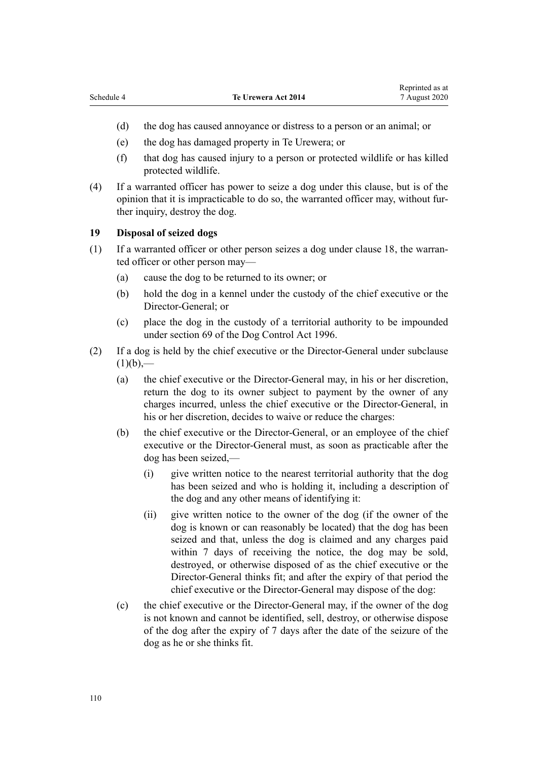Reprinted as at

- (d) the dog has caused annoyance or distress to a person or an animal; or
- (e) the dog has damaged property in Te Urewera; or
- (f) that dog has caused injury to a person or protected wildlife or has killed protected wildlife.
- (4) If a warranted officer has power to seize a dog under this clause, but is of the opinion that it is impracticable to do so, the warranted officer may, without further inquiry, destroy the dog.

# **19 Disposal of seized dogs**

- (1) If a warranted officer or other person seizes a dog under [clause 18,](#page-108-0) the warranted officer or other person may—
	- (a) cause the dog to be returned to its owner; or
	- (b) hold the dog in a kennel under the custody of the chief executive or the Director-General; or
	- (c) place the dog in the custody of a territorial authority to be impounded under [section 69](http://legislation.govt.nz/pdflink.aspx?id=DLM375442) of the Dog Control Act 1996.
- (2) If a dog is held by the chief executive or the Director-General under subclause  $(1)(b)$ ,—
	- (a) the chief executive or the Director-General may, in his or her discretion, return the dog to its owner subject to payment by the owner of any charges incurred, unless the chief executive or the Director-General, in his or her discretion, decides to waive or reduce the charges:
	- (b) the chief executive or the Director-General, or an employee of the chief executive or the Director-General must, as soon as practicable after the dog has been seized,—
		- (i) give written notice to the nearest territorial authority that the dog has been seized and who is holding it, including a description of the dog and any other means of identifying it:
		- (ii) give written notice to the owner of the dog (if the owner of the dog is known or can reasonably be located) that the dog has been seized and that, unless the dog is claimed and any charges paid within 7 days of receiving the notice, the dog may be sold, destroyed, or otherwise disposed of as the chief executive or the Director-General thinks fit; and after the expiry of that period the chief executive or the Director-General may dispose of the dog:
	- (c) the chief executive or the Director-General may, if the owner of the dog is not known and cannot be identified, sell, destroy, or otherwise dispose of the dog after the expiry of 7 days after the date of the seizure of the dog as he or she thinks fit.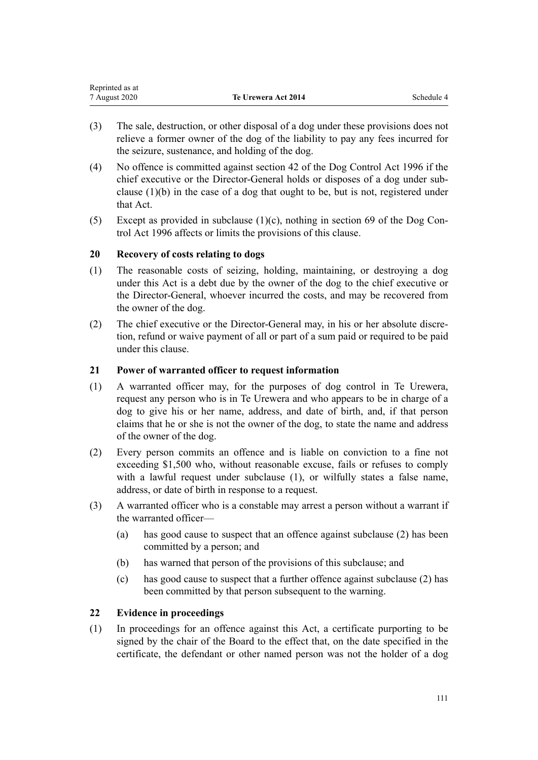| Reprinted as at |                            |            |
|-----------------|----------------------------|------------|
| 7 August 2020   | <b>Te Urewera Act 2014</b> | Schedule 4 |

- (3) The sale, destruction, or other disposal of a dog under these provisions does not relieve a former owner of the dog of the liability to pay any fees incurred for the seizure, sustenance, and holding of the dog.
- (4) No offence is committed against [section 42](http://legislation.govt.nz/pdflink.aspx?id=DLM375173) of the Dog Control Act 1996 if the chief executive or the Director-General holds or disposes of a dog under subclause (1)(b) in the case of a dog that ought to be, but is not, registered under that Act.
- (5) Except as provided in subclause  $(1)(c)$ , nothing in [section 69](http://legislation.govt.nz/pdflink.aspx?id=DLM375442) of the Dog Control Act 1996 affects or limits the provisions of this clause.

## **20 Recovery of costs relating to dogs**

- (1) The reasonable costs of seizing, holding, maintaining, or destroying a dog under this Act is a debt due by the owner of the dog to the chief executive or the Director-General, whoever incurred the costs, and may be recovered from the owner of the dog.
- (2) The chief executive or the Director-General may, in his or her absolute discretion, refund or waive payment of all or part of a sum paid or required to be paid under this clause.

## **21 Power of warranted officer to request information**

- (1) A warranted officer may, for the purposes of dog control in Te Urewera, request any person who is in Te Urewera and who appears to be in charge of a dog to give his or her name, address, and date of birth, and, if that person claims that he or she is not the owner of the dog, to state the name and address of the owner of the dog.
- (2) Every person commits an offence and is liable on conviction to a fine not exceeding \$1,500 who, without reasonable excuse, fails or refuses to comply with a lawful request under subclause (1), or wilfully states a false name, address, or date of birth in response to a request.
- (3) A warranted officer who is a constable may arrest a person without a warrant if the warranted officer—
	- (a) has good cause to suspect that an offence against subclause (2) has been committed by a person; and
	- (b) has warned that person of the provisions of this subclause; and
	- (c) has good cause to suspect that a further offence against subclause (2) has been committed by that person subsequent to the warning.

#### **22 Evidence in proceedings**

(1) In proceedings for an offence against this Act, a certificate purporting to be signed by the chair of the Board to the effect that, on the date specified in the certificate, the defendant or other named person was not the holder of a dog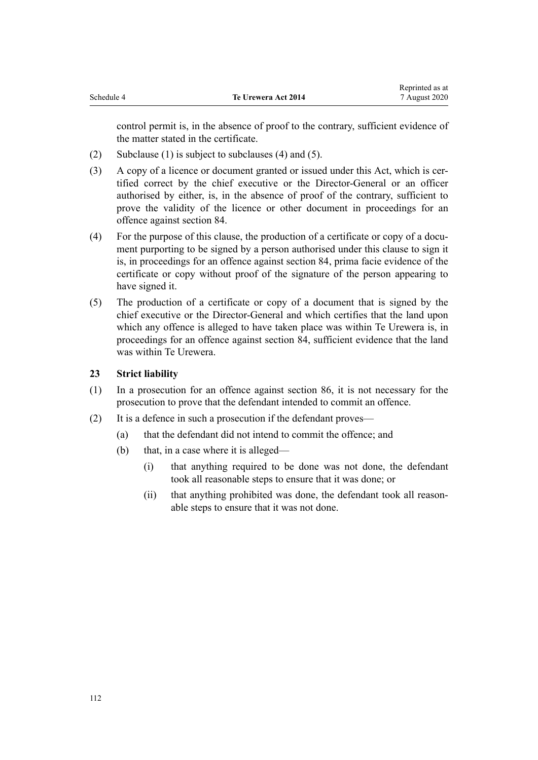control permit is, in the absence of proof to the contrary, sufficient evidence of the matter stated in the certificate.

Reprinted as at

- (2) Subclause (1) is subject to subclauses (4) and (5).
- (3) A copy of a licence or document granted or issued under this Act, which is certified correct by the chief executive or the Director-General or an officer authorised by either, is, in the absence of proof of the contrary, sufficient to prove the validity of the licence or other document in proceedings for an offence against [section 84.](#page-42-0)
- (4) For the purpose of this clause, the production of a certificate or copy of a document purporting to be signed by a person authorised under this clause to sign it is, in proceedings for an offence against [section 84](#page-42-0), prima facie evidence of the certificate or copy without proof of the signature of the person appearing to have signed it.
- (5) The production of a certificate or copy of a document that is signed by the chief executive or the Director-General and which certifies that the land upon which any offence is alleged to have taken place was within Te Urewera is, in proceedings for an offence against [section 84,](#page-42-0) sufficient evidence that the land was within Te Urewera.

# **23 Strict liability**

- (1) In a prosecution for an offence against [section 86,](#page-43-0) it is not necessary for the prosecution to prove that the defendant intended to commit an offence.
- (2) It is a defence in such a prosecution if the defendant proves—
	- (a) that the defendant did not intend to commit the offence; and
	- (b) that, in a case where it is alleged—
		- (i) that anything required to be done was not done, the defendant took all reasonable steps to ensure that it was done; or
		- (ii) that anything prohibited was done, the defendant took all reasonable steps to ensure that it was not done.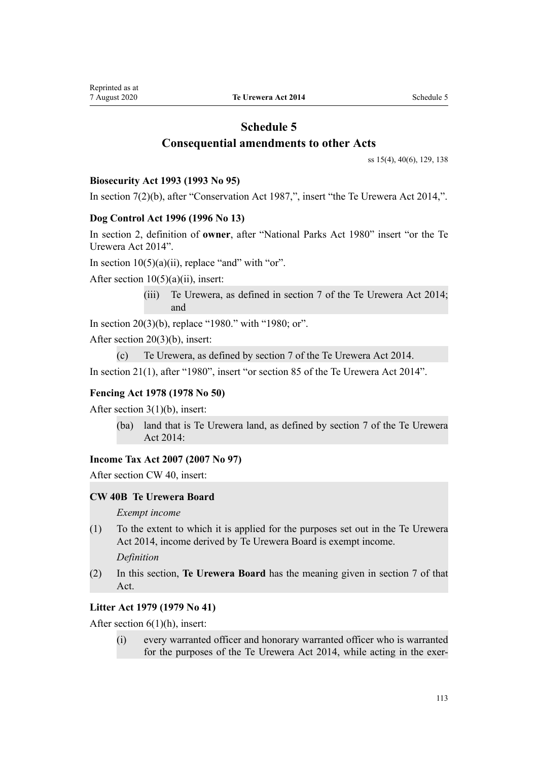# **Schedule 5 Consequential amendments to other Acts**

[ss 15\(4\)](#page-14-0), [40\(6\)](#page-24-0), [129](#page-63-0), [138](#page-67-0)

## **Biosecurity Act 1993 (1993 No 95)**

Reprinted as at

In [section 7\(2\)\(b\),](http://legislation.govt.nz/pdflink.aspx?id=DLM315227) after "Conservation Act 1987,", insert "the Te Urewera Act 2014,".

## **Dog Control Act 1996 (1996 No 13)**

In [section 2](http://legislation.govt.nz/pdflink.aspx?id=DLM374415), definition of **owner**, after "National Parks Act 1980" insert "or the Te Urewera Act 2014".

In section  $10(5)(a)(ii)$ , replace "and" with "or".

After section  $10(5)(a)(ii)$ , insert:

(iii) Te Urewera, as defined in section 7 of the Te Urewera Act 2014; and

In [section 20\(3\)\(b\)](http://legislation.govt.nz/pdflink.aspx?id=DLM374833), replace "1980." with "1980; or".

After [section 20\(3\)\(b\)](http://legislation.govt.nz/pdflink.aspx?id=DLM374833), insert:

```
(c) Te Urewera, as defined by section 7 of the Te Urewera Act 2014.
```
In [section 21\(1\)](http://legislation.govt.nz/pdflink.aspx?id=DLM374839), after "1980", insert "or section 85 of the Te Urewera Act 2014".

# **Fencing Act 1978 (1978 No 50)**

After [section 3\(1\)\(b\)](http://legislation.govt.nz/pdflink.aspx?id=DLM21842), insert:

(ba) land that is Te Urewera land, as defined by section 7 of the Te Urewera Act 2014:

# **Income Tax Act 2007 (2007 No 97)**

After [section CW 40,](http://legislation.govt.nz/pdflink.aspx?id=DLM1513267) insert:

#### **CW 40B Te Urewera Board**

*Exempt income*

(1) To the extent to which it is applied for the purposes set out in the Te Urewera Act 2014, income derived by Te Urewera Board is exempt income.

*Definition*

(2) In this section, **Te Urewera Board** has the meaning given in section 7 of that Act.

# **Litter Act 1979 (1979 No 41)**

After [section 6\(1\)\(h\)](http://legislation.govt.nz/pdflink.aspx?id=DLM33430), insert:

(i) every warranted officer and honorary warranted officer who is warranted for the purposes of the Te Urewera Act 2014, while acting in the exer-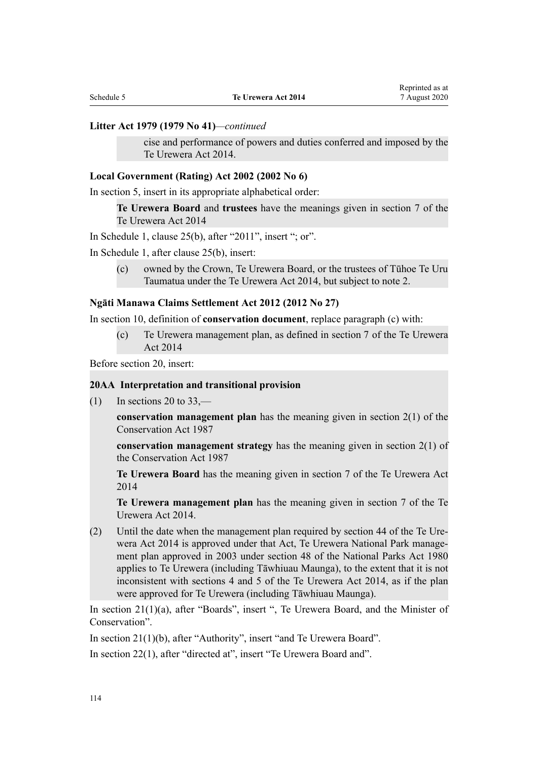#### **Litter Act 1979 (1979 No 41)***—continued*

cise and performance of powers and duties conferred and imposed by the Te Urewera Act 2014.

#### **Local Government (Rating) Act 2002 (2002 No 6)**

In [section 5,](http://legislation.govt.nz/pdflink.aspx?id=DLM132004) insert in its appropriate alphabetical order:

**Te Urewera Board** and **trustees** have the meanings given in section 7 of the Te Urewera Act 2014

In Schedule 1, [clause 25\(b\),](http://legislation.govt.nz/pdflink.aspx?id=DLM3682516) after "2011", insert "; or".

In Schedule 1, after [clause 25\(b\),](http://legislation.govt.nz/pdflink.aspx?id=DLM3682516) insert:

(c) owned by the Crown, Te Urewera Board, or the trustees of Tūhoe Te Uru Taumatua under the Te Urewera Act 2014, but subject to note 2.

#### **Ngāti Manawa Claims Settlement Act 2012 (2012 No 27)**

In [section 10,](http://legislation.govt.nz/pdflink.aspx?id=DLM3276821) definition of **conservation document**, replace paragraph (c) with:

(c) Te Urewera management plan, as defined in section 7 of the Te Urewera Act 2014

Before [section 20](http://legislation.govt.nz/pdflink.aspx?id=DLM3276973), insert:

## **20AA Interpretation and transitional provision**

 $(1)$  In sections 20 to 33,—

**conservation management plan** has the meaning given in section 2(1) of the Conservation Act 1987

**conservation management strategy** has the meaning given in section 2(1) of the Conservation Act 1987

**Te Urewera Board** has the meaning given in section 7 of the Te Urewera Act 2014

**Te Urewera management plan** has the meaning given in section 7 of the Te Urewera Act 2014.

(2) Until the date when the management plan required by section 44 of the Te Urewera Act 2014 is approved under that Act, Te Urewera National Park management plan approved in 2003 under section 48 of the National Parks Act 1980 applies to Te Urewera (including Tāwhiuau Maunga), to the extent that it is not inconsistent with sections 4 and 5 of the Te Urewera Act 2014, as if the plan were approved for Te Urewera (including Tāwhiuau Maunga).

In [section 21\(1\)\(a\)](http://legislation.govt.nz/pdflink.aspx?id=DLM3276974), after "Boards", insert ", Te Urewera Board, and the Minister of Conservation".

In [section 21\(1\)\(b\)](http://legislation.govt.nz/pdflink.aspx?id=DLM3276974), after "Authority", insert "and Te Urewera Board".

In [section 22\(1\)](http://legislation.govt.nz/pdflink.aspx?id=DLM3276975), after "directed at", insert "Te Urewera Board and".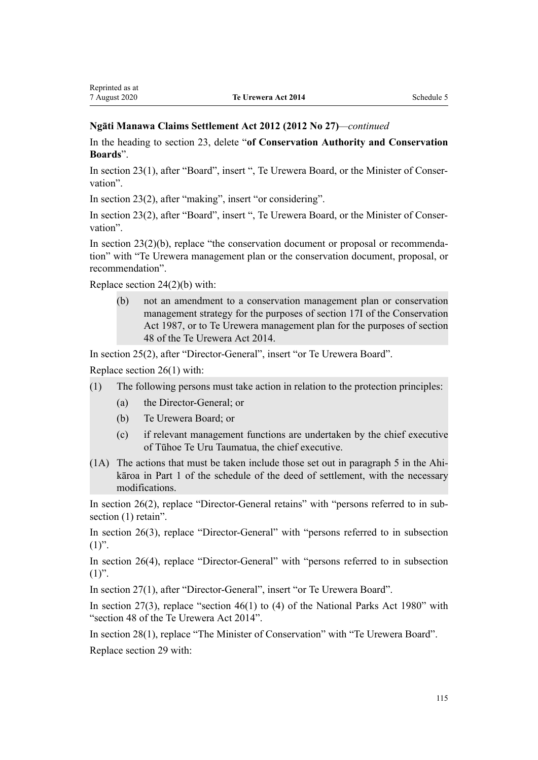## **Ngāti Manawa Claims Settlement Act 2012 (2012 No 27)***—continued*

In the heading to [section 23](http://legislation.govt.nz/pdflink.aspx?id=DLM3276976), delete "**of Conservation Authority and Conservation Boards**".

In [section 23\(1\)](http://legislation.govt.nz/pdflink.aspx?id=DLM3276976), after "Board", insert ", Te Urewera Board, or the Minister of Conservation".

In [section 23\(2\)](http://legislation.govt.nz/pdflink.aspx?id=DLM3276976), after "making", insert "or considering".

In [section 23\(2\)](http://legislation.govt.nz/pdflink.aspx?id=DLM3276976), after "Board", insert ", Te Urewera Board, or the Minister of Conservation".

In [section 23\(2\)\(b\),](http://legislation.govt.nz/pdflink.aspx?id=DLM3276976) replace "the conservation document or proposal or recommendation" with "Te Urewera management plan or the conservation document, proposal, or recommendation".

Replace [section 24\(2\)\(b\)](http://legislation.govt.nz/pdflink.aspx?id=DLM3276977) with:

(b) not an amendment to a conservation management plan or conservation management strategy for the purposes of section 17I of the Conservation Act 1987, or to Te Urewera management plan for the purposes of section 48 of the Te Urewera Act 2014.

In [section 25\(2\)](http://legislation.govt.nz/pdflink.aspx?id=DLM3276978), after "Director-General", insert "or Te Urewera Board".

Replace [section 26\(1\)](http://legislation.govt.nz/pdflink.aspx?id=DLM3276979) with:

- (1) The following persons must take action in relation to the protection principles:
	- (a) the Director-General; or
	- (b) Te Urewera Board; or
	- (c) if relevant management functions are undertaken by the chief executive of Tūhoe Te Uru Taumatua, the chief executive.
- (1A) The actions that must be taken include those set out in paragraph 5 in the Ahikāroa in Part 1 of the schedule of the deed of settlement, with the necessary modifications.

In [section 26\(2\),](http://legislation.govt.nz/pdflink.aspx?id=DLM3276979) replace "Director-General retains" with "persons referred to in subsection  $(1)$  retain".

In [section 26\(3\),](http://legislation.govt.nz/pdflink.aspx?id=DLM3276979) replace "Director-General" with "persons referred to in subsection  $(1)$ ".

In [section 26\(4\),](http://legislation.govt.nz/pdflink.aspx?id=DLM3276979) replace "Director-General" with "persons referred to in subsection  $(1)$ ".

In [section 27\(1\)](http://legislation.govt.nz/pdflink.aspx?id=DLM3276980), after "Director-General", insert "or Te Urewera Board".

In [section 27\(3\)](http://legislation.govt.nz/pdflink.aspx?id=DLM3276980), replace "section 46(1) to (4) of the National Parks Act 1980" with "section 48 of the Te Urewera Act 2014".

In [section 28\(1\)](http://legislation.govt.nz/pdflink.aspx?id=DLM3276981), replace "The Minister of Conservation" with "Te Urewera Board". Replace [section 29](http://legislation.govt.nz/pdflink.aspx?id=DLM3276982) with: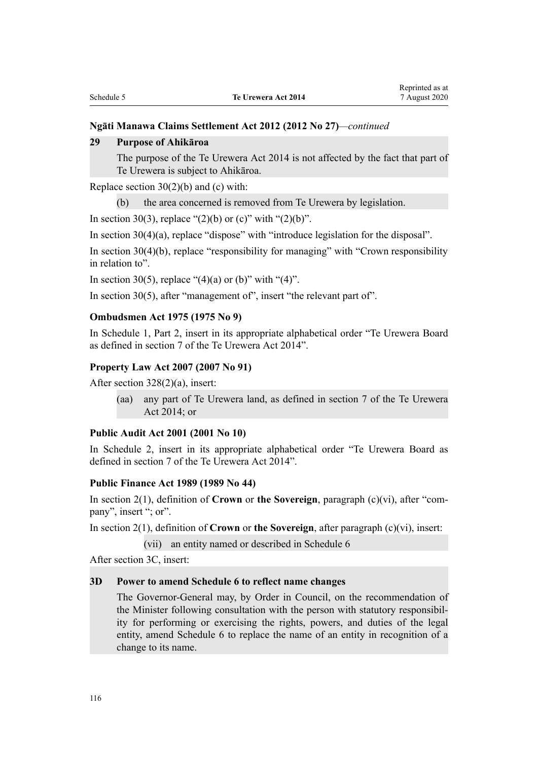#### **Ngāti Manawa Claims Settlement Act 2012 (2012 No 27)***—continued*

#### **29 Purpose of Ahikāroa**

The purpose of the Te Urewera Act 2014 is not affected by the fact that part of Te Urewera is subject to Ahikāroa.

Replace section  $30(2)(b)$  and (c) with:

(b) the area concerned is removed from Te Urewera by legislation.

In [section 30\(3\)](http://legislation.govt.nz/pdflink.aspx?id=DLM3276983), replace "(2)(b) or (c)" with "(2)(b)".

In [section 30\(4\)\(a\),](http://legislation.govt.nz/pdflink.aspx?id=DLM3276983) replace "dispose" with "introduce legislation for the disposal".

In [section 30\(4\)\(b\)](http://legislation.govt.nz/pdflink.aspx?id=DLM3276983), replace "responsibility for managing" with "Crown responsibility in relation to".

In [section 30\(5\)](http://legislation.govt.nz/pdflink.aspx?id=DLM3276983), replace "(4)(a) or (b)" with "(4)".

In [section 30\(5\)](http://legislation.govt.nz/pdflink.aspx?id=DLM3276983), after "management of", insert "the relevant part of".

## **Ombudsmen Act 1975 (1975 No 9)**

In Schedule 1, [Part 2,](http://legislation.govt.nz/pdflink.aspx?id=DLM431296) insert in its appropriate alphabetical order "Te Urewera Board as defined in section 7 of the Te Urewera Act 2014".

#### **Property Law Act 2007 (2007 No 91)**

After [section 328\(2\)\(a\)](http://legislation.govt.nz/pdflink.aspx?id=DLM969585), insert:

(aa) any part of Te Urewera land, as defined in section 7 of the Te Urewera Act 2014; or

#### **Public Audit Act 2001 (2001 No 10)**

In [Schedule 2,](http://legislation.govt.nz/pdflink.aspx?id=DLM88987) insert in its appropriate alphabetical order "Te Urewera Board as defined in section 7 of the Te Urewera Act 2014".

#### **Public Finance Act 1989 (1989 No 44)**

In [section 2\(1\)](http://legislation.govt.nz/pdflink.aspx?id=DLM160819), definition of **Crown** or **the Sovereign**, paragraph (c)(vi), after "company", insert "; or".

In [section 2\(1\)](http://legislation.govt.nz/pdflink.aspx?id=DLM160819), definition of **Crown** or **the Sovereign**, after paragraph (c)(vi), insert:

(vii) an entity named or described in Schedule 6

After [section 3C](http://legislation.govt.nz/pdflink.aspx?id=DLM4576347), insert:

# **3D Power to amend Schedule 6 to reflect name changes**

The Governor-General may, by Order in Council, on the recommendation of the Minister following consultation with the person with statutory responsibility for performing or exercising the rights, powers, and duties of the legal entity, amend Schedule 6 to replace the name of an entity in recognition of a change to its name.